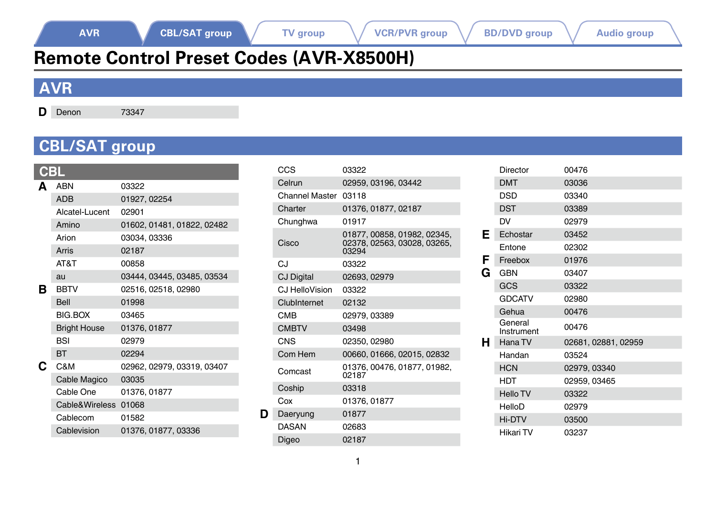# **Remote Control Preset Codes (AVR-X8500H)**

### <span id="page-0-0"></span>**AVR**

**D** Denon 73347

### <span id="page-0-1"></span>**CBL/SAT group**

|    | ABN                  | 03322                      |
|----|----------------------|----------------------------|
|    | <b>ADB</b>           | 01927, 02254               |
|    | Alcatel-Lucent       | 02901                      |
|    | Amino                | 01602, 01481, 01822, 02482 |
|    | Arion                | 03034, 03336               |
|    | Arris                | 02187                      |
|    | AT&T                 | 00858                      |
|    | au                   | 03444, 03445, 03485, 03534 |
| в  | <b>BBTV</b>          | 02516, 02518, 02980        |
|    | Bell                 | 01998                      |
|    | <b>BIG.BOX</b>       | 03465                      |
|    | <b>Bright House</b>  | 01376, 01877               |
|    | <b>BSI</b>           | 02979                      |
|    | <b>BT</b>            | 02294                      |
| C. | C&M                  | 02962, 02979, 03319, 03407 |
|    | Cable Magico         | 03035                      |
|    | Cable One            | 01376, 01877               |
|    | Cable&Wireless 01068 |                            |
|    | Cablecom             | 01582                      |
|    | Cablevision          | 01376, 01877, 03336        |
|    |                      |                            |

|   | CCS                  | 03322                                                            |
|---|----------------------|------------------------------------------------------------------|
|   | Celrun               | 02959, 03196, 03442                                              |
|   | Channel Master 03118 |                                                                  |
|   | Charter              | 01376, 01877, 02187                                              |
|   | Chunghwa             | 01917                                                            |
|   | Cisco                | 01877.00858.01982.02345.<br>02378, 02563, 03028, 03265,<br>03294 |
|   | CJ                   | 03322                                                            |
|   | <b>CJ Digital</b>    | 02693, 02979                                                     |
|   | CJ HelloVision       | 03322                                                            |
|   | ClubInternet         | 02132                                                            |
|   | CMB                  | 02979.03389                                                      |
|   | <b>CMBTV</b>         | 03498                                                            |
|   | CNS                  | 02350.02980                                                      |
|   | Com Hem              | 00660, 01666, 02015, 02832                                       |
|   | Comcast              | 01376.00476.01877.01982.<br>02187                                |
|   | Coship               | 03318                                                            |
|   | $C_0x$               | 01376.01877                                                      |
| D | Daeryung             | 01877                                                            |
|   | DASAN                | 02683                                                            |
|   | Digeo                | 02187                                                            |

|   | Director              | 00476               |
|---|-----------------------|---------------------|
|   | <b>DMT</b>            | 03036               |
|   | <b>DSD</b>            | 03340               |
|   | <b>DST</b>            | 03389               |
|   | DV                    | 02979               |
| Ε | Echostar              | 03452               |
|   | Entone                | 02302               |
| F | Freebox               | 01976               |
| G | <b>GBN</b>            | 03407               |
|   | GCS                   | 03322               |
|   | <b>GDCATV</b>         | 02980               |
|   | Gehua                 | 00476               |
|   | General<br>Instrument | 00476               |
| н | Hana TV               | 02681, 02881, 02959 |
|   | Handan                | 03524               |
|   | <b>HCN</b>            | 02979, 03340        |
|   | <b>HDT</b>            | 02959, 03465        |
|   | <b>Hello TV</b>       | 03322               |
|   | HelloD                | 02979               |
|   | Hi-DTV                | 03500               |
|   | Hikari TV             | 03237               |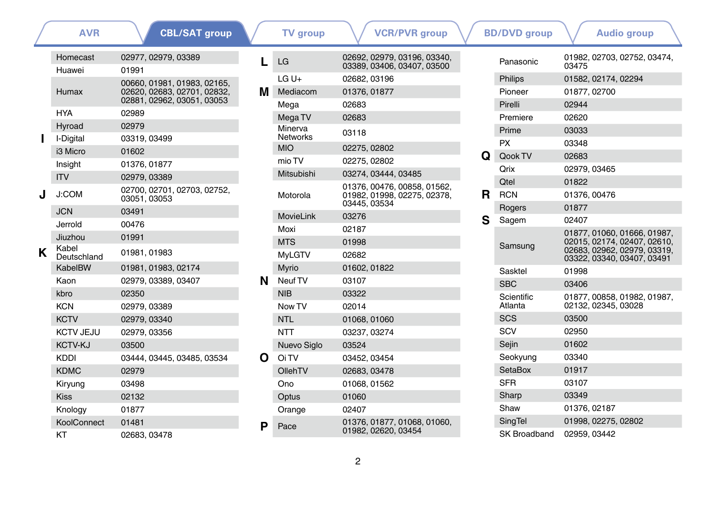|   | <b>AVR</b>           | <b>CBL/SAT group</b>                                       |   | <b>TV</b> group  | <b>VCR/PVR group</b>                                                 |    | <b>BD/DVD</b> aroup | <b>Audio aroup</b>                                        |
|---|----------------------|------------------------------------------------------------|---|------------------|----------------------------------------------------------------------|----|---------------------|-----------------------------------------------------------|
|   | Homecast             | 02977, 02979, 03389                                        |   | LG               | 02692, 02979, 03196, 03340,<br>03389, 03406, 03407, 03500            |    | Panasonic           | 01982, 02703, 02752, 03474,<br>03475                      |
|   | Huawei               | 01991                                                      |   | $LG U +$         | 02682, 03196                                                         |    | Philips             | 01582, 02174, 02294                                       |
|   | Humax                | 00660, 01981, 01983, 02165,<br>02620, 02683, 02701, 02832, | м | Mediacom         | 01376, 01877                                                         |    | Pioneer             | 01877, 02700                                              |
|   |                      | 02881, 02962, 03051, 03053                                 |   | Mega             | 02683                                                                |    | Pirelli             | 02944                                                     |
|   | <b>HYA</b>           | 02989                                                      |   | Mega TV          | 02683                                                                |    | Premiere            | 02620                                                     |
|   | Hyroad               | 02979                                                      |   | Minerva          | 03118                                                                |    | Prime               | 03033                                                     |
|   | I-Digital            | 03319, 03499                                               |   | <b>Networks</b>  |                                                                      |    | <b>PX</b>           | 03348                                                     |
|   | i3 Micro             | 01602                                                      |   | <b>MIO</b>       | 02275, 02802                                                         | Q  | Qook TV             | 02683                                                     |
|   | Insight              | 01376, 01877                                               |   | mio TV           | 02275.02802                                                          |    | Qrix                | 02979, 03465                                              |
|   | <b>ITV</b>           | 02979, 03389                                               |   | Mitsubishi       | 03274, 03444, 03485                                                  |    | <b>Qtel</b>         | 01822                                                     |
|   | J:COM                | 02700, 02701, 02703, 02752,<br>03051, 03053                |   | Motorola         | 01376.00476.00858.01562.<br>01982.01998.02275.02378.<br>03445, 03534 | R. | <b>RCN</b>          | 01376, 00476                                              |
|   | <b>JCN</b>           | 03491                                                      |   | <b>MovieLink</b> | 03276                                                                |    | Rogers              | 01877                                                     |
|   | Jerrold              | 00476                                                      |   | Moxi             | 02187                                                                | S  | Sagem               | 02407                                                     |
|   | Jiuzhou              | 01991                                                      |   | <b>MTS</b>       | 01998                                                                |    |                     | 01877.01060.01666.01987.<br>02015.02174.02407.02610.      |
| K | Kabel<br>Deutschland | 01981, 01983                                               |   | <b>MyLGTV</b>    | 02682                                                                |    | Samsung             | 02683, 02962, 02979, 03319.<br>03322, 03340, 03407, 03491 |
|   | KabelBW              | 01981, 01983, 02174                                        |   | Myrio            | 01602, 01822                                                         |    | Sasktel             | 01998                                                     |
|   | Kaon                 | 02979, 03389, 03407                                        | N | Neuf TV          | 03107                                                                |    | <b>SBC</b>          | 03406                                                     |
|   | kbro                 | 02350                                                      |   | <b>NIB</b>       | 03322                                                                |    | Scientific          | 01877, 00858, 01982, 01987,                               |
|   | <b>KCN</b>           | 02979, 03389                                               |   | Now TV           | 02014                                                                |    | Atlanta             | 02132, 02345, 03028                                       |
|   | <b>KCTV</b>          | 02979.03340                                                |   | <b>NTL</b>       | 01068, 01060                                                         |    | <b>SCS</b>          | 03500                                                     |
|   | <b>KCTV JEJU</b>     | 02979, 03356                                               |   | <b>NTT</b>       | 03237, 03274                                                         |    | SCV                 | 02950                                                     |
|   | <b>KCTV-KJ</b>       | 03500                                                      |   | Nuevo Siglo      | 03524                                                                |    | Seiin               | 01602                                                     |
|   | <b>KDDI</b>          | 03444, 03445, 03485, 03534                                 | O | Oi TV            | 03452.03454                                                          |    | Seokyung            | 03340                                                     |
|   | <b>KDMC</b>          | 02979                                                      |   | OllehTV          | 02683, 03478                                                         |    | SetaBox             | 01917                                                     |
|   | Kiryung              | 03498                                                      |   | Ono              | 01068, 01562                                                         |    | <b>SFR</b>          | 03107                                                     |
|   | <b>Kiss</b>          | 02132                                                      |   | Optus            | 01060                                                                |    | Sharp               | 03349                                                     |
|   | Knology              | 01877                                                      |   | Orange           | 02407                                                                |    | Shaw                | 01376, 02187                                              |
|   | KoolConnect          | 01481                                                      | D | Pace             | 01376, 01877, 01068, 01060,                                          |    | <b>SingTel</b>      | 01998.02275.02802                                         |
|   | KT                   | 02683, 03478                                               |   |                  | 01982, 02620, 03454                                                  |    | <b>SK Broadband</b> | 02959, 03442                                              |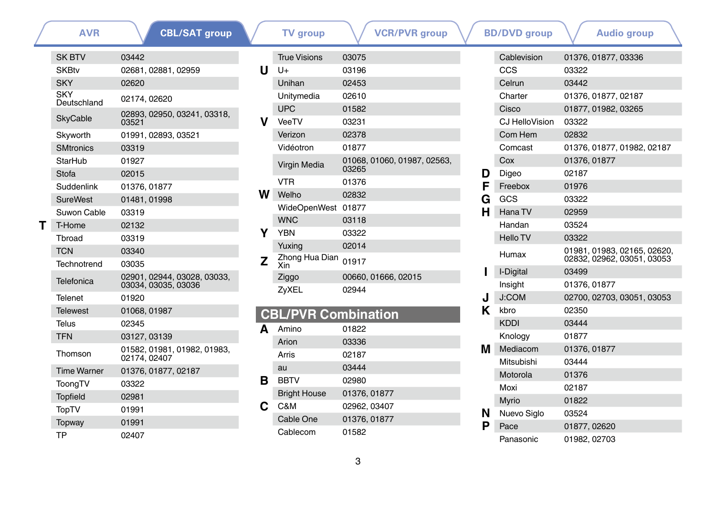|   | <b>AVR</b>         | <b>CBL/SAT group</b>                               |
|---|--------------------|----------------------------------------------------|
|   | <b>SK BTV</b>      | 03442                                              |
|   | <b>SKBtv</b>       | 02681, 02881, 02959                                |
|   | <b>SKY</b>         | 02620                                              |
|   | SKY<br>Deutschland | 02174.02620                                        |
|   | <b>SkyCable</b>    | 02893, 02950, 03241, 03318,<br>03521               |
|   | Skyworth           | 01991, 02893, 03521                                |
|   | <b>SMtronics</b>   | 03319                                              |
|   | StarHub            | 01927                                              |
|   | Stofa              | 02015                                              |
|   | Suddenlink         | 01376, 01877                                       |
|   | <b>SureWest</b>    | 01481, 01998                                       |
|   | Suwon Cable        | 03319                                              |
| т | T-Home             | 02132                                              |
|   | Throad             | 03319                                              |
|   | <b>TCN</b>         | 03340                                              |
|   | Technotrend        | 03035                                              |
|   | Telefonica         | 02901, 02944, 03028, 03033,<br>03034, 03035, 03036 |
|   | Telenet            | 01920                                              |
|   | Telewest           | 01068, 01987                                       |
|   | Telus              | 02345                                              |
|   | <b>TFN</b>         | 03127, 03139                                       |
|   | Thomson            | 01582, 01981, 01982, 01983,<br>02174, 02407        |
|   | <b>Time Warner</b> | 01376, 01877, 02187                                |
|   | ToongTV            | 03322                                              |
|   | <b>Topfield</b>    | 02981                                              |
|   | <b>TopTV</b>       | 01991                                              |
|   | Topway             | 01991                                              |
|   | ТP                 | 02407                                              |

|   | <b>TV</b> group             | <b>VCR/PVR</b> group        |   |         | <b>BD/DVD</b> group      |              |                         | <b>Audio group</b>      |
|---|-----------------------------|-----------------------------|---|---------|--------------------------|--------------|-------------------------|-------------------------|
|   | <b>True Visions</b>         | 03075                       |   |         | Cablevision              |              | 01376, 01877, 03336     |                         |
| U | $U +$                       | 03196                       |   |         | <b>CCS</b>               | 03322        |                         |                         |
|   | Unihan                      | 02453                       |   |         | Celrun                   | 03442        |                         |                         |
|   | Unitymedia                  | 02610                       |   |         | Charter                  |              | 01376, 01877, 02187     |                         |
|   | <b>UPC</b>                  | 01582                       |   |         | Cisco                    |              | 01877, 01982, 03265     |                         |
| v | VeeTV                       | 03231                       |   |         | CJ HelloVision           | 03322        |                         |                         |
|   | Verizon                     | 02378                       |   |         | Com Hem                  | 02832        |                         |                         |
|   | Vidéotron                   | 01877                       |   | Comcast |                          |              | 01376, 01877, 01982, 02 |                         |
|   | Virgin Media                | 01068, 01060, 01987, 02563, |   |         | Cox                      | 01376, 01877 |                         |                         |
|   |                             | 03265                       |   | D       | Digeo                    | 02187        |                         |                         |
|   | <b>VTR</b>                  | 01376                       |   | F       | Freebox                  | 01976        |                         |                         |
| W | Welho                       | 02832                       | G |         | GCS                      | 03322        |                         |                         |
|   | WideOpenWest 01877          |                             |   | н       | Hana TV                  | 02959        |                         |                         |
|   | <b>WNC</b>                  | 03118                       |   |         | Handan                   | 03524        |                         |                         |
| Υ | <b>YBN</b>                  | 03322                       |   |         | <b>Hello TV</b>          | 03322        |                         |                         |
|   | Yuxing                      | 02014                       |   |         | Humax                    |              |                         | 01981, 01983, 02165, 02 |
| Z | Zhong Hua Dian 01917<br>Xin |                             |   |         |                          |              |                         | 02832, 02962, 03051, 03 |
|   | Ziggo                       | 00660, 01666, 02015         |   |         | I-Digital                | 03499        |                         |                         |
|   | ZyXEL                       | 02944                       |   |         | Insight                  | 01376, 01877 |                         |                         |
|   |                             |                             |   |         | $\overline{\phantom{a}}$ |              |                         |                         |

### **CBL/PVR Combination**

|   | Amino               | 01822        |
|---|---------------------|--------------|
|   | Arion               | 03336        |
|   | Arris               | 02187        |
|   | au                  | 03444        |
| в | <b>BBTV</b>         | 02980        |
|   | <b>Bright House</b> | 01376, 01877 |
| С | C&M                 | 02962, 03407 |
|   | Cable One           | 01376, 01877 |
|   | Cablecom            | 01582        |

|   | Cablevision     | 01376, 01877, 03336                                       |
|---|-----------------|-----------------------------------------------------------|
|   | CCS             | 03322                                                     |
|   | Celrun          | 03442                                                     |
|   | Charter         | 01376, 01877, 02187                                       |
|   | Cisco           | 01877, 01982, 03265                                       |
|   | CJ HelloVision  | 03322                                                     |
|   | Com Hem         | 02832                                                     |
|   | Comcast         | 01376, 01877, 01982, 02187                                |
|   | Cox             | 01376, 01877                                              |
| D | Digeo           | 02187                                                     |
| F | Freebox         | 01976                                                     |
| G | GCS             | 03322                                                     |
| н | Hana TV         | 02959                                                     |
|   | Handan          | 03524                                                     |
|   | <b>Hello TV</b> | 03322                                                     |
|   | Humax           | 01981, 01983, 02165, 02620,<br>02832, 02962, 03051, 03053 |
| ı | I-Digital       | 03499                                                     |
|   | Insight         | 01376, 01877                                              |
| J | <b>J:COM</b>    | 02700, 02703, 03051, 03053                                |
| Κ | kbro            | 02350                                                     |
|   | <b>KDDI</b>     | 03444                                                     |
|   | Knology         | 01877                                                     |
| М | Mediacom        | 01376, 01877                                              |
|   | Mitsubishi      | 03444                                                     |
|   | Motorola        | 01376                                                     |
|   | Moxi            | 02187                                                     |
|   | Myrio           | 01822                                                     |
| N | Nuevo Siglo     | 03524                                                     |
| Р | Pace            | 01877, 02620                                              |
|   | Panasonic       | 01982, 02703                                              |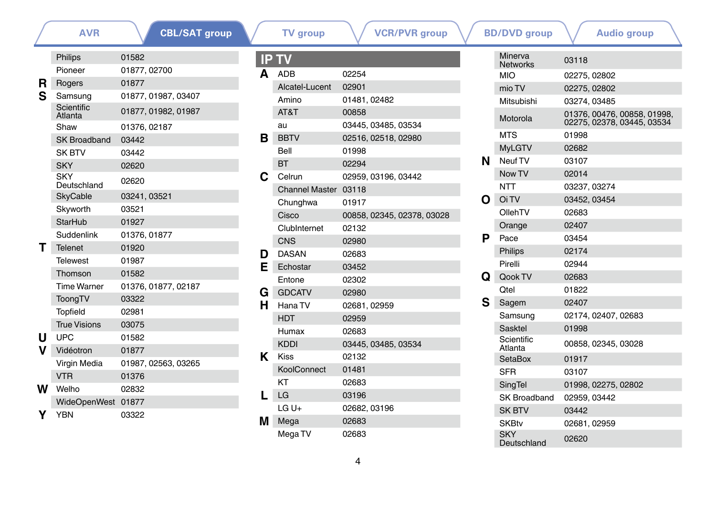**[CBL/SAT group](#page-0-1)**

**[AVR](#page-0-0) CBL/SAT group V TV** group **V VCR/PVR** group **V BD/DVD** group **V** [Audio group](#page-41-0)

|    | Philips                   | 01582               |
|----|---------------------------|---------------------|
|    | Pioneer                   | 01877, 02700        |
| R. | Rogers                    | 01877               |
| S  | Samsung                   | 01877, 01987, 03407 |
|    | Scientific<br>Atlanta     | 01877, 01982, 01987 |
|    | Shaw                      | 01376, 02187        |
|    | SK Broadband              | 03442               |
|    | <b>SK BTV</b>             | 03442               |
|    | <b>SKY</b>                | 02620               |
|    | <b>SKY</b><br>Deutschland | 02620               |
|    | <b>SkyCable</b>           | 03241, 03521        |
|    | Skyworth                  | 03521               |
|    | <b>StarHub</b>            | 01927               |
|    | Suddenlink                | 01376, 01877        |
| т  | <b>Telenet</b>            | 01920               |
|    | <b>Telewest</b>           | 01987               |
|    | Thomson                   | 01582               |
|    | <b>Time Warner</b>        | 01376, 01877, 02187 |
|    | ToongTV                   | 03322               |
|    | <b>Topfield</b>           | 02981               |
|    | <b>True Visions</b>       | 03075               |
| U  | <b>UPC</b>                | 01582               |
| V  | Vidéotron                 | 01877               |
|    | Virgin Media              | 01987, 02563, 03265 |
|    | <b>VTR</b>                | 01376               |
|    | <b>W</b> Welho            | 02832               |
|    | WideOpenWest              | 01877               |
| Y  | <b>YBN</b>                | 03322               |

|    | <b>IP TV</b>         |                            |
|----|----------------------|----------------------------|
| A  | ADB                  | 02254                      |
|    | Alcatel-Lucent       | 02901                      |
|    | Amino                | 01481, 02482               |
|    | AT&T                 | 00858                      |
|    | au                   | 03445, 03485, 03534        |
| в  | <b>BBTV</b>          | 02516, 02518, 02980        |
|    | Bell                 | 01998                      |
|    | вт                   | 02294                      |
| С  | Celrun               | 02959, 03196, 03442        |
|    | Channel Master 03118 |                            |
|    | Chunghwa             | 01917                      |
|    | Cisco                | 00858, 02345, 02378, 03028 |
|    | ClubInternet         | 02132                      |
|    | <b>CNS</b>           | 02980                      |
| D. | <b>DASAN</b>         | 02683                      |
| Е  | Echostar             | 03452                      |
|    | Entone               | 02302                      |
| G  | <b>GDCATV</b>        | 02980                      |
| н  | Hana TV              | 02681, 02959               |
|    | <b>HDT</b>           | 02959                      |
|    | Humax                | 02683                      |
|    | <b>KDDI</b>          | 03445, 03485, 03534        |
| ĸ  | Kiss                 | 02132                      |
|    | KoolConnect          | 01481                      |
|    | KT                   | 02683                      |
| н. | LG                   | 03196                      |
|    | $LGU+$               | 02682, 03196               |
| м  | Mega                 | 02683                      |
|    | Mega TV              | 02683                      |

|   | Minerva<br><b>Networks</b> | 03118                                                     |
|---|----------------------------|-----------------------------------------------------------|
|   | <b>MIO</b>                 | 02275, 02802                                              |
|   | mio TV                     | 02275, 02802                                              |
|   | Mitsubishi                 | 03274, 03485                                              |
|   | Motorola                   | 01376, 00476, 00858, 01998,<br>02275, 02378, 03445, 03534 |
|   | <b>MTS</b>                 | 01998                                                     |
|   | <b>MyLGTV</b>              | 02682                                                     |
| N | Neuf TV                    | 03107                                                     |
|   | Now TV                     | 02014                                                     |
|   | NTT                        | 03237, 03274                                              |
| O | Oi TV                      | 03452, 03454                                              |
|   | OllehTV                    | 02683                                                     |
|   | Orange                     | 02407                                                     |
| Р | Pace                       | 03454                                                     |
|   | Philips                    | 02174                                                     |
|   | Pirelli                    | 02944                                                     |
| Q | Qook TV                    | 02683                                                     |
|   | Otel                       | 01822                                                     |
| S | Sagem                      | 02407                                                     |
|   | Samsung                    | 02174, 02407, 02683                                       |
|   | Sasktel                    | 01998                                                     |
|   | Scientific<br>Atlanta      | 00858, 02345, 03028                                       |
|   | SetaBox                    | 01917                                                     |
|   | SFR                        | 03107                                                     |
|   | <b>SingTel</b>             | 01998, 02275, 02802                                       |
|   | SK Broadband               | 02959, 03442                                              |
|   | <b>SK BTV</b>              | 03442                                                     |
|   | <b>SKBtv</b>               | 02681, 02959                                              |
|   | <b>SKY</b><br>Deutschland  | 02620                                                     |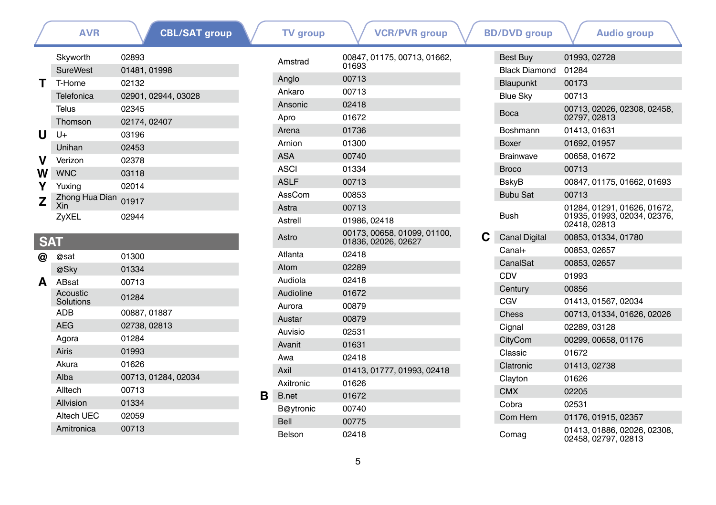|            | <b>AVR</b>                      | <b>CBL/SAT group</b> |   | <b>TV</b> group | <b>VCR/PVR</b> group                               | <b>BD/DVD</b> group  | <b>Audio group</b>                                 |
|------------|---------------------------------|----------------------|---|-----------------|----------------------------------------------------|----------------------|----------------------------------------------------|
|            | Skyworth                        | 02893                |   | Amstrad         | 00847, 01175, 00713, 01662,                        | Best Buy             | 01993, 02728                                       |
|            | <b>SureWest</b><br>01481, 01998 |                      |   |                 | 01693                                              | <b>Black Diamond</b> | 01284                                              |
|            | T-Home                          | 02132                |   | Anglo           | 00713                                              | Blaupunkt            | 00173                                              |
|            | Telefonica                      | 02901, 02944, 03028  |   | Ankaro          | 00713                                              | <b>Blue Sky</b>      | 00713                                              |
|            | Telus                           | 02345                |   | Ansonic         | 02418                                              | Boca                 | 00713, 02026, 02308, 02458,                        |
|            | Thomson                         | 02174, 02407         |   | Apro            | 01672                                              |                      | 02797, 02813                                       |
| U          | $U +$                           | 03196                |   | Arena           | 01736                                              | <b>Boshmann</b>      | 01413.01631                                        |
|            | Unihan                          | 02453                |   | Arnion          | 01300                                              | Boxer                | 01692, 01957                                       |
| v          | Verizon                         | 02378                |   | <b>ASA</b>      | 00740                                              | <b>Brainwave</b>     | 00658, 01672                                       |
| w          | <b>WNC</b>                      | 03118                |   | <b>ASCI</b>     | 01334                                              | <b>Broco</b>         | 00713                                              |
|            | Yuxina                          | 02014                |   | <b>ASLF</b>     | 00713                                              | <b>BskyB</b>         | 00847, 01175, 01662, 01693                         |
| z          | Zhong Hua Dian                  | 01917                |   | AssCom          | 00853                                              | <b>Bubu Sat</b>      | 00713                                              |
|            | Xin                             |                      |   | Astra           | 00713                                              |                      | 01284, 01291, 01626, 01672,                        |
|            | ZyXEL                           | 02944                |   | Astrell         | 01986, 02418                                       | <b>Bush</b>          | 01935, 01993, 02034, 02376,<br>02418, 02813        |
| <b>SAT</b> |                                 |                      |   | Astro           | 00173, 00658, 01099, 01100,<br>01836, 02026, 02627 | <b>Canal Digital</b> | 00853, 01334, 01780                                |
| @          | @sat                            | 01300                |   | Atlanta         | 02418                                              | Canal+               | 00853, 02657                                       |
|            | @Sky                            | 01334                |   | Atom            | 02289                                              | CanalSat             | 00853, 02657                                       |
| A          | ABsat                           | 00713                |   | Audiola         | 02418                                              | CDV                  | 01993                                              |
|            | Acoustic                        | 01284                |   | Audioline       | 01672                                              | Century              | 00856                                              |
|            | Solutions                       |                      |   | Aurora          | 00879                                              | CGV                  | 01413.01567.02034                                  |
|            | <b>ADB</b>                      | 00887, 01887         |   | Austar          | 00879                                              | <b>Chess</b>         | 00713, 01334, 01626, 02026                         |
|            | <b>AEG</b>                      | 02738, 02813         |   | Auvisio         | 02531                                              | Cignal               | 02289.03128                                        |
|            | Agora                           | 01284                |   | Avanit          | 01631                                              | CityCom              | 00299, 00658, 01176                                |
|            | <b>Airis</b>                    | 01993                |   | Awa             | 02418                                              | Classic              | 01672                                              |
|            | Akura                           | 01626                |   | Axil            | 01413, 01777, 01993, 02418                         | Clatronic            | 01413, 02738                                       |
|            | Alba                            | 00713, 01284, 02034  |   | Axitronic       | 01626                                              | Clayton              | 01626                                              |
|            | Alltech                         | 00713                | в | <b>B.net</b>    | 01672                                              | <b>CMX</b>           | 02205                                              |
|            | Allvision                       | 01334                |   | B@ytronic       | 00740                                              | Cobra                | 02531                                              |
|            | Altech UEC                      | 02059                |   | <b>Bell</b>     | 00775                                              | Com Hem              | 01176, 01915, 02357                                |
|            | Amitronica                      | 00713                |   | Belson          | 02418                                              | Comag                | 01413, 01886, 02026, 02308.<br>02458, 02797, 02813 |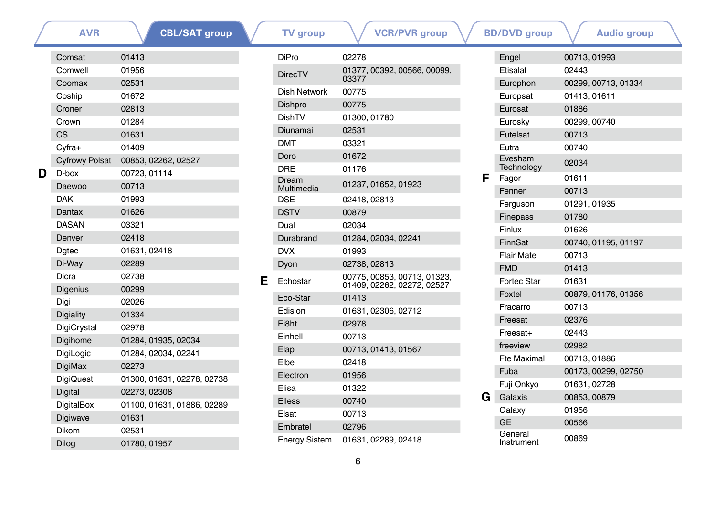|   | AVR                   | <b>CBL/SAT group</b>       |
|---|-----------------------|----------------------------|
|   | Comsat                | 01413                      |
|   | Comwell               | 01956                      |
|   | Coomax                | 02531                      |
|   | Coship                | 01672                      |
|   | Croner                | 02813                      |
|   | Crown                 | 01284                      |
|   | СS                    | 01631                      |
|   | $Cv$ fra+             | 01409                      |
|   | <b>Cyfrowy Polsat</b> | 00853, 02262, 02527        |
| D | $D$ -box              | 00723, 01114               |
|   | Daewoo                | 00713                      |
|   | <b>DAK</b>            | 01993                      |
|   | Dantax                | 01626                      |
|   | <b>DASAN</b>          | 03321                      |
|   | Denver                | 02418                      |
|   | Dgtec                 | 01631, 02418               |
|   | Di-Way                | 02289                      |
|   | Dicra                 | 02738                      |
|   | <b>Digenius</b>       | 00299                      |
|   | Digi                  | 02026                      |
|   | <b>Digiality</b>      | 01334                      |
|   | DigiCrystal           | 02978                      |
|   | Digihome              | 01284, 01935, 02034        |
|   | DigiLogic             | 01284, 02034, 02241        |
|   | DigiMax               | 02273                      |
|   | <b>DigiQuest</b>      | 01300, 01631, 02278, 02738 |
|   | <b>Digital</b>        | 02273, 02308               |
|   | DigitalBox            | 01100, 01631, 01886, 02289 |
|   | Digiwave              | 01631                      |
|   | Dikom                 | 02531                      |
|   | Dilog                 | 01780, 01957               |

| <b>AVR</b> | <b>CBL/SAT group</b>       |   | <b>TV</b> group      | <b>VCR/PVR</b> group        |   | <b>BD/DVD</b> group   | <b>Audio group</b>  |
|------------|----------------------------|---|----------------------|-----------------------------|---|-----------------------|---------------------|
| at         | 01413                      |   | <b>DiPro</b>         | 02278                       |   | Engel                 | 00713, 01993        |
| ell        | 01956                      |   | <b>DirecTV</b>       | 01377, 00392, 00566, 00099, |   | Etisalat              | 02443               |
| ax         | 02531                      |   |                      | 03377                       |   | Europhon              | 00299, 00713, 01334 |
| D          | 01672                      |   | <b>Dish Network</b>  | 00775                       |   | Europsat              | 01413, 01611        |
|            | 02813                      |   | Dishpro              | 00775                       |   | Eurosat               | 01886               |
|            | 01284                      |   | DishTV               | 01300, 01780                |   | Eurosky               | 00299, 00740        |
|            | 01631                      |   | Diunamai             | 02531                       |   | Eutelsat              | 00713               |
|            | 01409                      |   | <b>DMT</b>           | 03321                       |   | Eutra                 | 00740               |
| vy Polsat  | 00853, 02262, 02527        |   | Doro                 | 01672                       |   | Evesham               | 02034               |
|            | 00723.01114                |   | <b>DRE</b>           | 01176                       | F | Technology            |                     |
| ος         | 00713                      |   | Dream<br>Multimedia  | 01237, 01652, 01923         |   | Fagor                 | 01611               |
|            | 01993                      |   | <b>DSE</b>           | 02418, 02813                |   | Fenner                | 00713               |
| X          | 01626                      |   | <b>DSTV</b>          | 00879                       |   | Ferguson              | 01291, 01935        |
| Ν          | 03321                      |   | Dual                 | 02034                       |   | <b>Finepass</b>       | 01780               |
| ۱ľ.        | 02418                      |   | Durabrand            | 01284, 02034, 02241         |   | Finlux                | 01626               |
|            | 01631, 02418               |   | <b>DVX</b>           | 01993                       |   | FinnSat               | 00740, 01195, 01197 |
|            | 02289                      |   | Dyon                 | 02738, 02813                |   | <b>Flair Mate</b>     | 00713               |
|            | 02738                      |   |                      | 00775, 00853, 00713, 01323, |   | <b>FMD</b>            | 01413               |
| ius        | 00299                      | Е | Echostar             | 01409, 02262, 02272, 02527  |   | <b>Fortec Star</b>    | 01631               |
|            | 02026                      |   | Eco-Star             | 01413                       |   | Foxtel                | 00879, 01176, 01356 |
| ty         | 01334                      |   | Edision              | 01631, 02306, 02712         |   | Fracarro              | 00713               |
| ystal      | 02978                      |   | Ei8ht                | 02978                       |   | Freesat               | 02376               |
| me         | 01284, 01935, 02034        |   | Einhell              | 00713                       |   | Freesat+              | 02443               |
| gic        | 01284, 02034, 02241        |   | Elap                 | 00713, 01413, 01567         |   | freeview              | 02982               |
| аx         | 02273                      |   | Elbe                 | 02418                       |   | <b>Fte Maximal</b>    | 00713, 01886        |
| uest       | 01300, 01631, 02278, 02738 |   | Electron             | 01956                       |   | Fuba                  | 00173, 00299, 02750 |
|            | 02273, 02308               |   | Elisa                | 01322                       |   | Fuji Onkyo            | 01631, 02728        |
| <b>Box</b> | 01100, 01631, 01886, 02289 |   | <b>Elless</b>        | 00740                       | G | Galaxis               | 00853, 00879        |
|            | 01631                      |   | Elsat                | 00713                       |   | Galaxy                | 01956               |
| ave        | 02531                      |   | Embratel             | 02796                       |   | <b>GE</b>             | 00566               |
|            | 01780, 01957               |   | <b>Energy Sistem</b> | 01631, 02289, 02418         |   | General<br>Instrument | 00869               |

|   | BD/DVD group          | Audio group         |  |
|---|-----------------------|---------------------|--|
|   | Engel                 | 00713, 01993        |  |
|   | <b>Ftisalat</b>       | 02443               |  |
|   | Europhon              | 00299, 00713, 01334 |  |
|   | Europsat              | 01413, 01611        |  |
|   | Eurosat               | 01886               |  |
|   | Eurosky               | 00299.00740         |  |
|   | Eutelsat              | 00713               |  |
|   | Eutra                 | 00740               |  |
|   | Evesham<br>Technology | 02034               |  |
| F | Fagor                 | 01611               |  |
|   | Fenner                | 00713               |  |
|   | Ferguson              | 01291, 01935        |  |
|   | <b>Finepass</b>       | 01780               |  |
|   | Finlux                | 01626               |  |
|   | FinnSat               | 00740, 01195, 01197 |  |
|   | <b>Flair Mate</b>     | 00713               |  |
|   | <b>FMD</b>            | 01413               |  |
|   | Fortec Star           | 01631               |  |
|   | Foxtel                | 00879, 01176, 01356 |  |
|   | Fracarro              | 00713               |  |
|   | Freesat               | 02376               |  |
|   | Freesat+              | 02443               |  |
|   | freeview              | 02982               |  |
|   | <b>Fte Maximal</b>    | 00713, 01886        |  |
|   | Fuba                  | 00173, 00299, 02750 |  |
|   | Fuji Onkyo            | 01631, 02728        |  |
| G | Galaxis               | 00853, 00879        |  |
|   | Galaxy                | 01956               |  |
|   | GE                    | 00566               |  |
|   | General<br>Instrument | 00869               |  |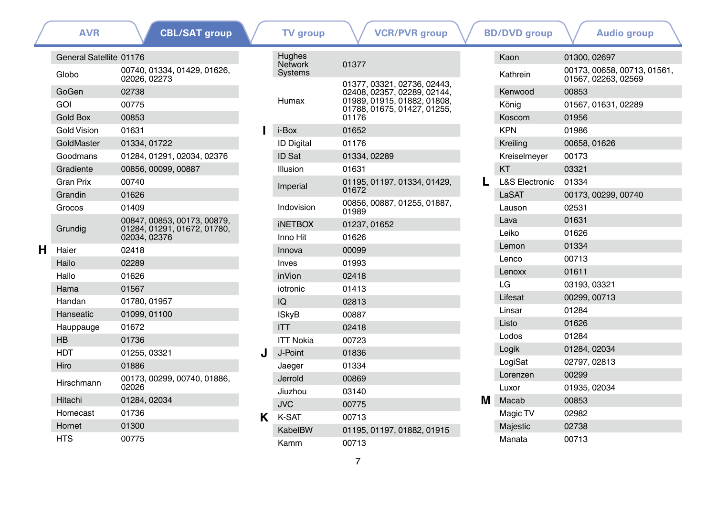|   | <b>AVR</b>              | <b>CBL/SAT group</b>                                                       |   | <b>TV</b> group                        | <b>VCR/PVR</b> group                                       |          | <b>BD/DVD</b> group                                | <b>Audio group</b>  |
|---|-------------------------|----------------------------------------------------------------------------|---|----------------------------------------|------------------------------------------------------------|----------|----------------------------------------------------|---------------------|
|   | General Satellite 01176 |                                                                            |   | Hughes<br><b>Network</b>               | 01377                                                      |          | Kaon                                               | 01300, 02697        |
|   | Globo                   | 00740, 01334, 01429, 01626,<br>02026, 02273                                |   | Systems<br>01377, 03321, 02736, 02443, |                                                            | Kathrein | 00173, 00658, 00713, 01561,<br>01567, 02263, 02569 |                     |
|   | GoGen                   | 02738                                                                      |   |                                        | 02408, 02357, 02289, 02144,                                |          | Kenwood                                            | 00853               |
|   | GOI                     | 00775                                                                      |   | Humax                                  | 01989, 01915, 01882, 01808,<br>01788, 01675, 01427, 01255, |          | König                                              | 01567, 01631, 02289 |
|   | <b>Gold Box</b>         | 00853                                                                      |   |                                        | 01176                                                      |          | Koscom                                             | 01956               |
|   | <b>Gold Vision</b>      | 01631                                                                      |   | i-Box                                  | 01652                                                      |          | <b>KPN</b>                                         | 01986               |
|   | GoldMaster              | 01334, 01722                                                               |   | <b>ID Digital</b>                      | 01176                                                      |          | Kreiling                                           | 00658, 01626        |
|   | Goodmans                | 01284, 01291, 02034, 02376                                                 |   | ID Sat                                 | 01334, 02289                                               |          | Kreiselmeyer                                       | 00173               |
|   | Gradiente               | 00856, 00099, 00887                                                        |   | Illusion                               | 01631                                                      |          | <b>KT</b>                                          | 03321               |
|   | <b>Gran Prix</b>        | 00740                                                                      |   | Imperial                               | 01195, 01197, 01334, 01429,                                | L        | <b>L&amp;S Electronic</b>                          | 01334               |
|   | Grandin                 | 01626                                                                      |   |                                        | 01672                                                      |          | LaSAT                                              | 00173, 00299, 00740 |
|   | Grocos                  | 01409                                                                      |   | Indovision                             | 00856, 00887, 01255, 01887,<br>01989                       |          | Lauson                                             | 02531               |
|   |                         | 00847, 00853, 00173, 00879,<br>01284, 01291, 01672, 01780,<br>02034, 02376 |   | <b>INETBOX</b>                         | 01237, 01652                                               |          | Lava                                               | 01631               |
|   | Grundig                 |                                                                            |   | Inno Hit                               | 01626                                                      |          | Leiko                                              | 01626               |
| н | Haier                   | 02418                                                                      |   | Innova                                 | 00099                                                      |          | Lemon                                              | 01334               |
|   | Hailo                   | 02289                                                                      |   | Inves                                  | 01993                                                      |          | Lenco                                              | 00713               |
|   | Hallo                   | 01626                                                                      |   | inVion                                 | 02418                                                      |          | Lenoxx                                             | 01611               |
|   | Hama                    | 01567                                                                      |   | iotronic                               | 01413                                                      |          | LG                                                 | 03193, 03321        |
|   | Handan                  | 01780, 01957                                                               |   | IQ                                     | 02813                                                      |          | Lifesat                                            | 00299, 00713        |
|   | Hanseatic               | 01099, 01100                                                               |   | <b>ISkyB</b>                           | 00887                                                      |          | Linsar                                             | 01284               |
|   | Hauppauge               | 01672                                                                      |   | <b>ITT</b>                             | 02418                                                      |          | Listo                                              | 01626               |
|   | HB                      | 01736                                                                      |   | <b>ITT Nokia</b>                       | 00723                                                      |          | Lodos                                              | 01284               |
|   | <b>HDT</b>              | 01255, 03321                                                               | J | J-Point                                | 01836                                                      |          | Logik                                              | 01284, 02034        |
|   | Hiro                    | 01886                                                                      |   | Jaeger                                 | 01334                                                      |          | LogiSat                                            | 02797, 02813        |
|   | Hirschmann              | 00173, 00299, 00740, 01886,                                                |   | Jerrold                                | 00869                                                      |          | Lorenzen                                           | 00299               |
|   |                         | 02026                                                                      |   | Jiuzhou                                | 03140                                                      |          | Luxor                                              | 01935, 02034        |
|   | Hitachi                 | 01284, 02034                                                               |   | <b>JVC</b>                             | 00775                                                      | м        | Macab                                              | 00853               |
|   | Homecast                | 01736                                                                      | ĸ | K-SAT                                  | 00713                                                      |          | Magic TV                                           | 02982               |
|   | Hornet                  | 01300                                                                      |   | KabelBW                                | 01195, 01197, 01882, 01915                                 |          | Majestic                                           | 02738               |
|   | <b>HTS</b>              | 00775                                                                      |   | Kamm                                   | 00713                                                      |          | Manata                                             | 00713               |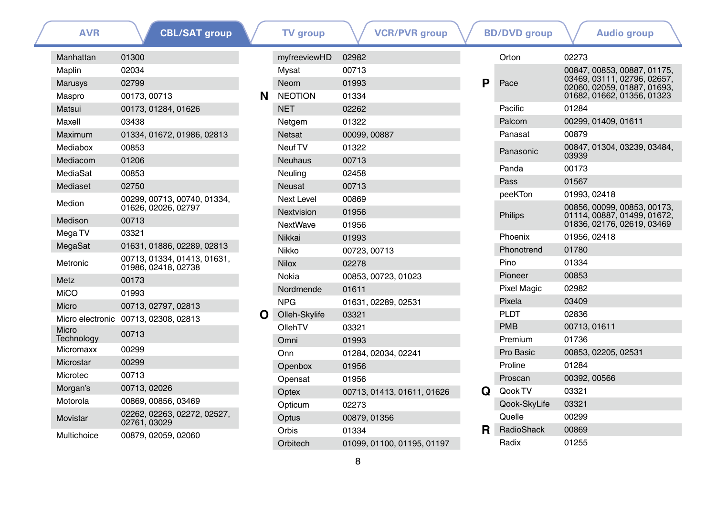| <b>AVR</b>          | <b>CBL/SAT group</b>                               |
|---------------------|----------------------------------------------------|
| Manhattan           | 01300                                              |
| Maplin              | 02034                                              |
| <b>Marusys</b>      | 02799                                              |
| Maspro              | 00173.00713                                        |
| Matsui              | 00173, 01284, 01626                                |
| Maxell              | 03438                                              |
| Maximum             | 01334, 01672, 01986, 02813                         |
| Mediabox            | 00853                                              |
| Mediacom            | 01206                                              |
| MediaSat            | 00853                                              |
| Mediaset            | 02750                                              |
| Medion              | 00299, 00713, 00740, 01334,<br>01626, 02026, 02797 |
| Medison             | 00713                                              |
| Mega TV             | 03321                                              |
| MegaSat             | 01631, 01886, 02289, 02813                         |
| Metronic            | 00713, 01334, 01413, 01631,<br>01986, 02418, 02738 |
| Metz                | 00173                                              |
| MiCO                | 01993                                              |
| Micro               | 00713, 02797, 02813                                |
| Micro electronic    | 00713.02308.02813                                  |
| Micro<br>Technoloav | 00713                                              |
| Micromaxx           | 00299                                              |
| Microstar           | 00299                                              |
| Microtec            | 00713                                              |
| Morgan's            | 00713, 02026                                       |
| Motorola            | 00869, 00856, 03469                                |
| Movistar            | 02262, 02263, 02272, 02527,<br>02761, 03029        |
| Multichoice         | 00879, 02059, 02060                                |

| <b>AVR</b> | <b>CBL/SAT</b> group                               |   | <b>TV</b> group   |              | <b>VCR/PVR group</b>       |    | <b>BD/DVD</b> group |              | <b>Audio group</b>                               |
|------------|----------------------------------------------------|---|-------------------|--------------|----------------------------|----|---------------------|--------------|--------------------------------------------------|
| attan      | 01300                                              |   | myfreeviewHD      | 02982        |                            |    | Orton               | 02273        |                                                  |
|            | 02034                                              |   | Mysat             | 00713        |                            |    |                     |              | 00847, 00853, 00887, 0                           |
| ys         | 02799                                              |   | Neom              | 01993        |                            | P  | Pace                |              | 03469, 03111, 02796, 0<br>02060, 02059, 01887, 0 |
| .о         | 00173, 00713                                       | N | <b>NEOTION</b>    | 01334        |                            |    |                     |              | 01682, 01662, 01356, 0                           |
|            | 00173, 01284, 01626                                |   | <b>NET</b>        | 02262        |                            |    | Pacific             | 01284        |                                                  |
|            | 03438                                              |   | Netgem            | 01322        |                            |    | Palcom              |              | 00299, 01409, 01611                              |
| າum        | 01334, 01672, 01986, 02813                         |   | <b>Netsat</b>     | 00099, 00887 |                            |    | Panasat             | 00879        |                                                  |
| box        | 00853                                              |   | Neuf TV           | 01322        |                            |    | Panasonic           | 03939        | 00847, 01304, 03239, 0                           |
| com        | 01206                                              |   | <b>Neuhaus</b>    | 00713        |                            |    | Panda               | 00173        |                                                  |
| Sat        | 00853                                              |   | Neuling           | 02458        |                            |    | Pass                | 01567        |                                                  |
| set        | 02750                                              |   | <b>Neusat</b>     | 00713        |                            |    | peeKTon             | 01993, 02418 |                                                  |
| n          | 00299, 00713, 00740, 01334,                        |   | <b>Next Level</b> | 00869        |                            |    |                     |              |                                                  |
|            | 01626, 02026, 02797                                |   | Nextvision        | 01956        |                            |    | Philips             |              | 00856, 00099, 00853, 0<br>01114, 00887, 01499, 0 |
| on         | 00713                                              |   | <b>NextWave</b>   | 01956        |                            |    |                     |              | 01836, 02176, 02619, 0                           |
| TV         | 03321                                              |   | Nikkai            | 01993        |                            |    | Phoenix             | 01956, 02418 |                                                  |
| Sat        | 01631, 01886, 02289, 02813                         |   | Nikko             | 00723, 00713 |                            |    | Phonotrend          | 01780        |                                                  |
| nic        | 00713, 01334, 01413, 01631,<br>01986, 02418, 02738 |   | <b>Nilox</b>      | 02278        |                            |    | Pino                | 01334        |                                                  |
|            | 00173                                              |   | Nokia             |              | 00853, 00723, 01023        |    | Pioneer             | 00853        |                                                  |
|            | 01993                                              |   | Nordmende         | 01611        |                            |    | <b>Pixel Magic</b>  | 02982        |                                                  |
|            | 00713, 02797, 02813                                |   | <b>NPG</b>        |              | 01631, 02289, 02531        |    | Pixela              | 03409        |                                                  |
|            | electronic 00713, 02308, 02813                     | O | Olleh-Skylife     | 03321        |                            |    | <b>PLDT</b>         | 02836        |                                                  |
|            | 00713                                              |   | OllehTV           | 03321        |                            |    | <b>PMB</b>          | 00713, 01611 |                                                  |
| ology      |                                                    |   | Omni              | 01993        |                            |    | Premium             | 01736        |                                                  |
| naxx       | 00299                                              |   | Onn               |              | 01284, 02034, 02241        |    | Pro Basic           |              | 00853, 02205, 02531                              |
| star       | 00299                                              |   | Openbox           | 01956        |                            |    | Proline             | 01284        |                                                  |
| ec         | 00713                                              |   | Opensat           | 01956        |                            |    | Proscan             | 00392, 00566 |                                                  |
| ın's       | 00713, 02026                                       |   | Optex             |              | 00713, 01413, 01611, 01626 | Q  | Qook TV             | 03321        |                                                  |
| bla        | 00869, 00856, 03469                                |   | Opticum           | 02273        |                            |    | Qook-SkyLife        | 03321        |                                                  |
| tar        | 02262, 02263, 02272, 02527,<br>02761, 03029        |   | Optus             | 00879, 01356 |                            |    | Quelle              | 00299        |                                                  |
| hoice      | 00879, 02059, 02060                                |   | Orbis             | 01334        |                            | R. | RadioShack          | 00869        |                                                  |
|            |                                                    |   | Orbitech          |              | 01099, 01100, 01195, 01197 |    | Radix               | 01255        |                                                  |
|            |                                                    |   |                   |              |                            |    |                     |              |                                                  |

|   | <b>DD/DVD</b> group | Augio group                                                                                                             |
|---|---------------------|-------------------------------------------------------------------------------------------------------------------------|
|   | Orton               | 02273                                                                                                                   |
| P | Pace                | 00847, 00853, 00887, 01175,<br>03469, 03111, 02796, 02657,<br>02060, 02059, 01887, 01693,<br>01682, 01662, 01356, 01323 |
|   | Pacific             | 01284                                                                                                                   |
|   | Palcom              | 00299, 01409, 01611                                                                                                     |
|   | Panasat             | 00879                                                                                                                   |
|   | Panasonic           | 00847, 01304, 03239, 03484,<br>03939                                                                                    |
|   | Panda               | 00173                                                                                                                   |
|   | Pass                | 01567                                                                                                                   |
|   | peeKTon             | 01993.02418                                                                                                             |
|   | Philips             | 00856, 00099, 00853, 00173,<br>01114, 00887, 01499, 01672,<br>01836, 02176, 02619, 03469                                |
|   | Phoenix             | 01956, 02418                                                                                                            |
|   | Phonotrend          | 01780                                                                                                                   |
|   | Pino                | 01334                                                                                                                   |
|   | Pioneer             | 00853                                                                                                                   |
|   | <b>Pixel Magic</b>  | 02982                                                                                                                   |
|   | Pixela              | 03409                                                                                                                   |
|   | <b>PLDT</b>         | 02836                                                                                                                   |
|   | <b>PMB</b>          | 00713, 01611                                                                                                            |
|   | Premium             | 01736                                                                                                                   |
|   | Pro Basic           | 00853, 02205, 02531                                                                                                     |
|   | Proline             | 01284                                                                                                                   |
|   | Proscan             | 00392, 00566                                                                                                            |
| Q | Qook TV             | 03321                                                                                                                   |
|   | Qook-SkyLife        | 03321                                                                                                                   |
|   | Quelle              | 00299                                                                                                                   |
| R | RadioShack          | 00869                                                                                                                   |
|   | Radix               | 01255                                                                                                                   |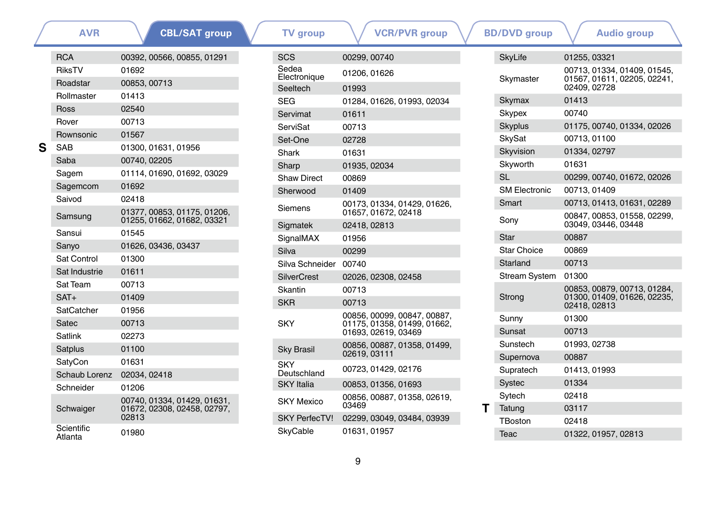|   | <b>AVR</b>            | <b>CBL/SAT group</b>                                                |
|---|-----------------------|---------------------------------------------------------------------|
|   | <b>RCA</b>            | 00392, 00566, 00855, 01291                                          |
|   | RiksTV                | 01692                                                               |
|   | Roadstar              | 00853, 00713                                                        |
|   | Rollmaster            | 01413                                                               |
|   | Ross                  | 02540                                                               |
|   | Rover                 | 00713                                                               |
|   | Rownsonic             | 01567                                                               |
| S | SAB                   | 01300, 01631, 01956                                                 |
|   | Saba                  | 00740, 02205                                                        |
|   | Sagem                 | 01114, 01690, 01692, 03029                                          |
|   | Sagemcom              | 01692                                                               |
|   | Saivod                | 02418                                                               |
|   | Samsung               | 01377, 00853, 01175, 01206,<br>01255, 01662, 01682, 03321           |
|   | Sansui                | 01545                                                               |
|   | Sanyo                 | 01626, 03436, 03437                                                 |
|   | Sat Control           | 01300                                                               |
|   | Sat Industrie         | 01611                                                               |
|   | Sat Team              | 00713                                                               |
|   | $SAT+$                | 01409                                                               |
|   | SatCatcher            | 01956                                                               |
|   | Satec                 | 00713                                                               |
|   | Satlink               | 02273                                                               |
|   | Satplus               | 01100                                                               |
|   | SatyCon               | 01631                                                               |
|   | Schaub Lorenz         | 02034, 02418                                                        |
|   | Schneider             | 01206                                                               |
|   | Schwaiger             | 00740, 01334, 01429, 01631,<br>01672, 02308, 02458, 02797,<br>02813 |
|   | Scientific<br>Atlanta | 01980                                                               |

| <b>TV</b> group                   | <b>VCR/PVR</b> group                                       |   | <b>BD/DVD</b> group  | <b>Audio group</b>                                                 |
|-----------------------------------|------------------------------------------------------------|---|----------------------|--------------------------------------------------------------------|
| SCS                               | 00299, 00740                                               |   | <b>SkyLife</b>       | 01255, 03321                                                       |
| Sedea<br>Electronique<br>Seeltech | 01206, 01626<br>01993                                      |   | Skymaster            | 00713, 01334, 01409, 01<br>01567, 01611, 02205, 02<br>02409, 02728 |
| <b>SEG</b>                        | 01284, 01626, 01993, 02034                                 |   | Skymax               | 01413                                                              |
| Servimat                          | 01611                                                      |   | <b>Skypex</b>        | 00740                                                              |
| <b>ServiSat</b>                   | 00713                                                      |   | <b>Skyplus</b>       | 01175, 00740, 01334, 02                                            |
| Set-One                           | 02728                                                      |   | <b>SkySat</b>        | 00713, 01100                                                       |
| Shark                             | 01631                                                      |   | Skyvision            | 01334, 02797                                                       |
| Sharp                             | 01935, 02034                                               |   | Skyworth             | 01631                                                              |
| <b>Shaw Direct</b>                | 00869                                                      |   | <b>SL</b>            | 00299, 00740, 01672, 02                                            |
| Sherwood                          | 01409                                                      |   | <b>SM Electronic</b> | 00713, 01409                                                       |
| Siemens                           | 00173, 01334, 01429, 01626,                                |   | Smart                | 00713, 01413, 01631, 02                                            |
| Sigmatek                          | 01657, 01672, 02418<br>02418, 02813                        |   | Sony                 | 00847, 00853, 01558, 02<br>03049, 03446, 03448                     |
| SignalMAX                         | 01956                                                      |   | Star                 | 00887                                                              |
| Silva                             | 00299                                                      |   | Star Choice          | 00869                                                              |
| Silva Schneider 00740             |                                                            |   | Starland             | 00713                                                              |
| <b>SilverCrest</b>                | 02026, 02308, 02458                                        |   | Stream System        | 01300                                                              |
| Skantin                           | 00713                                                      |   |                      | 00853, 00879, 00713, 01                                            |
| <b>SKR</b>                        | 00713                                                      |   | Strong               | 01300, 01409, 01626, 02<br>02418, 02813                            |
| <b>SKY</b>                        | 00856, 00099, 00847, 00887,<br>01175, 01358, 01499, 01662, |   | Sunny                | 01300                                                              |
|                                   | 01693, 02619, 03469                                        |   | Sunsat               | 00713                                                              |
| <b>Sky Brasil</b>                 | 00856, 00887, 01358, 01499,                                |   | Sunstech             | 01993, 02738                                                       |
|                                   | 02619, 03111                                               |   | Supernova            | 00887                                                              |
| <b>SKY</b><br>Deutschland         | 00723, 01429, 02176                                        |   | Supratech            | 01413, 01993                                                       |
| <b>SKY</b> Italia                 | 00853, 01356, 01693                                        |   | Systec               | 01334                                                              |
| <b>SKY Mexico</b>                 | 00856, 00887, 01358, 02619,                                |   | Sytech               | 02418                                                              |
|                                   | 03469                                                      | т | Tatung               | 03117                                                              |
| <b>SKY PerfecTV!</b>              | 02299, 03049, 03484, 03939                                 |   | TBoston              | 02418                                                              |
| SkyCable                          | 01631, 01957                                               |   | <b>Teac</b>          | 01322, 01957, 02813                                                |

|   | <b>DUTUVU YIVU</b>   | <b>Audio Michel</b>                                                        |
|---|----------------------|----------------------------------------------------------------------------|
|   | <b>SkyLife</b>       | 01255, 03321                                                               |
|   | Skymaster            | 00713, 01334, 01409, 01545,<br>01567, 01611, 02205, 02241,<br>02409, 02728 |
|   | Skymax               | 01413                                                                      |
|   | Skypex               | 00740                                                                      |
|   | Skyplus              | 01175, 00740, 01334, 02026                                                 |
|   | SkySat               | 00713, 01100                                                               |
|   | Skyvision            | 01334, 02797                                                               |
|   | Skyworth             | 01631                                                                      |
|   | <b>SL</b>            | 00299, 00740, 01672, 02026                                                 |
|   | <b>SM Electronic</b> | 00713, 01409                                                               |
|   | Smart                | 00713, 01413, 01631, 02289                                                 |
|   | Sony                 | 00847, 00853, 01558, 02299,<br>03049.03446.03448                           |
|   | Star                 | 00887                                                                      |
|   | Star Choice          | 00869                                                                      |
|   | Starland             | 00713                                                                      |
|   | <b>Stream System</b> | 01300                                                                      |
|   | Strong               | 00853, 00879, 00713, 01284,<br>01300, 01409, 01626, 02235.<br>02418, 02813 |
|   | Sunny                | 01300                                                                      |
|   | Sunsat               | 00713                                                                      |
|   | Sunstech             | 01993, 02738                                                               |
|   | Supernova            | 00887                                                                      |
|   | Supratech            | 01413, 01993                                                               |
|   | <b>Systec</b>        | 01334                                                                      |
|   | Sytech               | 02418                                                                      |
| т | Tatung               | 03117                                                                      |
|   | TBoston              | 02418                                                                      |
|   | Teac                 | 01322, 01957, 02813                                                        |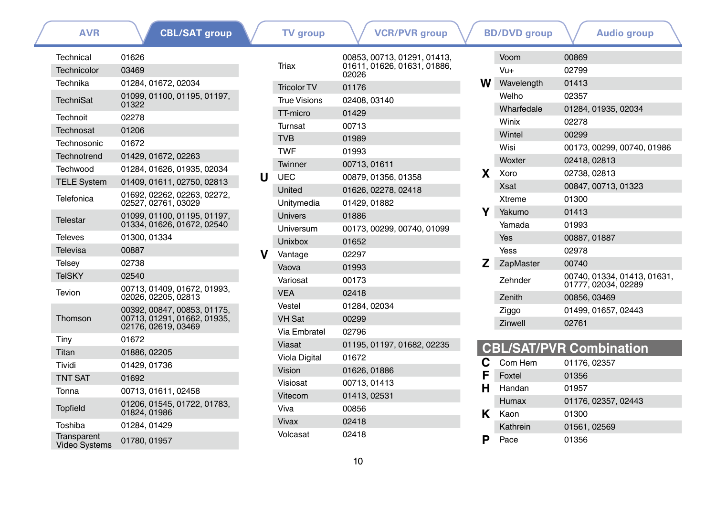**[CBL/SAT group](#page-0-1)**

**[AVR](#page-0-0) CBL/SAT group V TV** group **V VCR/PVR** group **V BD/DVD** group **V** [Audio group](#page-41-0)

| Technical                           | 01626                                                                             |
|-------------------------------------|-----------------------------------------------------------------------------------|
| Technicolor                         | 03469                                                                             |
| Technika                            | 01284.01672.02034                                                                 |
| <b>TechniSat</b>                    | 01099, 01100, 01195, 01197,<br>01322                                              |
| Technoit                            | 02278                                                                             |
| Technosat                           | 01206                                                                             |
| Technosonic                         | 01672                                                                             |
| Technotrend                         | 01429, 01672, 02263                                                               |
| Techwood                            | 01284, 01626, 01935, 02034                                                        |
| <b>TELE System</b>                  | 01409, 01611, 02750, 02813                                                        |
| Telefonica                          | 01692, 02262, 02263, 02272,<br>02527, 02761, 03029                                |
| Telestar                            | 01099, 01100, 01195, 01197,<br>01334, 01626, 01672, 02540                         |
| <b>Televes</b>                      | 01300.01334                                                                       |
| Televisa                            | 00887                                                                             |
| Telsey                              | 02738                                                                             |
| <b>TeISKY</b>                       | 02540                                                                             |
| Tevion                              | 00713, 01409, 01672, 01993,<br>02026.02205.02813                                  |
| Thomson                             | 00392, 00847, 00853, 01175,<br>00713, 01291, 01662, 01935,<br>02176, 02619, 03469 |
| Tiny                                | 01672                                                                             |
| Titan                               | 01886, 02205                                                                      |
| Tividi                              | 01429, 01736                                                                      |
| <b>TNT SAT</b>                      | 01692                                                                             |
| Tonna                               | 00713, 01611, 02458                                                               |
| <b>Topfield</b>                     | 01206, 01545, 01722, 01783,<br>01824, 01986                                       |
| Toshiba                             | 01284, 01429                                                                      |
| <b>Transparent</b><br>Video Systems | 01780, 01957                                                                      |

|   | Triax                | 00853, 00713, 01291, 01413,<br>01611, 01626, 01631, 01886,<br>02026 |
|---|----------------------|---------------------------------------------------------------------|
|   | <b>Tricolor TV</b>   | 01176                                                               |
|   | True Visions         | 02408, 03140                                                        |
|   | TT-micro             | 01429                                                               |
|   | Turnsat              | 00713                                                               |
|   | <b>TVB</b>           | 01989                                                               |
|   | TWF                  | 01993                                                               |
|   | Twinner              | 00713, 01611                                                        |
| U | UEC                  | 00879, 01356, 01358                                                 |
|   | United               | 01626, 02278, 02418                                                 |
|   | Unitymedia           | 01429.01882                                                         |
|   | <b>Univers</b>       | 01886                                                               |
|   | Universum            | 00173, 00299, 00740, 01099                                          |
|   | Unixbox              | 01652                                                               |
| v | Vantage              | 02297                                                               |
|   | Vaova                | 01993                                                               |
|   | Variosat             | 00173                                                               |
|   | <b>VEA</b>           | 02418                                                               |
|   | Vestel               | 01284.02034                                                         |
|   | <b>VH Sat</b>        | 00299                                                               |
|   | Via Fmhratel         | 02796                                                               |
|   | Viasat               | 01195, 01197, 01682, 02235                                          |
|   | <b>Viola Digital</b> | 01672                                                               |
|   | Vision               | 01626, 01886                                                        |
|   | Visiosat             | 00713, 01413                                                        |
|   | Vitecom              | 01413, 02531                                                        |
|   | Viva                 | 00856                                                               |
|   | Vivax                | 02418                                                               |
|   |                      |                                                                     |

|    | Voom          | 00869                                              |
|----|---------------|----------------------------------------------------|
|    | $V_{11+}$     | 02799                                              |
| w  | Wavelength    | 01413                                              |
|    | Welho         | 02357                                              |
|    | Wharfedale    | 01284, 01935, 02034                                |
|    | Winix         | 02278                                              |
|    | Wintel        | 00299                                              |
|    | Wisi          | 00173, 00299, 00740, 01986                         |
|    | Woxter        | 02418, 02813                                       |
| x. | Xoro          | 02738, 02813                                       |
|    | <b>Xsat</b>   | 00847, 00713, 01323                                |
|    | <b>Xtreme</b> | 01300                                              |
| Y  | Yakumo        | 01413                                              |
|    | Yamada        | 01993                                              |
|    | Yes           | 00887, 01887                                       |
|    | Yess          | 02978                                              |
| z  | ZapMaster     | 00740                                              |
|    | Zehnder       | 00740, 01334, 01413, 01631,<br>01777, 02034, 02289 |
|    | Zenith        | 00856, 03469                                       |
|    | Ziggo         | 01499, 01657, 02443                                |
|    | Zinwell       | 02761                                              |
|    |               |                                                    |

|   |          | <b>CBL/SAT/PVR Combination</b> |
|---|----------|--------------------------------|
| C | Com Hem  | 01176, 02357                   |
| F | Foxtel   | 01356                          |
|   | H Handan | 01957                          |
|   | Humax    | 01176, 02357, 02443            |
| к | Kaon     | 01300                          |
|   | Kathrein | 01561, 02569                   |
|   | Pace     | 01356                          |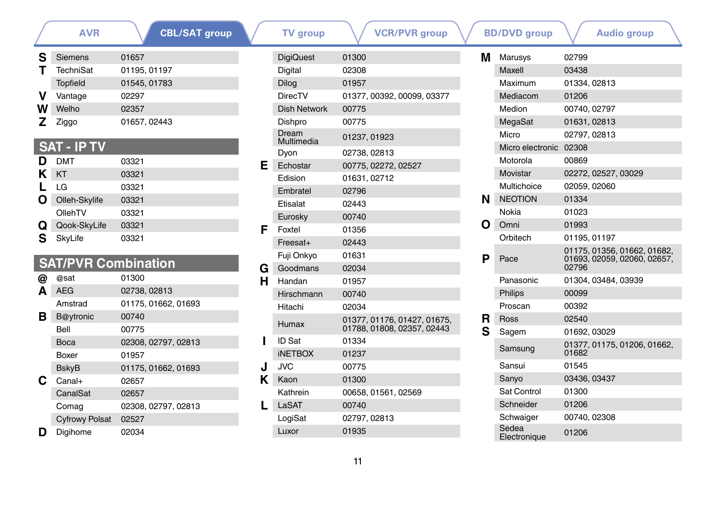|   | <b>AVR</b>         | <b>CBL/SAT group</b> |
|---|--------------------|----------------------|
| s | <b>Siemens</b>     | 01657                |
|   | TechniSat          | 01195, 01197         |
|   | <b>Topfield</b>    | 01545, 01783         |
|   | Vantage            | 02297                |
| w | Welho              | 02357                |
| Z | Ziggo              | 01657, 02443         |
|   |                    |                      |
|   | <b>SAT - IP TV</b> |                      |

| D | DMT           | 03321 |  |
|---|---------------|-------|--|
| κ | KT            | 03321 |  |
|   | LG            | 03321 |  |
| Ω | Olleh-Skylife | 03321 |  |
|   | OllehTV       | 03321 |  |
| Q | Qook-SkyLife  | 03321 |  |
| S | SkyLife       | 03321 |  |
|   |               |       |  |

### **SAT/PVR Combination**

|   | @sat                  | 01300               |
|---|-----------------------|---------------------|
| Α | <b>AEG</b>            | 02738, 02813        |
|   | Amstrad               | 01175, 01662, 01693 |
| в | B@ytronic             | 00740               |
|   | <b>Bell</b>           | 00775               |
|   | Boca                  | 02308, 02797, 02813 |
|   | Boxer                 | 01957               |
|   | <b>BskyB</b>          | 01175, 01662, 01693 |
| C | Canal+                | 02657               |
|   | CanalSat              | 02657               |
|   | Comag                 | 02308, 02797, 02813 |
|   | <b>Cyfrowy Polsat</b> | 02527               |
|   | Digihome              | 02034               |

| AVR            | <b>CBL/SAT group</b>         |   | <b>TV</b> group          | <b>VCR/PVR group</b>        |   | <b>BD/DVD</b> group    | <b>Audio group</b>                               |
|----------------|------------------------------|---|--------------------------|-----------------------------|---|------------------------|--------------------------------------------------|
| ns             | 01657                        |   | <b>DigiQuest</b>         | 01300                       | м | Marusys                | 02799                                            |
| iSat           | 01195, 01197                 |   | Digital                  | 02308                       |   | Maxell                 | 03438                                            |
| ld             | 01545, 01783                 |   | <b>Dilog</b>             | 01957                       |   | Maximum                | 01334, 02813                                     |
| ąе             | 02297                        |   | <b>DirecTV</b>           | 01377, 00392, 00099, 03377  |   | Mediacom               | 01206                                            |
|                | 02357                        |   | <b>Dish Network</b>      | 00775                       |   | Medion                 | 00740, 02797                                     |
|                | 01657, 02443                 |   | Dishpro                  | 00775                       |   | MegaSat                | 01631, 02813                                     |
|                |                              |   | Dream<br>Multimedia      | 01237, 01923                |   | Micro                  | 02797, 02813                                     |
| P TV           |                              |   | Dyon                     | 02738, 02813                |   | Micro electronic 02308 |                                                  |
|                | 03321                        | Е | Echostar                 | 00775, 02272, 02527         |   | Motorola               | 00869                                            |
|                | 03321                        |   | Edision                  | 01631, 02712                |   | Movistar               | 02272, 02527, 03029                              |
|                | 03321                        |   | Embratel                 | 02796                       |   | Multichoice            | 02059, 02060                                     |
| <b>Skylife</b> | 03321                        |   | Etisalat                 | 02443                       | N | <b>NEOTION</b>         | 01334                                            |
| V              | 03321                        |   | Eurosky                  | 00740                       |   | Nokia                  | 01023                                            |
| <b>SkyLife</b> | 03321                        | F | Foxtel                   | 01356                       | Ω | Omni                   | 01993                                            |
| e              | 03321                        |   | Freesat+                 | 02443                       |   | Orbitech               | 01195, 01197                                     |
|                | <b>/R Combination</b>        |   | Fuji Onkyo               | 01631                       | P | Pace                   | 01175, 01356, 01662, 0<br>01693, 02059, 02060, 0 |
|                | 01300                        | G | Goodmans                 | 02034                       |   |                        | 02796                                            |
|                | 02738, 02813                 | н | Handan                   | 01957                       |   | Panasonic              | 01304.03484.03939                                |
|                |                              |   | Hirschmann               | 00740                       |   | Philips                | 00099                                            |
| ad             | 01175, 01662, 01693          |   | Hitachi                  | 02034                       |   | Proscan                | 00392                                            |
| onic           | 00740                        |   | Humax                    | 01377, 01176, 01427, 01675, | R | Ross                   | 02540                                            |
|                | 00775                        |   |                          | 01788, 01808, 02357, 02443  | S | Sagem                  | 01692, 03029                                     |
|                | 02308, 02797, 02813<br>01957 |   | ID Sat<br><b>INETBOX</b> | 01334<br>01237              |   | Samsung                | 01377, 01175, 01206, 0<br>01682                  |
|                | 01175, 01662, 01693          | J | <b>JVC</b>               | 00775                       |   | Sansui                 | 01545                                            |
|                | 02657                        | Κ | Kaon                     | 01300                       |   | Sanyo                  | 03436, 03437                                     |
| Sat            | 02657                        |   | Kathrein                 | 00658, 01561, 02569         |   | Sat Control            | 01300                                            |
| g              | 02308, 02797, 02813          |   | LaSAT                    | 00740                       |   | Schneider              | 01206                                            |
| vy Polsat      | 02527                        |   | LogiSat                  | 02797, 02813                |   | Schwaiger              | 00740, 02308                                     |
| me             | 02034                        |   | Luxor                    | 01935                       |   | Sedea<br>Flectronique  | 01206                                            |

|   | . <b>.</b>            | 21 - 22 P                                                           |  |
|---|-----------------------|---------------------------------------------------------------------|--|
| м | Marusys               | 02799                                                               |  |
|   | Maxell                | 03438                                                               |  |
|   | Maximum               | 01334, 02813                                                        |  |
|   | Mediacom              | 01206                                                               |  |
|   | Medion                | 00740, 02797                                                        |  |
|   | MegaSat               | 01631, 02813                                                        |  |
|   | Micro                 | 02797, 02813                                                        |  |
|   | Micro electronic      | 02308                                                               |  |
|   | Motorola              | 00869                                                               |  |
|   | Movistar              | 02272, 02527, 03029                                                 |  |
|   | Multichoice           | 02059, 02060                                                        |  |
| N | <b>NEOTION</b>        | 01334                                                               |  |
|   | Nokia                 | 01023                                                               |  |
| Ω | Omni                  | 01993                                                               |  |
|   | Orbitech              | 01195, 01197                                                        |  |
| P | Pace                  | 01175, 01356, 01662, 01682,<br>01693, 02059, 02060, 02657,<br>02796 |  |
|   | Panasonic             | 01304, 03484, 03939                                                 |  |
|   | Philips               | 00099                                                               |  |
|   | Proscan               | 00392                                                               |  |
| R | Ross                  | 02540                                                               |  |
| S | Sagem                 | 01692, 03029                                                        |  |
|   | Samsung               | 01377, 01175, 01206, 01662,<br>01682                                |  |
|   | Sansui                | 01545                                                               |  |
|   | Sanyo                 | 03436, 03437                                                        |  |
|   | Sat Control           | 01300                                                               |  |
|   | Schneider             | 01206                                                               |  |
|   | Schwaiger             | 00740, 02308                                                        |  |
|   | Sedea<br>Electronique | 01206                                                               |  |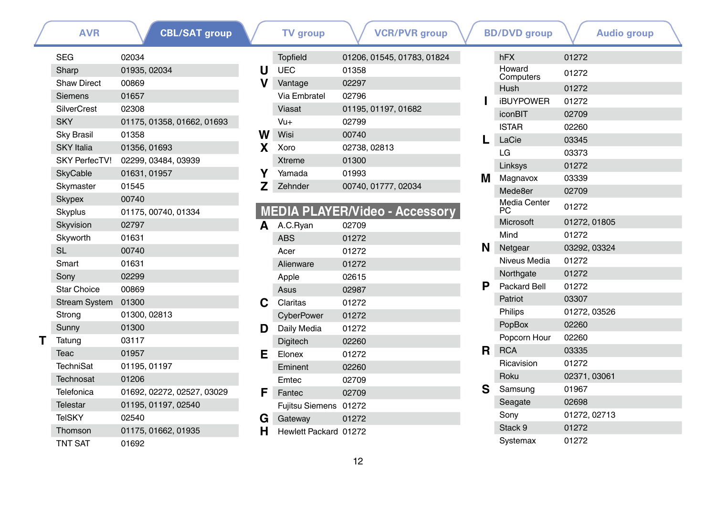|   | <b>SEG</b>           | 02034                      |
|---|----------------------|----------------------------|
|   | Sharp                | 01935, 02034               |
|   | <b>Shaw Direct</b>   | 00869                      |
|   | Siemens              | 01657                      |
|   | <b>SilverCrest</b>   | 02308                      |
|   | <b>SKY</b>           | 01175, 01358, 01662, 01693 |
|   | <b>Sky Brasil</b>    | 01358                      |
|   | <b>SKY</b> Italia    | 01356, 01693               |
|   | <b>SKY PerfecTV!</b> | 02299.03484.03939          |
|   | <b>SkyCable</b>      | 01631, 01957               |
|   | Skymaster            | 01545                      |
|   | <b>Skypex</b>        | 00740                      |
|   | Skyplus              | 01175, 00740, 01334        |
|   | Skyvision            | 02797                      |
|   | Skyworth             | 01631                      |
|   | <b>SL</b>            | 00740                      |
|   | Smart                | 01631                      |
|   | Sony                 | 02299                      |
|   | <b>Star Choice</b>   | 00869                      |
|   | <b>Stream System</b> | 01300                      |
|   | Strong               | 01300, 02813               |
|   | Sunny                | 01300                      |
| т | Tatung               | 03117                      |
|   | Teac                 | 01957                      |
|   | TechniSat            | 01195, 01197               |
|   | Technosat            | 01206                      |
|   | Telefonica           | 01692, 02272, 02527, 03029 |
|   | Telestar             | 01195, 01197, 02540        |
|   | <b>TeISKY</b>        | 02540                      |
|   | Thomson              | 01175, 01662, 01935        |
|   | <b>TNT SAT</b>       | 01692                      |

|   | <b>Topfield</b> | 01206, 01545, 01783, 01824 |
|---|-----------------|----------------------------|
| U | <b>UEC</b>      | 01358                      |
| v | Vantage         | 02297                      |
|   | Via Embratel    | 02796                      |
|   | Viasat          | 01195, 01197, 01682        |
|   | Vu+             | 02799                      |
| w | Wisi            | 00740                      |
| X | Xoro            | 02738, 02813               |
|   | <b>Xtreme</b>   | 01300                      |
|   | Yamada          | 01993                      |
| z | Zehnder         | 00740, 01777, 02034        |

### **MEDIA PLAYER/Video - Accessory**

| A  | A.C.Ryan              | 02709 |
|----|-----------------------|-------|
|    | <b>ABS</b>            | 01272 |
|    | Acer                  | 01272 |
|    | Alienware             | 01272 |
|    | Apple                 | 02615 |
|    | Asus                  | 02987 |
| С  | Claritas              | 01272 |
|    | CyberPower            | 01272 |
| D  | Daily Media           | 01272 |
|    | Digitech              | 02260 |
| E. | Elonex                | 01272 |
|    | Eminent               | 02260 |
|    | Emtec                 | 02709 |
| F  | Fantec                | 02709 |
|    | Fujitsu Siemens       | 01272 |
| G  | Gateway               | 01272 |
| н  | Hewlett Packard 01272 |       |
|    |                       |       |

| <b>AVR</b> | <b>CBL/SAT group</b>       |   | <b>TV</b> group       | <b>VCR/PVR group</b>                  |    | <b>BD/DVD</b> group | <b>Audio group</b> |  |
|------------|----------------------------|---|-----------------------|---------------------------------------|----|---------------------|--------------------|--|
|            | 02034                      |   | <b>Topfield</b>       | 01206, 01545, 01783, 01824            |    | hFX                 | 01272              |  |
|            | 01935, 02034               | U | <b>UEC</b>            | 01358                                 |    | Howard              | 01272              |  |
| Direct     | 00869                      | v | Vantage               | 02297                                 |    | Computers<br>Hush   | 01272              |  |
| ns         | 01657                      |   | Via Embratel          | 02796                                 |    | <b>iBUYPOWER</b>    | 01272              |  |
| Crest      | 02308                      |   | Viasat                | 01195, 01197, 01682                   |    | <i>iconBIT</i>      | 02709              |  |
|            | 01175, 01358, 01662, 01693 |   | $Vu+$                 | 02799                                 |    | <b>ISTAR</b>        | 02260              |  |
| rasil      | 01358                      | w | Wisi                  | 00740                                 |    | LaCie               | 03345              |  |
| alia       | 01356, 01693               | X | Xoro                  | 02738, 02813                          |    | LG                  | 03373              |  |
| erfecTV!   | 02299, 03484, 03939        |   | <b>Xtreme</b>         | 01300                                 |    | Linksys             | 01272              |  |
| ible       | 01631, 01957               | Υ | Yamada                | 01993                                 | м  | Magnavox            | 03339              |  |
| aster      | 01545                      | z | Zehnder               | 00740, 01777, 02034                   |    | Mede8er             | 02709              |  |
| x          | 00740                      |   |                       |                                       |    | <b>Media Center</b> |                    |  |
| JS         | 01175, 00740, 01334        |   |                       | <b>MEDIA PLAYER/Video - Accessory</b> |    | PC                  | 01272              |  |
| ion        | 02797                      | A | A.C.Ryan              | 02709                                 |    | Microsoft           | 01272, 01805       |  |
| rth        | 01631                      |   | <b>ABS</b>            | 01272                                 |    | Mind                | 01272              |  |
|            | 00740                      |   | Acer                  | 01272                                 | N  | Netgear             | 03292, 03324       |  |
|            | 01631                      |   | Alienware             | 01272                                 |    | Niveus Media        | 01272              |  |
|            | 02299                      |   | Apple                 | 02615                                 |    | Northgate           | 01272              |  |
| hoice      | 00869                      |   | Asus                  | 02987                                 | Р  | Packard Bell        | 01272              |  |
| n System   | 01300                      | С | Claritas              | 01272                                 |    | Patriot             | 03307              |  |
|            | 01300, 02813               |   | CyberPower            | 01272                                 |    | Philips             | 01272, 03526       |  |
|            | 01300                      | D | Daily Media           | 01272                                 |    | PopBox              | 02260              |  |
|            | 03117                      |   | <b>Digitech</b>       | 02260                                 |    | Popcorn Hour        | 02260              |  |
|            | 01957                      | Е | Elonex                | 01272                                 | R. | <b>RCA</b>          | 03335              |  |
| iSat       | 01195, 01197               |   | Eminent               | 02260                                 |    | Ricavision          | 01272              |  |
| osat       | 01206                      |   | Emtec                 | 02709                                 |    | Roku                | 02371, 03061       |  |
| nica       | 01692, 02272, 02527, 03029 | F | Fantec                | 02709                                 | S  | Samsung             | 01967              |  |
| ar         | 01195, 01197, 02540        |   | Fujitsu Siemens 01272 |                                       |    | Seagate             | 02698              |  |
| Y          | 02540                      | G | Gateway               | 01272                                 |    | Sony                | 01272, 02713       |  |
| son        | 01175, 01662, 01935        | н | Hewlett Packard 01272 |                                       |    | Stack 9             | 01272              |  |
| :AT        | 01692                      |   |                       |                                       |    | Systemax            | 01272              |  |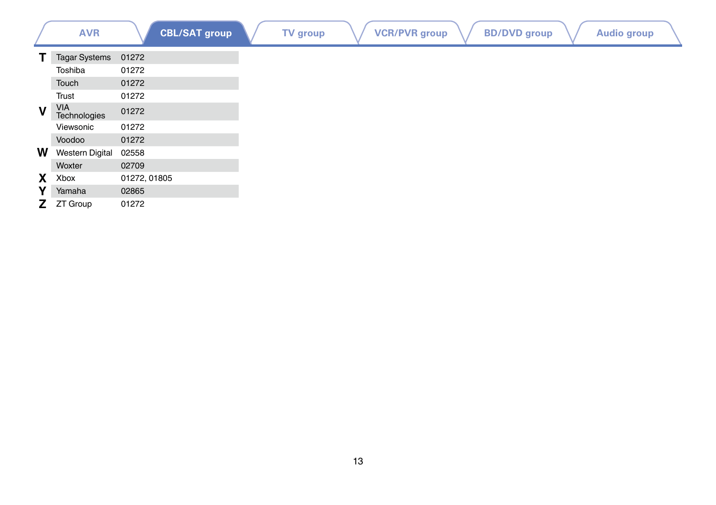|             | <b>AVR</b>             | <b>CBL/SAT group</b> | <b>TV</b> group | <b>VCR/PVR</b> group | <b>BD/DVD</b> group | <b>Audio group</b> |  |
|-------------|------------------------|----------------------|-----------------|----------------------|---------------------|--------------------|--|
| т           | <b>Tagar Systems</b>   | 01272                |                 |                      |                     |                    |  |
|             | Toshiba                | 01272                |                 |                      |                     |                    |  |
|             | Touch                  | 01272                |                 |                      |                     |                    |  |
|             | Trust                  | 01272                |                 |                      |                     |                    |  |
| $\mathbf v$ | VIA<br>Technologies    | 01272                |                 |                      |                     |                    |  |
|             | Viewsonic              | 01272                |                 |                      |                     |                    |  |
|             | Voodoo                 | 01272                |                 |                      |                     |                    |  |
| W           | <b>Western Digital</b> | 02558                |                 |                      |                     |                    |  |
|             | Woxter                 | 02709                |                 |                      |                     |                    |  |
| X           | Xbox                   | 01272, 01805         |                 |                      |                     |                    |  |
| Y           | Yamaha                 | 02865                |                 |                      |                     |                    |  |
| Z.          | ZT Group               | 01272                |                 |                      |                     |                    |  |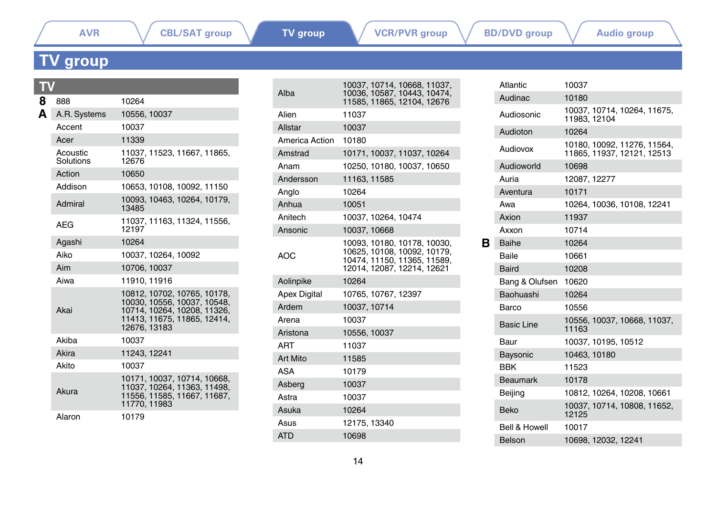## <span id="page-13-0"></span>**TV group**

| 8 | 888                   | 10264                                                                                                                                    |  |  |  |  |  |
|---|-----------------------|------------------------------------------------------------------------------------------------------------------------------------------|--|--|--|--|--|
| A | A.R. Systems          | 10556, 10037                                                                                                                             |  |  |  |  |  |
|   | Accent                | 10037                                                                                                                                    |  |  |  |  |  |
|   | Acer                  | 11339                                                                                                                                    |  |  |  |  |  |
|   | Acoustic<br>Solutions | 11037, 11523, 11667, 11865,<br>12676                                                                                                     |  |  |  |  |  |
|   | Action                | 10650                                                                                                                                    |  |  |  |  |  |
|   | Addison               | 10653, 10108, 10092, 11150                                                                                                               |  |  |  |  |  |
|   | Admiral               | 10093, 10463, 10264, 10179,<br>13485                                                                                                     |  |  |  |  |  |
|   | <b>AEG</b>            | 11037, 11163, 11324, 11556,<br>12197                                                                                                     |  |  |  |  |  |
|   | Agashi                | 10264                                                                                                                                    |  |  |  |  |  |
|   | Aiko                  | 10037, 10264, 10092                                                                                                                      |  |  |  |  |  |
|   | Aim                   | 10706, 10037                                                                                                                             |  |  |  |  |  |
|   | Aiwa                  | 11910.11916                                                                                                                              |  |  |  |  |  |
|   | Akai                  | 10812, 10702, 10765, 10178,<br>10030, 10556, 10037, 10548,<br>10714, 10264, 10208, 11326,<br>11413, 11675, 11865, 12414,<br>12676, 13183 |  |  |  |  |  |
|   | Akiha                 | 10037                                                                                                                                    |  |  |  |  |  |
|   | Akira                 | 11243, 12241                                                                                                                             |  |  |  |  |  |
|   | Akito                 | 10037                                                                                                                                    |  |  |  |  |  |
|   | Akura                 | 10171, 10037, 10714, 10668,<br>11037, 10264, 11363, 11498,<br>11556, 11585, 11667, 11687,<br>11770.11983                                 |  |  |  |  |  |
|   | Alaron                | 10179                                                                                                                                    |  |  |  |  |  |

| Alba                | 10037, 10714, 10668, 11037,<br>10036, 10587, 10443, 10474,<br>11585, 11865, 12104, 12676                                |
|---------------------|-------------------------------------------------------------------------------------------------------------------------|
| Alien               | 11037                                                                                                                   |
| Allstar             | 10037                                                                                                                   |
| America Action      | 10180                                                                                                                   |
| Amstrad             | 10171, 10037, 11037, 10264                                                                                              |
| Anam                | 10250, 10180, 10037, 10650                                                                                              |
| Andersson           | 11163, 11585                                                                                                            |
| Analo               | 10264                                                                                                                   |
| Anhua               | 10051                                                                                                                   |
| Anitech             | 10037, 10264, 10474                                                                                                     |
| Ansonic             | 10037, 10668                                                                                                            |
| AOC                 | 10093, 10180, 10178, 10030,<br>10625, 10108, 10092, 10179,<br>10474, 11150, 11365, 11589,<br>12014, 12087, 12214, 12621 |
| Aolinpike           | 10264                                                                                                                   |
| <b>Apex Digital</b> | 10765, 10767, 12397                                                                                                     |
| Ardem               | 10037.10714                                                                                                             |
| Arena               | 10037                                                                                                                   |
| Aristona            | 10556, 10037                                                                                                            |
| ART                 | 11037                                                                                                                   |
| Art Mito            | 11585                                                                                                                   |
| ASA                 | 10179                                                                                                                   |
| Asberg              | 10037                                                                                                                   |
| Astra               | 10037                                                                                                                   |
| Asuka               | 10264                                                                                                                   |
| Asus                | 12175.13340                                                                                                             |
| <b>ATD</b>          | 10698                                                                                                                   |
|                     |                                                                                                                         |

|   | Atlantic          | 10037                                                     |
|---|-------------------|-----------------------------------------------------------|
|   | Audinac           | 10180                                                     |
|   | Audiosonic        | 10037, 10714, 10264, 11675,<br>11983.12104                |
|   | Audioton          | 10264                                                     |
|   | Audiovox          | 10180, 10092, 11276, 11564,<br>11865, 11937, 12121, 12513 |
|   | Audioworld        | 10698                                                     |
|   | Auria             | 12087, 12277                                              |
|   | Aventura          | 10171                                                     |
|   | Awa               | 10264, 10036, 10108, 12241                                |
|   | Axion             | 11937                                                     |
|   | Axxon             | 10714                                                     |
| в | Baihe             | 10264                                                     |
|   | <b>Baile</b>      | 10661                                                     |
|   | Baird             | 10208                                                     |
|   | Bang & Olufsen    | 10620                                                     |
|   | Baohuashi         | 10264                                                     |
|   | Barco             | 10556                                                     |
|   | <b>Basic Line</b> | 10556, 10037, 10668, 11037,<br>11163                      |
|   | Baur              | 10037, 10195, 10512                                       |
|   | Baysonic          | 10463, 10180                                              |
|   | <b>BBK</b>        | 11523                                                     |
|   | <b>Beaumark</b>   | 10178                                                     |
|   | Beijing           | 10812, 10264, 10208, 10661                                |
|   | Beko              | 10037, 10714, 10808, 11652,<br>12125                      |
|   |                   |                                                           |
|   | Bell & Howell     | 10017                                                     |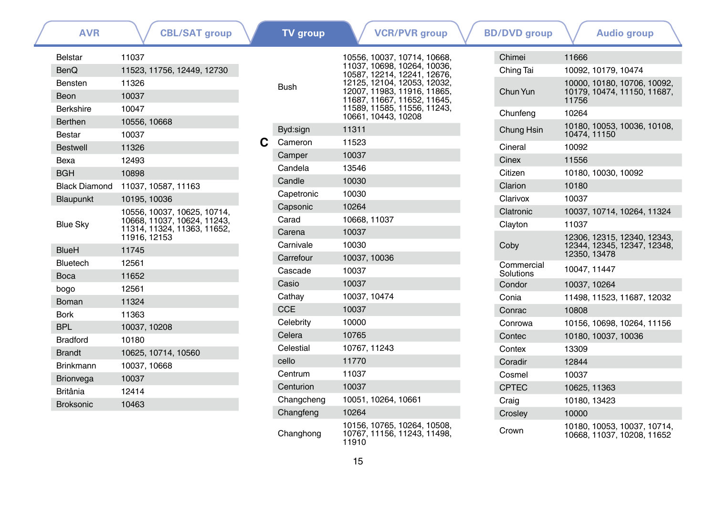| <b>AVR</b>           | <b>CBL/SAT group</b>                                       |   | <b>TV</b> group | <b>VCR/PVR</b> group                                                |  | <b>BD/DVD</b> group | <b>Audio group</b>                                        |
|----------------------|------------------------------------------------------------|---|-----------------|---------------------------------------------------------------------|--|---------------------|-----------------------------------------------------------|
| <b>Belstar</b>       | 11037                                                      |   |                 | 10556, 10037, 10714, 10668,                                         |  | Chimei              | 11666                                                     |
| <b>BenQ</b>          | 11523, 11756, 12449, 12730                                 |   |                 | 11037, 10698, 10264, 10036,<br>10587, 12214, 12241, 12676,          |  | Ching Tai           | 10092, 10179, 10474                                       |
| Bensten              | 11326                                                      |   | <b>Bush</b>     | 12125, 12104, 12053, 12032,                                         |  |                     | 10000, 10180, 10706, 10092,                               |
| Beon                 | 10037                                                      |   |                 | 12007, 11983, 11916, 11865,<br>11687. 11667. 11652. 11645.          |  | Chun Yun            | 10179, 10474, 11150, 11687,<br>11756                      |
| Berkshire            | 10047                                                      |   |                 | 11589, 11585, 11556, 11243,                                         |  | Chunfeng            | 10264                                                     |
| <b>Berthen</b>       | 10556, 10668                                               |   |                 | 10661, 10443, 10208                                                 |  |                     | 10180, 10053, 10036, 10108,                               |
| <b>Bestar</b>        | 10037                                                      |   | Byd:sign        | 11311                                                               |  | Chung Hsin          | 10474.11150                                               |
| <b>Bestwell</b>      | 11326                                                      | C | Cameron         | 11523                                                               |  | Cineral             | 10092                                                     |
| Bexa                 | 12493                                                      |   | Camper          | 10037                                                               |  | Cinex               | 11556                                                     |
| <b>BGH</b>           | 10898                                                      |   | Candela         | 13546                                                               |  | Citizen             | 10180, 10030, 10092                                       |
| <b>Black Diamond</b> | 11037, 10587, 11163                                        |   | Candle          | 10030                                                               |  | Clarion             | 10180                                                     |
| Blaupunkt            | 10195, 10036                                               |   | Capetronic      | 10030                                                               |  | Clarivox            | 10037                                                     |
|                      | 10556, 10037, 10625, 10714,                                |   | Capsonic        | 10264                                                               |  | Clatronic           | 10037, 10714, 10264, 11324                                |
| <b>Blue Sky</b>      | 10668, 11037, 10624, 11243,<br>11314, 11324, 11363, 11652, |   | Carad           | 10668, 11037                                                        |  | Clayton             | 11037                                                     |
|                      | 11916. 12153                                               |   | Carena          | 10037                                                               |  |                     | 12306, 12315, 12340, 12343,                               |
| <b>BlueH</b>         | 11745                                                      |   | Carnivale       | 10030                                                               |  | Coby<br>Commercial  | 12344, 12345, 12347, 12348,<br>12350, 13478               |
| Bluetech             | 12561                                                      |   | Carrefour       | 10037, 10036                                                        |  |                     |                                                           |
| <b>Boca</b>          | 11652                                                      |   | Cascade         | 10037                                                               |  | Solutions           | 10047, 11447                                              |
| bogo                 | 12561                                                      |   | Casio           | 10037                                                               |  | Condor              | 10037, 10264                                              |
| Boman                | 11324                                                      |   | Cathay          | 10037, 10474                                                        |  | Conia               | 11498, 11523, 11687, 12032                                |
| <b>Bork</b>          | 11363                                                      |   | <b>CCE</b>      | 10037                                                               |  | Conrac              | 10808                                                     |
| <b>BPL</b>           | 10037, 10208                                               |   | Celebrity       | 10000                                                               |  | Conrowa             | 10156, 10698, 10264, 11156                                |
| <b>Bradford</b>      | 10180                                                      |   | Celera          | 10765                                                               |  | Contec              | 10180, 10037, 10036                                       |
| <b>Brandt</b>        | 10625, 10714, 10560                                        |   | Celestial       | 10767, 11243                                                        |  | Contex              | 13309                                                     |
| Brinkmann            | 10037, 10668                                               |   | cello           | 11770                                                               |  | Coradir             | 12844                                                     |
| <b>Brionvega</b>     | 10037                                                      |   | Centrum         | 11037                                                               |  | Cosmel              | 10037                                                     |
| <b>Britânia</b>      | 12414                                                      |   | Centurion       | 10037                                                               |  | <b>CPTEC</b>        | 10625, 11363                                              |
| <b>Broksonic</b>     | 10463                                                      |   | Changcheng      | 10051, 10264, 10661                                                 |  | Craig               | 10180, 13423                                              |
|                      |                                                            |   | Changfeng       | 10264                                                               |  | Crosley             | 10000                                                     |
|                      |                                                            |   | Changhong       | 10156, 10765, 10264, 10508,<br>10767, 11156, 11243, 11498,<br>11910 |  | Crown               | 10180, 10053, 10037, 10714,<br>10668, 11037, 10208, 11652 |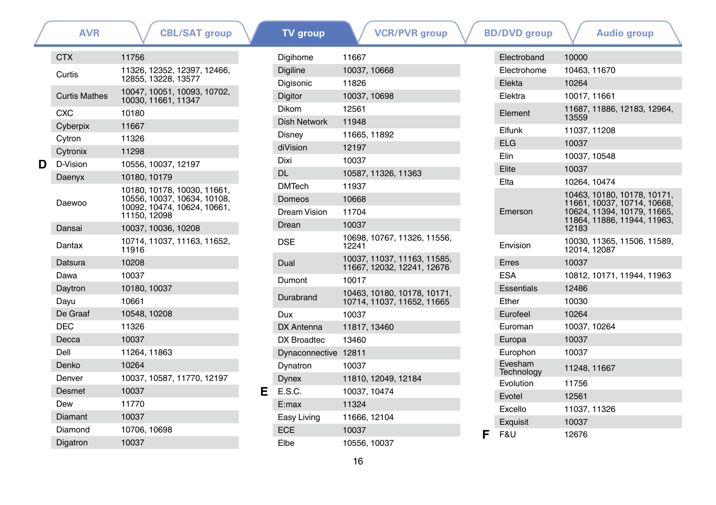|   | <b>AVR</b>                                            | <b>CBL/SAT group</b>                                       |              | <b>TV</b> group      | <b>VCR/PVR</b> group                                      |         | <b>BD/DVD</b> group                                        | <b>Audio group</b>                          |
|---|-------------------------------------------------------|------------------------------------------------------------|--------------|----------------------|-----------------------------------------------------------|---------|------------------------------------------------------------|---------------------------------------------|
|   | <b>CTX</b>                                            | 11756                                                      |              | Digihome             | 11667                                                     |         | Electroband                                                | 10000                                       |
|   | Curtis                                                | 11326, 12352, 12397, 12466,                                |              | <b>Digiline</b>      | 10037, 10668                                              |         | Electrohome                                                | 10463, 11670                                |
|   |                                                       | 12855. 13228. 13577                                        |              | Digisonic            | 11826                                                     |         | Elekta                                                     | 10264                                       |
|   | <b>Curtis Mathes</b>                                  | 10047, 10051, 10093, 10702,<br>10030, 11661, 11347         |              | Digitor              | 10037, 10698                                              |         | Elektra                                                    | 10017, 11661                                |
|   | <b>CXC</b>                                            | 10180                                                      |              | <b>Dikom</b>         | 12561                                                     |         | Element                                                    | 11687, 11886, 12183, 12964,<br>13559        |
|   | Cyberpix                                              | 11667                                                      |              | <b>Dish Network</b>  | 11948                                                     |         | Elfunk                                                     | 11037, 11208                                |
|   | Cytron                                                | 11326                                                      |              | Disney               | 11665, 11892                                              |         | <b>ELG</b>                                                 | 10037                                       |
|   | Cytronix                                              | 11298                                                      |              | diVision             | 12197                                                     |         | Elin                                                       | 10037, 10548                                |
| D | D-Vision                                              | 10556, 10037, 12197                                        |              | Dixi                 | 10037                                                     |         | Elite                                                      | 10037                                       |
|   | Daenyx                                                | 10180, 10179                                               |              | <b>DL</b>            | 10587, 11326, 11363                                       |         | Elta                                                       | 10264.10474                                 |
|   |                                                       | 10180, 10178, 10030, 11661,<br>10556, 10037, 10634, 10108, |              | <b>DMTech</b>        | 11937                                                     |         |                                                            | 10463, 10180, 10178, 10171,                 |
|   | Daewoo<br>10092, 10474, 10624, 10661,<br>11150, 12098 |                                                            |              | Domeos               | 10668                                                     |         |                                                            | 11661, 10037, 10714, 10668,                 |
|   |                                                       |                                                            | Dream Vision | 11704                |                                                           | Emerson | 10624, 11394, 10179, 11665,<br>11864, 11886, 11944, 11963, |                                             |
|   | Dansai                                                | 10037, 10036, 10208                                        |              | Drean                | 10037                                                     |         |                                                            | 12183                                       |
|   | Dantax                                                | 10714.11037.11163.11652.<br>11916                          |              | <b>DSE</b>           | 10698, 10767, 11326, 11556,<br>12241                      |         | Envision                                                   | 10030. 11365. 11506. 11589.<br>12014, 12087 |
|   | Datsura                                               | 10208                                                      |              | Dual                 | 10037, 11037, 11163, 11585,<br>11667, 12032, 12241, 12676 |         | Erres                                                      | 10037                                       |
|   | Dawa                                                  | 10037                                                      |              | Dumont               | 10017                                                     |         | <b>ESA</b>                                                 | 10812, 10171, 11944, 11963                  |
|   | Daytron                                               | 10180, 10037                                               |              |                      | 10463. 10180. 10178. 10171.                               |         | <b>Essentials</b>                                          | 12486                                       |
|   | Dayu                                                  | 10661                                                      |              | Durabrand            | 10714, 11037, 11652, 11665                                |         | Ether                                                      | 10030                                       |
|   | De Graaf                                              | 10548, 10208                                               |              | Dux                  | 10037                                                     |         | Eurofeel                                                   | 10264                                       |
|   | <b>DEC</b>                                            | 11326                                                      |              | DX Antenna           | 11817, 13460                                              |         | Euroman                                                    | 10037, 10264                                |
|   | Decca                                                 | 10037                                                      |              | DX Broadtec          | 13460                                                     |         | Europa                                                     | 10037                                       |
|   | Dell                                                  | 11264.11863                                                |              | Dynaconnective 12811 |                                                           |         | Europhon                                                   | 10037                                       |
|   | Denko                                                 | 10264                                                      |              | Dynatron             | 10037                                                     |         | Evesham<br>Technology                                      | 11248, 11667                                |
|   | Denver                                                | 10037, 10587, 11770, 12197                                 |              | <b>Dynex</b>         | 11810, 12049, 12184                                       |         | Evolution                                                  | 11756                                       |
|   | Desmet                                                | 10037                                                      | Е            | E.S.C.               | 10037, 10474                                              |         | Evotel                                                     | 12561                                       |
|   | Dew                                                   | 11770                                                      |              | E:max                | 11324                                                     |         | Excello                                                    | 11037, 11326                                |
|   | Diamant                                               | 10037                                                      |              | Easy Living          | 11666, 12104                                              |         | Exquisit                                                   | 10037                                       |
|   | Diamond                                               | 10706, 10698                                               |              | <b>ECE</b>           | 10037                                                     | F       | F&U                                                        | 12676                                       |
|   | Digatron                                              | 10037                                                      |              | Elbe                 | 10556, 10037                                              |         |                                                            |                                             |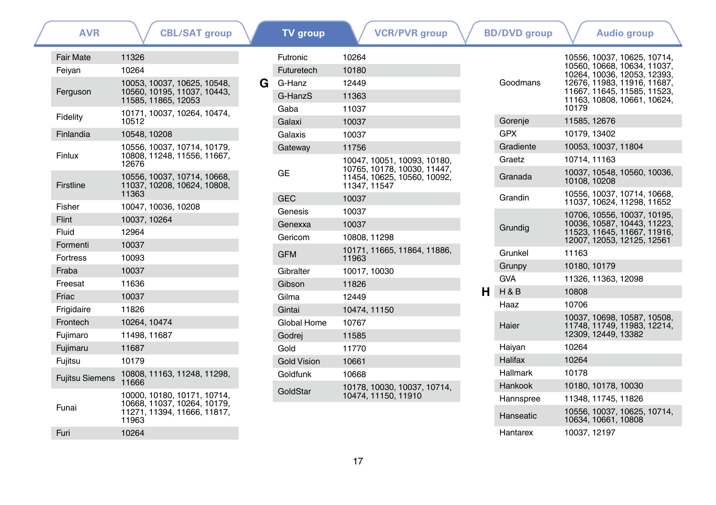**[TV group](#page-13-0)**

**[AVR](#page-0-0)**  $\bigvee$  **[CBL/SAT group](#page-0-1) TV group [VCR/PVR group](#page-27-0)**  $\bigvee$  **[BD/DVD group](#page-34-0)**  $\bigvee$  **[Audio group](#page-41-0)** 

| <b>Fair Mate</b>       | 11326                                                                                              |
|------------------------|----------------------------------------------------------------------------------------------------|
| Feiyan                 | 10264                                                                                              |
| Ferguson               | 10053, 10037, 10625, 10548,<br>10560, 10195, 11037, 10443,<br>11585, 11865, 12053                  |
| Fidelity               | 10171, 10037, 10264, 10474,<br>10512                                                               |
| Finlandia              | 10548, 10208                                                                                       |
| Finlux                 | 10556, 10037, 10714, 10179.<br>10808, 11248, 11556, 11667,<br>12676                                |
| Firstline              | 10556, 10037, 10714, 10668,<br>11037, 10208, 10624, 10808,<br>11363                                |
| Fisher                 | 10047, 10036, 10208                                                                                |
| Flint                  | 10037, 10264                                                                                       |
| Fluid                  | 12964                                                                                              |
| Formenti               | 10037                                                                                              |
| <b>Fortress</b>        | 10093                                                                                              |
| Fraba                  | 10037                                                                                              |
| Freesat                | 11636                                                                                              |
| Friac                  | 10037                                                                                              |
| Frigidaire             | 11826                                                                                              |
| Frontech               | 10264, 10474                                                                                       |
| Fujimaro               | 11498, 11687                                                                                       |
| Fujimaru               | 11687                                                                                              |
| Fujitsu                | 10179                                                                                              |
| <b>Fujitsu Siemens</b> | 10808, 11163, 11248, 11298,<br>11666                                                               |
| Funai                  | 10000, 10180, 10171, 10714,<br>10668, 11037, 10264, 10179,<br>11271, 11394, 11666, 11817,<br>11963 |
| Furi                   | 10264                                                                                              |

|   | Futronic           | 10264                                                                                                    |
|---|--------------------|----------------------------------------------------------------------------------------------------------|
|   | Futuretech         | 10180                                                                                                    |
| G | G-Hanz             | 12449                                                                                                    |
|   | G-HanzS            | 11363                                                                                                    |
|   | Gaba               | 11037                                                                                                    |
|   | Galaxi             | 10037                                                                                                    |
|   | Galaxis            | 10037                                                                                                    |
|   | Gateway            | 11756                                                                                                    |
|   | GE                 | 10047, 10051, 10093, 10180,<br>10765, 10178, 10030, 11447.<br>11454, 10625, 10560, 10092,<br>11347.11547 |
|   | <b>GEC</b>         | 10037                                                                                                    |
|   | Genesis            | 10037                                                                                                    |
|   | Genexxa            | 10037                                                                                                    |
|   | Gericom            | 10808.11298                                                                                              |
|   | <b>GFM</b>         | 10171, 11665, 11864, 11886,<br>11963                                                                     |
|   | Gibralter          | 10017, 10030                                                                                             |
|   | Gibson             | 11826                                                                                                    |
|   | Gilma              | 12449                                                                                                    |
|   | Gintai             | 10474, 11150                                                                                             |
|   | Global Home        | 10767                                                                                                    |
|   | Godrej             | 11585                                                                                                    |
|   | Gold               | 11770                                                                                                    |
|   | <b>Gold Vision</b> | 10661                                                                                                    |
|   | Goldfunk           | 10668                                                                                                    |
|   | GoldStar           | 10178. 10030. 10037. 10714.<br>10474, 11150, 11910                                                       |

|    | Goodmans   | 10556, 10037, 10625, 10714,<br>10560, 10668, 10634, 11037,<br>10264, 10036, 12053, 12393,<br>12676, 11983, 11916, 11687,<br>11667, 11645, 11585, 11523,<br>11163, 10808, 10661, 10624,<br>10179 |
|----|------------|-------------------------------------------------------------------------------------------------------------------------------------------------------------------------------------------------|
|    | Gorenje    | 11585, 12676                                                                                                                                                                                    |
|    | <b>GPX</b> | 10179.13402                                                                                                                                                                                     |
|    | Gradiente  | 10053, 10037, 11804                                                                                                                                                                             |
|    | Graetz     | 10714.11163                                                                                                                                                                                     |
|    | Granada    | 10037, 10548, 10560, 10036,<br>10108, 10208                                                                                                                                                     |
|    | Grandin    | 10556, 10037, 10714, 10668,<br>11037, 10624, 11298, 11652                                                                                                                                       |
|    | Grundia    | 10706, 10556, 10037, 10195,<br>10036, 10587, 10443, 11223,<br>11523, 11645, 11667, 11916,<br>12007, 12053, 12125, 12561                                                                         |
|    | Grunkel    | 11163                                                                                                                                                                                           |
|    | Grunpy     | 10180, 10179                                                                                                                                                                                    |
|    | <b>GVA</b> | 11326, 11363, 12098                                                                                                                                                                             |
| н. | H & B      | 10808                                                                                                                                                                                           |
|    | Haaz       | 10706                                                                                                                                                                                           |
|    | Haier      | 10037, 10698, 10587, 10508,<br>11748, 11749, 11983, 12214,<br>12309, 12449, 13382                                                                                                               |
|    | Haiyan     | 10264                                                                                                                                                                                           |
|    | Halifax    | 10264                                                                                                                                                                                           |
|    | Hallmark   | 10178                                                                                                                                                                                           |
|    | Hankook    | 10180, 10178, 10030                                                                                                                                                                             |
|    | Hannspree  | 11348. 11745. 11826                                                                                                                                                                             |
|    | Hanseatic  | 10556, 10037, 10625, 10714,<br>10634, 10661, 10808                                                                                                                                              |
|    | Hantarex   | 10037, 12197                                                                                                                                                                                    |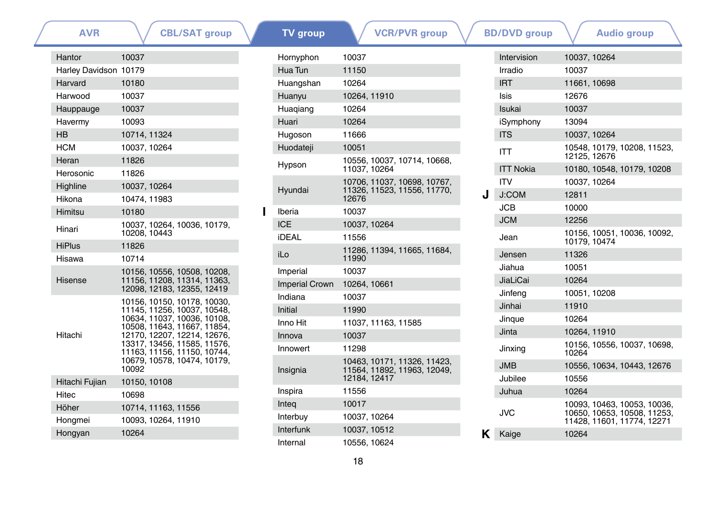| <b>AVR</b>              | <b>CBL/SAT group</b>                                                                      |  | <b>TV</b> group       | <b>VCR/PVR</b> group                                       |   | <b>BD/DVD</b> group | <b>Audio group</b>                                        |
|-------------------------|-------------------------------------------------------------------------------------------|--|-----------------------|------------------------------------------------------------|---|---------------------|-----------------------------------------------------------|
| Hantor                  | 10037                                                                                     |  | Hornyphon             | 10037                                                      |   | Intervision         | 10037, 10264                                              |
| Harley Davidson 10179   |                                                                                           |  | Hua Tun               | 11150                                                      |   | Irradio             | 10037                                                     |
| Harvard                 | 10180                                                                                     |  | Huangshan             | 10264                                                      |   | <b>IRT</b>          | 11661, 10698                                              |
| Harwood                 | 10037                                                                                     |  | Huanyu                | 10264, 11910                                               |   | Isis                | 12676                                                     |
| Hauppauge               | 10037                                                                                     |  | Huaqiang              | 10264                                                      |   | Isukai              | 10037                                                     |
| Havermy                 | 10093                                                                                     |  | Huari                 | 10264                                                      |   | iSymphony           | 13094                                                     |
| <b>HB</b>               | 10714, 11324                                                                              |  | Hugoson               | 11666                                                      |   | <b>ITS</b>          | 10037, 10264                                              |
| <b>HCM</b>              | 10037, 10264                                                                              |  | Huodateji             | 10051                                                      |   | <b>ITT</b>          | 10548, 10179, 10208, 11523,                               |
| Heran                   | 11826                                                                                     |  | Hypson                | 10556, 10037, 10714, 10668,                                |   |                     | 12125, 12676                                              |
| Herosonic               | 11826                                                                                     |  |                       | 11037, 10264                                               |   | <b>ITT Nokia</b>    | 10180, 10548, 10179, 10208                                |
| Highline                | 10037, 10264                                                                              |  | Hyundai               | 10706, 11037, 10698, 10767,<br>11326, 11523, 11556, 11770. |   | <b>ITV</b>          | 10037, 10264                                              |
| Hikona                  | 10474, 11983                                                                              |  |                       | 12676                                                      | J | J:COM               | 12811                                                     |
| Himitsu                 | 10180                                                                                     |  | Iberia                | 10037                                                      |   | <b>JCB</b>          | 10000                                                     |
| Hinari                  | 10037, 10264, 10036, 10179,                                                               |  | <b>ICE</b>            | 10037, 10264                                               |   | <b>JCM</b>          | 12256                                                     |
|                         | 10208, 10443                                                                              |  | <b>iDEAL</b>          | 11556                                                      |   | Jean                | 10156, 10051, 10036, 10092,<br>10179.10474                |
| <b>HiPlus</b><br>Hisawa | 11826<br>10714                                                                            |  | iLo                   | 11286, 11394, 11665, 11684,<br>11990                       |   | Jensen              | 11326                                                     |
|                         | 10156, 10556, 10508, 10208,                                                               |  | Imperial              | 10037                                                      |   | Jiahua              | 10051                                                     |
| Hisense                 | 11156, 11208, 11314, 11363,<br>12098, 12183, 12355, 12419                                 |  | <b>Imperial Crown</b> | 10264, 10661                                               |   | JiaLiCai            | 10264                                                     |
|                         |                                                                                           |  | Indiana               | 10037                                                      |   | Jinfeng             | 10051, 10208                                              |
|                         | 10156, 10150, 10178, 10030,<br>11145, 11256, 10037, 10548,<br>10634, 11037, 10036, 10108, |  | Initial               | 11990                                                      |   | Jinhai              | 11910                                                     |
|                         |                                                                                           |  | Inno Hit              | 11037, 11163, 11585                                        |   | Jingue              | 10264                                                     |
| Hitachi                 | 10508, 11643, 11667, 11854,<br>12170, 12207, 12214, 12676,                                |  | Innova                | 10037                                                      |   | Jinta               | 10264, 11910                                              |
|                         | 13317. 13456. 11585. 11576.<br>11163, 11156, 11150, 10744,                                |  | Innowert              | 11298                                                      |   | Jinxing             | 10156, 10556, 10037, 10698,<br>10264                      |
|                         | 10679, 10578, 10474, 10179,<br>10092                                                      |  | Insignia              | 10463, 10171, 11326, 11423,<br>11564, 11892, 11963, 12049, |   | <b>JMB</b>          | 10556, 10634, 10443, 12676                                |
| Hitachi Fujian          | 10150, 10108                                                                              |  |                       | 12184, 12417                                               |   | Jubilee             | 10556                                                     |
| Hitec                   | 10698                                                                                     |  | Inspira               | 11556                                                      |   | Juhua               | 10264                                                     |
| Höher                   | 10714, 11163, 11556                                                                       |  | Integ                 | 10017                                                      |   |                     | 10093. 10463. 10053. 10036.                               |
| Hongmei                 | 10093, 10264, 11910                                                                       |  | Interbuy              | 10037, 10264                                               |   | <b>JVC</b>          | 10650, 10653, 10508, 11253,<br>11428, 11601, 11774, 12271 |
| Hongyan                 | 10264                                                                                     |  | Interfunk             | 10037, 10512                                               |   | Kaige               | 10264                                                     |
|                         |                                                                                           |  | Internal              | 10556, 10624                                               |   |                     |                                                           |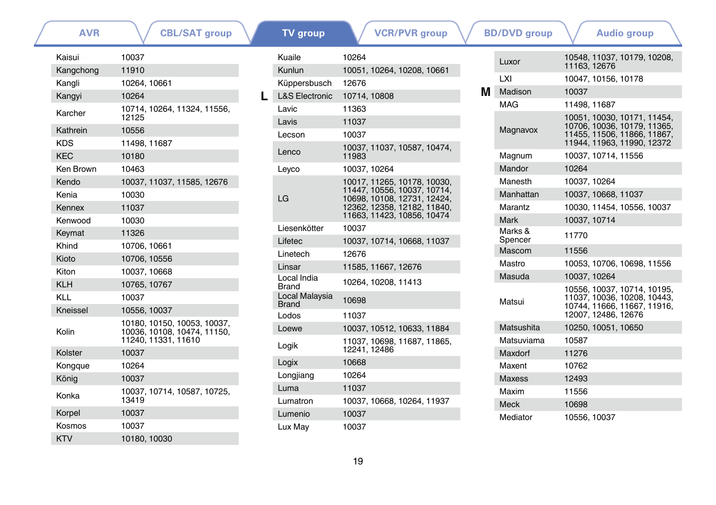| <b>AVR</b> | <b>CBL/SAT group</b>                                                              |
|------------|-----------------------------------------------------------------------------------|
| Kaisui     | 10037                                                                             |
| Kangchong  | 11910                                                                             |
| Kangli     | 10264, 10661                                                                      |
| Kangyi     | 10264                                                                             |
| Karcher    | 10714, 10264, 11324, 11556,<br>12125                                              |
| Kathrein   | 10556                                                                             |
| KDS        | 11498, 11687                                                                      |
| <b>KEC</b> | 10180                                                                             |
| Ken Brown  | 10463                                                                             |
| Kendo      | 10037, 11037, 11585, 12676                                                        |
| Kenia      | 10030                                                                             |
| Kennex     | 11037                                                                             |
| Kenwood    | 10030                                                                             |
| Keymat     | 11326                                                                             |
| Khind      | 10706, 10661                                                                      |
| Kioto      | 10706, 10556                                                                      |
| Kiton      | 10037, 10668                                                                      |
| <b>KLH</b> | 10765, 10767                                                                      |
| KI I       | 10037                                                                             |
| Kneissel   | 10556, 10037                                                                      |
| Kolin      | 10180, 10150, 10053, 10037,<br>10036, 10108, 10474, 11150,<br>11240, 11331, 11610 |
| Kolster    | 10037                                                                             |
| Kongque    | 10264                                                                             |
| König      | 10037                                                                             |
| Konka      | 10037, 10714, 10587, 10725,<br>13419                                              |
| Korpel     | 10037                                                                             |
| Kosmos     | 10037                                                                             |
| <b>KTV</b> | 10180, 10030                                                                      |

|   | <b>TV</b> group                | <b>VCR/PVR</b> group                                       |  |        | <b>BD/DVD</b> group |              | <b>Audio group</b>                                                            |
|---|--------------------------------|------------------------------------------------------------|--|--------|---------------------|--------------|-------------------------------------------------------------------------------|
|   | Kuaile<br>Kunlun               | 10264<br>10051, 10264, 10208, 10661                        |  |        | Luxor               | 11163.12676  | 10548, 11037, 10179, 10                                                       |
|   | Küppersbusch                   | 12676                                                      |  |        | LXI                 |              | 10047, 10156, 10178                                                           |
| L | <b>L&amp;S Electronic</b>      | 10714.10808                                                |  | м      | Madison             | 10037        |                                                                               |
|   | Lavic                          | 11363                                                      |  |        | <b>MAG</b>          | 11498.11687  |                                                                               |
|   | Lavis                          | 11037                                                      |  |        |                     |              | 10051, 10030, 10171, 11                                                       |
|   | Lecson                         | 10037                                                      |  |        | Magnavox            |              | 10706, 10036, 10179, 11<br>11455, 11506, 11866, 11<br>11944, 11963, 11990, 12 |
|   | Lenco                          | 10037, 11037, 10587, 10474.<br>11983                       |  |        | Magnum              |              | 10037, 10714, 11556                                                           |
|   | Leyco                          | 10037, 10264                                               |  |        |                     | 10264        |                                                                               |
|   |                                | 10017, 11265, 10178, 10030,                                |  |        | Manesth             | 10037, 10264 |                                                                               |
|   | LG                             | 11447, 10556, 10037, 10714,<br>10698, 10108, 12731, 12424, |  |        | Manhattan           |              | 10037, 10668, 11037                                                           |
|   |                                | 12362, 12358, 12182, 11840,                                |  |        | Marantz             |              | 10030, 11454, 10556, 10                                                       |
|   |                                | 11663, 11423, 10856, 10474                                 |  |        | <b>Mark</b>         |              | 10037, 10714                                                                  |
|   | Liesenkötter                   | 10037                                                      |  |        | Marks &             | 11770        |                                                                               |
|   | Lifetec                        | 10037, 10714, 10668, 11037                                 |  |        | Spencer<br>Mascom   | 11556        |                                                                               |
|   | Linetech                       | 12676                                                      |  |        | Mastro              |              | 10053, 10706, 10698, 11                                                       |
|   | Linsar<br>Local India          | 11585, 11667, 12676                                        |  | Masuda | 10037, 10264        |              |                                                                               |
|   | <b>Brand</b>                   | 10264, 10208, 11413                                        |  |        |                     |              | 10556, 10037, 10714, 10                                                       |
|   | Local Malaysia<br><b>Brand</b> | 10698                                                      |  |        | Matsui              |              | 11037, 10036, 10208, 10<br>10744, 11666, 11667, 11                            |
|   | Lodos                          | 11037                                                      |  |        |                     |              | 12007. 12486. 12676                                                           |
|   | Loewe                          | 10037, 10512, 10633, 11884                                 |  |        | Matsushita          |              | 10250, 10051, 10650                                                           |
|   | Logik                          | 11037, 10698, 11687, 11865,<br>12241, 12486                |  |        | Matsuviama          | 10587        |                                                                               |
|   | Logix                          | 10668                                                      |  |        | Maxdorf             | 11276        |                                                                               |
|   | Longjiang                      | 10264                                                      |  |        | Maxent              | 10762        |                                                                               |
|   | Luma                           | 11037                                                      |  |        | <b>Maxess</b>       | 12493        |                                                                               |
|   | Lumatron                       | 10037, 10668, 10264, 11937                                 |  |        | Maxim               | 11556        |                                                                               |
|   | Lumenio                        | 10037                                                      |  |        | <b>Meck</b>         | 10698        |                                                                               |
|   | Lux May                        | 10037                                                      |  |        | Mediator            | 10556, 10037 |                                                                               |
|   |                                |                                                            |  |        |                     |              |                                                                               |

|   | Luxor              | 10548, 11037, 10179, 10208,<br>11163.12676                                                                              |
|---|--------------------|-------------------------------------------------------------------------------------------------------------------------|
|   | LXI                | 10047, 10156, 10178                                                                                                     |
| м | Madison            | 10037                                                                                                                   |
|   | MAG                | 11498.11687                                                                                                             |
|   | Magnavox           | 10051, 10030, 10171, 11454,<br>10706, 10036, 10179, 11365,<br>11455, 11506, 11866, 11867,<br>11944, 11963, 11990, 12372 |
|   | Magnum             | 10037, 10714, 11556                                                                                                     |
|   | Mandor             | 10264                                                                                                                   |
|   | Manesth            | 10037, 10264                                                                                                            |
|   | Manhattan          | 10037, 10668, 11037                                                                                                     |
|   | Marantz            | 10030, 11454, 10556, 10037                                                                                              |
|   | Mark               | 10037.10714                                                                                                             |
|   | Marks &<br>Spencer | 11770                                                                                                                   |
|   | Mascom             | 11556                                                                                                                   |
|   | Mastro             | 10053, 10706, 10698, 11556                                                                                              |
|   | Masuda             | 10037, 10264                                                                                                            |
|   | Matsui             | 10556, 10037, 10714, 10195,<br>11037, 10036, 10208, 10443,<br>10744, 11666, 11667, 11916,<br>12007, 12486, 12676        |
|   | Matsushita         | 10250, 10051, 10650                                                                                                     |
|   | Matsuviama         | 10587                                                                                                                   |
|   | Maxdorf            | 11276                                                                                                                   |
|   | Maxent             | 10762                                                                                                                   |
|   | <b>Maxess</b>      | 12493                                                                                                                   |
|   | Maxim              | 11556                                                                                                                   |
|   | <b>Meck</b>        | 10698                                                                                                                   |
|   | Mediator           | 10556, 10037                                                                                                            |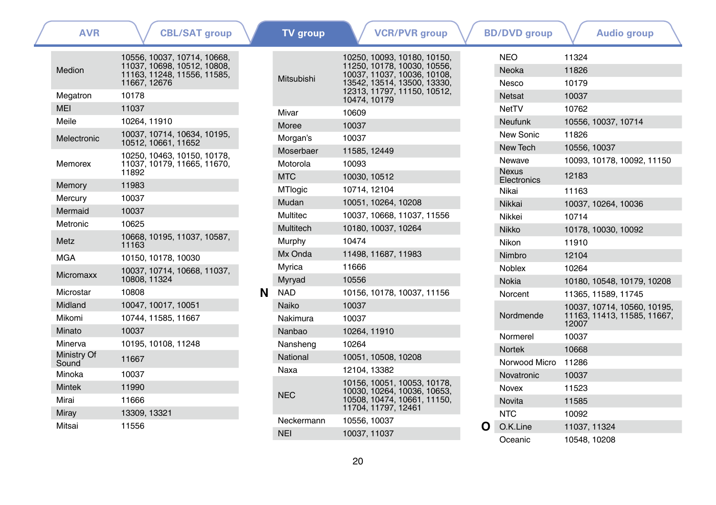| <b>AVR</b>           | <b>CBL/SAT group</b>                                                                                      |   | <b>TV</b> group          | <b>VCR/PVR</b> group                                                                                                     | <b>BD/DVD</b> group          | <b>Audio group</b>                                      |
|----------------------|-----------------------------------------------------------------------------------------------------------|---|--------------------------|--------------------------------------------------------------------------------------------------------------------------|------------------------------|---------------------------------------------------------|
| Medion               | 10556, 10037, 10714, 10668,<br>11037, 10698, 10512, 10808,<br>11163, 11248, 11556, 11585,<br>11667, 12676 |   | Mitsubishi               | 10250, 10093, 10180, 10150,<br>11250, 10178, 10030, 10556,<br>10037, 11037, 10036, 10108,<br>13542, 13514, 13500, 13330, | <b>NEO</b><br>Neoka<br>Nesco | 11324<br>11826<br>10179                                 |
| Megatron             | 10178                                                                                                     |   |                          | 12313, 11797, 11150, 10512,<br>10474, 10179                                                                              | <b>Netsat</b>                | 10037                                                   |
| <b>MEI</b>           | 11037                                                                                                     |   | Mivar                    | 10609                                                                                                                    | NetTV                        | 10762                                                   |
| Meile                | 10264.11910                                                                                               |   | Moree                    | 10037                                                                                                                    | <b>Neufunk</b>               | 10556, 10037, 10714                                     |
| Melectronic          | 10037, 10714, 10634, 10195,<br>10512, 10661, 11652                                                        |   | Morgan's                 | 10037                                                                                                                    | New Sonic                    | 11826                                                   |
|                      | 10250, 10463, 10150, 10178,                                                                               |   | Moserbaer                | 11585, 12449                                                                                                             | New Tech                     | 10556, 10037                                            |
| Memorex              | 11037, 10179, 11665, 11670,                                                                               |   | Motorola                 | 10093                                                                                                                    | Newave                       | 10093, 10178, 10092, 11150                              |
|                      | 11892                                                                                                     |   | <b>MTC</b>               | 10030, 10512                                                                                                             | <b>Nexus</b><br>Electronics  | 12183                                                   |
| Memory               | 11983                                                                                                     |   | <b>MTlogic</b>           | 10714, 12104                                                                                                             | Nikai                        | 11163                                                   |
| Mercury              | 10037                                                                                                     |   | Mudan                    | 10051, 10264, 10208                                                                                                      | Nikkai                       | 10037, 10264, 10036                                     |
| Mermaid              | 10037                                                                                                     |   | Multitec                 | 10037, 10668, 11037, 11556                                                                                               | Nikkei                       | 10714                                                   |
| Metronic             | 10625                                                                                                     |   | Multitech                | 10180, 10037, 10264                                                                                                      | <b>Nikko</b>                 | 10178, 10030, 10092                                     |
| Metz                 | 10668, 10195, 11037, 10587,<br>11163                                                                      |   | Murphy                   | 10474                                                                                                                    | Nikon                        | 11910                                                   |
| <b>MGA</b>           | 10150, 10178, 10030                                                                                       |   | Mx Onda                  | 11498, 11687, 11983                                                                                                      | Nimbro                       | 12104                                                   |
| Micromaxx            | 10037, 10714, 10668, 11037,<br>10808, 11324                                                               |   | Myrica                   | 11666                                                                                                                    | <b>Noblex</b>                | 10264                                                   |
|                      | 10808                                                                                                     |   | Myryad                   | 10556                                                                                                                    | Nokia                        | 10180, 10548, 10179, 10208                              |
| Microstar<br>Midland | 10047, 10017, 10051                                                                                       | N | <b>NAD</b>               | 10156. 10178. 10037. 11156                                                                                               | Norcent                      | 11365.11589.11745                                       |
| Mikomi               | 10744, 11585, 11667                                                                                       |   | Naiko<br>Nakimura        | 10037<br>10037                                                                                                           | Nordmende                    | 10037.10714.10560.10195.<br>11163, 11413, 11585, 11667, |
| Minato               | 10037                                                                                                     |   | Nanbao                   | 10264, 11910                                                                                                             |                              | 12007                                                   |
| Minerva              | 10195, 10108, 11248                                                                                       |   | Nansheng                 | 10264                                                                                                                    | Normerel                     | 10037                                                   |
| Ministry Of          |                                                                                                           |   | National                 | 10051, 10508, 10208                                                                                                      | <b>Nortek</b>                | 10668                                                   |
| Sound                | 11667                                                                                                     |   |                          |                                                                                                                          | Norwood Micro 11286          |                                                         |
| Minoka               | 10037                                                                                                     |   | Naxa                     | 12104.13382                                                                                                              | Novatronic                   | 10037                                                   |
| <b>Mintek</b>        | 11990                                                                                                     |   |                          | 10156, 10051, 10053, 10178,<br>10030, 10264, 10036, 10653,                                                               | Novex                        | 11523                                                   |
| Mirai                | 11666                                                                                                     |   | <b>NEC</b>               | 10508, 10474, 10661, 11150,                                                                                              | <b>Novita</b>                | 11585                                                   |
| Miray                | 13309, 13321                                                                                              |   |                          | 11704, 11797, 12461                                                                                                      | <b>NTC</b>                   | 10092                                                   |
| Mitsai               | 11556                                                                                                     |   | Neckermann<br><b>NEI</b> | 10556, 10037                                                                                                             | O.K.Line                     | 11037, 11324                                            |
|                      |                                                                                                           |   |                          | 10037.11037                                                                                                              | Oceanic                      | 10548, 10208                                            |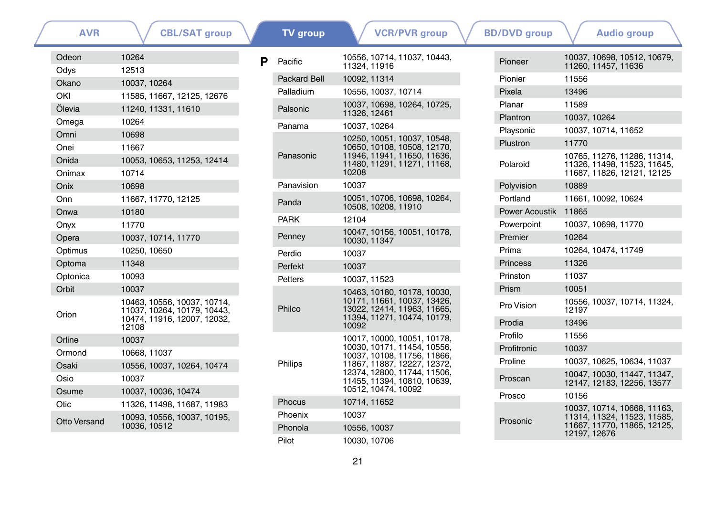| <b>AVR</b>          | <b>CBL/SAT group</b>                                                                               |   | <b>TV</b> group     | <b>VCR/PVR group</b>                                                                               |
|---------------------|----------------------------------------------------------------------------------------------------|---|---------------------|----------------------------------------------------------------------------------------------------|
| Odeon<br>Odys       | 10264<br>12513                                                                                     | P | Pacific             | 10556, 10714, 11037, 10443,<br>11324, 11916                                                        |
| Okano               | 10037, 10264                                                                                       |   | <b>Packard Bell</b> | 10092, 11314                                                                                       |
| OKI                 | 11585, 11667, 12125, 12676                                                                         |   | Palladium           | 10556, 10037, 10714                                                                                |
| Ölevia              | 11240, 11331, 11610                                                                                |   | Palsonic            | 10037, 10698, 10264, 10725,                                                                        |
| Omega               | 10264                                                                                              |   |                     | 11326, 12461                                                                                       |
| Omni                | 10698                                                                                              |   | Panama              | 10037.10264                                                                                        |
| Onei                | 11667                                                                                              |   |                     | 10250, 10051, 10037, 10548,<br>10650, 10108, 10508, 12170,                                         |
| Onida               | 10053, 10653, 11253, 12414                                                                         |   | Panasonic           | 11946, 11941, 11650, 11636,                                                                        |
| Onimax              | 10714                                                                                              |   |                     | 11480, 11291, 11271, 11168,<br>10208                                                               |
| Onix                | 10698                                                                                              |   | Panavision          | 10037                                                                                              |
| Onn                 | 11667, 11770, 12125                                                                                |   |                     | 10051, 10706, 10698, 10264,                                                                        |
| Onwa                | 10180                                                                                              |   | Panda               | 10508, 10208, 11910                                                                                |
| Onyx                | 11770                                                                                              |   | <b>PARK</b>         | 12104                                                                                              |
| Opera               | 10037, 10714, 11770                                                                                |   | Penney              | 10047, 10156, 10051, 10178,<br>10030, 11347                                                        |
| Optimus             | 10250, 10650                                                                                       |   | Perdio              | 10037                                                                                              |
| Optoma              | 11348                                                                                              |   | Perfekt             | 10037                                                                                              |
| Optonica            | 10093                                                                                              |   | <b>Petters</b>      | 10037, 11523                                                                                       |
| Orbit               | 10037                                                                                              |   |                     | 10463, 10180, 10178, 10030,                                                                        |
| Orion               | 10463, 10556, 10037, 10714,<br>11037, 10264, 10179, 10443,<br>10474, 11916, 12007, 12032,<br>12108 |   | Philco              | 10171, 11661, 10037, 13426,<br>13022, 12414, 11963, 11665,<br>11394, 11271, 10474, 10179,<br>10092 |
| Orline              | 10037                                                                                              |   |                     | 10017, 10000, 10051, 10178,                                                                        |
| Ormond              | 10668, 11037                                                                                       |   |                     | 10030, 10171, 11454, 10556,<br>10037, 10108, 11756, 11866,                                         |
| Osaki               | 10556, 10037, 10264, 10474                                                                         |   | Philips             | 11867, 11887, 12227, 12372,                                                                        |
| Osio                | 10037                                                                                              |   |                     | 12374, 12800, 11744, 11506,<br>11455, 11394, 10810, 10639,                                         |
| Osume               | 10037, 10036, 10474                                                                                |   |                     | 10512, 10474, 10092                                                                                |
| Otic                | 11326, 11498, 11687, 11983                                                                         |   | Phocus              | 10714, 11652                                                                                       |
| <b>Otto Versand</b> | 10093, 10556, 10037, 10195,                                                                        |   | Phoenix             | 10037                                                                                              |
|                     | 10036, 10512                                                                                       |   | Phonola             | 10556, 10037                                                                                       |
|                     |                                                                                                    |   | Pilot               | 10030.10706                                                                                        |

| <b>VCR/PVR group</b>                                     | <b>BD/DVD</b> group   |              | <b>Audio group</b>                                                                        |  |
|----------------------------------------------------------|-----------------------|--------------|-------------------------------------------------------------------------------------------|--|
| 0714, 11037, 10443,<br>1916                              | Pioneer               |              | 10037, 10698, 10512, 10679,<br>11260, 11457, 11636                                        |  |
| 1314                                                     | Pionier               | 11556        |                                                                                           |  |
| 0037, 10714                                              | Pixela                | 13496        |                                                                                           |  |
| 0698, 10264, 10725,                                      | Planar                | 11589        |                                                                                           |  |
| 2461                                                     | Plantron              | 10037, 10264 |                                                                                           |  |
| 0264                                                     | Playsonic             |              | 10037, 10714, 11652                                                                       |  |
| 0051, 10037, 10548,<br>0108, 10508, 12170,               | Plustron              | 11770        |                                                                                           |  |
| 1941, 11650, 11636,<br>1291, 11271, 11168,               | Polaroid              |              | 10765, 11276, 11286, 11314,<br>11326, 11498, 11523, 11645,<br>11687. 11826. 12121. 12125  |  |
|                                                          | Polyvision            | 10889        |                                                                                           |  |
| 0706, 10698, 10264,                                      | Portland              |              | 11661, 10092, 10624                                                                       |  |
| 0208.11910                                               | <b>Power Acoustik</b> | 11865        |                                                                                           |  |
|                                                          | Powerpoint            |              | 10037, 10698, 11770                                                                       |  |
| 0156, 10051, 10178,<br>1347                              | Premier               | 10264        |                                                                                           |  |
|                                                          | Prima                 |              | 10264, 10474, 11749                                                                       |  |
|                                                          | <b>Princess</b>       | 11326        |                                                                                           |  |
| 1523                                                     | Prinston              | 11037        |                                                                                           |  |
| 0180, 10178, 10030,                                      | Prism                 | 10051        |                                                                                           |  |
| 1661, 10037, 13426,<br>2414, 11963, 11665,               | Pro Vision            | 12197        | 10556, 10037, 10714, 11324,                                                               |  |
| 1271, 10474, 10179,                                      | Prodia                | 13496        |                                                                                           |  |
| 0000, 10051, 10178,                                      | Profilo               | 11556        |                                                                                           |  |
| 0171, 11454, 10556,                                      | Profitronic           | 10037        |                                                                                           |  |
| 0108, 11756, 11866,<br>1887, 12227, 12372,               | Proline               |              | 10037, 10625, 10634, 11037                                                                |  |
| 2800, 11744, 11506,<br>1394, 10810, 10639,<br>0474.10092 | Proscan               |              | 10047, 10030, 11447, 11347,<br>12147, 12183, 12256, 13577                                 |  |
| 1652                                                     | Prosco                | 10156        |                                                                                           |  |
|                                                          | Prosonic              |              | 10037, 10714, 10668, 11163,<br>11314, 11324, 11523, 11585,<br>11667. 11770. 11865. 12125. |  |
| 0037<br>070 <sub>6</sub>                                 |                       | 12197, 12676 |                                                                                           |  |
|                                                          |                       |              |                                                                                           |  |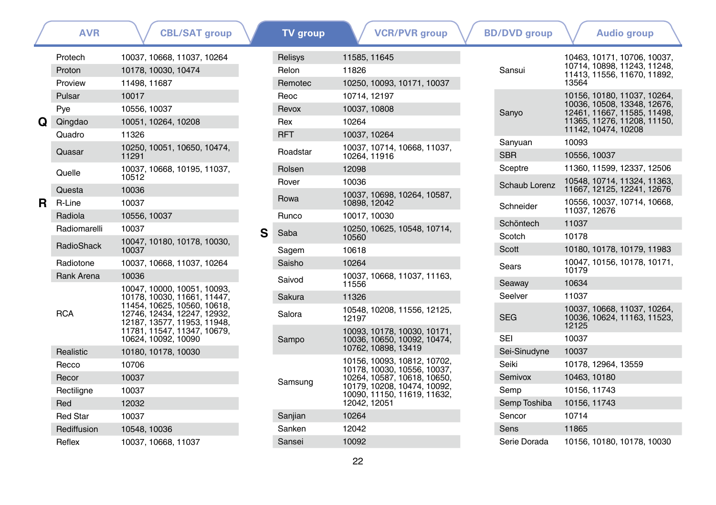|    | <b>AVR</b>       | <b>CBL/SAT group</b>                                                                      |   | <b>TV</b> group | <b>VCR/PVR</b> group                                       | <b>BD/DVD</b> group   |
|----|------------------|-------------------------------------------------------------------------------------------|---|-----------------|------------------------------------------------------------|-----------------------|
|    | Protech          | 10037, 10668, 11037, 10264                                                                |   | Relisys         | 11585, 11645                                               |                       |
|    | Proton           | 10178, 10030, 10474                                                                       |   | Relon           | 11826                                                      | Sansui                |
|    | Proview          | 11498, 11687                                                                              |   | Remotec         | 10250, 10093, 10171, 10037                                 |                       |
|    | Pulsar           | 10017                                                                                     |   | Reoc            | 10714, 12197                                               |                       |
|    | Pye              | 10556, 10037                                                                              |   | Revox           | 10037, 10808                                               | Sanyo                 |
| Q  | Qingdao          | 10051, 10264, 10208                                                                       |   | Rex             | 10264                                                      |                       |
|    | Quadro           | 11326                                                                                     |   | <b>RFT</b>      | 10037, 10264                                               |                       |
|    | Quasar           | 10250, 10051, 10650, 10474,<br>11291                                                      |   | Roadstar        | 10037, 10714, 10668, 11037,<br>10264, 11916                | Sanyuan<br><b>SBR</b> |
|    | Quelle           | 10037, 10668, 10195, 11037,                                                               |   | Rolsen          | 12098                                                      | Sceptre               |
|    |                  | 10512                                                                                     |   | Rover           | 10036                                                      | Schaub Lorenz         |
| R. | Questa<br>R-Line | 10036<br>10037                                                                            |   | Rowa            | 10037, 10698, 10264, 10587,<br>10898, 12042                | Schneider             |
|    | Radiola          | 10556, 10037                                                                              |   | Runco           | 10017, 10030                                               |                       |
|    | Radiomarelli     | 10037                                                                                     | S | Saba            | 10250, 10625, 10548, 10714,                                | Schöntech             |
|    | RadioShack       | 10047, 10180, 10178, 10030,                                                               |   |                 | 10560                                                      | Scotch                |
|    |                  | 10037                                                                                     |   | Sagem           | 10618                                                      | Scott                 |
|    | Radiotone        | 10037, 10668, 11037, 10264                                                                |   | Saisho          | 10264                                                      | Sears                 |
|    | Rank Arena       | 10036                                                                                     |   | Saivod          | 10037, 10668, 11037, 11163,<br>11556                       | Seaway                |
|    |                  | 10047, 10000, 10051, 10093,<br>10178, 10030, 11661, 11447,                                |   | Sakura          | 11326                                                      | Seelver               |
|    | <b>RCA</b>       | 11454, 10625, 10560, 10618,<br>12746, 12434, 12247, 12932,<br>12187, 13577, 11953, 11948, |   | Salora          | 10548, 10208, 11556, 12125,<br>12197                       | <b>SEG</b>            |
|    |                  | 11781, 11547, 11347, 10679,<br>10624, 10092, 10090                                        |   |                 | 10093, 10178, 10030, 10171,                                | <b>SEI</b>            |
|    | Realistic        | 10180, 10178, 10030                                                                       |   | Sampo           | 10036, 10650, 10092, 10474,<br>10762, 10898, 13419         | Sei-Sinudyne          |
|    | Recco            | 10706                                                                                     |   |                 | 10156, 10093, 10812, 10702,                                | Seiki                 |
|    | Recor            | 10037                                                                                     |   |                 | 10178, 10030, 10556, 10037,<br>10264, 10587, 10618, 10650, | Semivox               |
|    | Rectiligne       | 10037                                                                                     |   | Samsung         | 10179, 10208, 10474, 10092,                                | Semp                  |
|    | Red              | 12032                                                                                     |   |                 | 10090, 11150, 11619, 11632,<br>12042, 12051                | Semp Toshiba          |
|    | <b>Red Star</b>  | 10037                                                                                     |   | Sanjian         | 10264                                                      | Sencor                |
|    | Rediffusion      | 10548, 10036                                                                              |   | Sanken          | 12042                                                      | Sens                  |
|    | Reflex           | 10037, 10668, 11037                                                                       |   | Sansei          | 10092                                                      | Serie Dorada          |
|    |                  |                                                                                           |   |                 |                                                            |                       |

| Sansui        | 10463, 10171, 10706, 10037,<br>10714, 10898, 11243, 11248,<br>11413, 11556, 11670, 11892,<br>13564                                              |
|---------------|-------------------------------------------------------------------------------------------------------------------------------------------------|
| Sanyo         | 10156, 10180, 11037, 10264,<br>10036, 10508, 13348, 12676,<br>12461, 11667, 11585, 11498,<br>11365, 11276, 11208, 11150,<br>11142, 10474, 10208 |
| Sanyuan       | 10093                                                                                                                                           |
| <b>SBR</b>    | 10556, 10037                                                                                                                                    |
| Sceptre       | 11360, 11599, 12337, 12506                                                                                                                      |
| Schaub Lorenz | 10548, 10714, 11324, 11363,<br>11667, 12125, 12241, 12676                                                                                       |
| Schneider     | 10556, 10037, 10714, 10668,<br>11037, 12676                                                                                                     |
| Schöntech     | 11037                                                                                                                                           |
| Scotch        | 10178                                                                                                                                           |
| Scott         | 10180, 10178, 10179, 11983                                                                                                                      |
| Sears         | 10047, 10156, 10178, 10171,<br>10179                                                                                                            |
| Seaway        | 10634                                                                                                                                           |
| Seelver       | 11037                                                                                                                                           |
| <b>SEG</b>    | 10037, 10668, 11037, 10264,<br>10036, 10624, 11163, 11523,<br>12125                                                                             |
| SEI           | 10037                                                                                                                                           |
| Sei-Sinudyne  | 10037                                                                                                                                           |
| Seiki         | 10178, 12964, 13559                                                                                                                             |
| Semivox       | 10463, 10180                                                                                                                                    |
| Semp          | 10156, 11743                                                                                                                                    |
| Semp Toshiba  | 10156, 11743                                                                                                                                    |
| Sencor        | 10714                                                                                                                                           |
| Sens          | 11865                                                                                                                                           |
| Serie Dorada  | 10156, 10180, 10178, 10030                                                                                                                      |
|               |                                                                                                                                                 |

**[Audio group](#page-41-0)**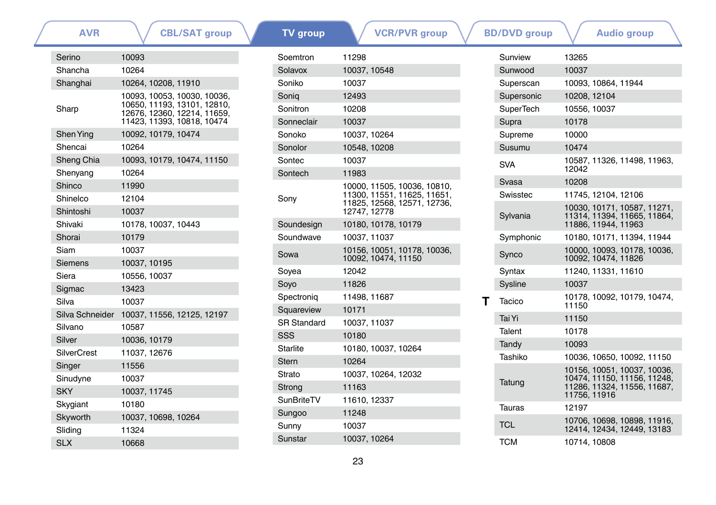| <b>AVR</b>                    | <b>CBL/SAT group</b>                                       | <b>TV</b> group    | <b>VCR/PVR</b> group                                       | <b>BD/DVD</b> group | <b>Audio group</b>                                         |
|-------------------------------|------------------------------------------------------------|--------------------|------------------------------------------------------------|---------------------|------------------------------------------------------------|
| Serino                        | 10093                                                      | Soemtron           | 11298                                                      | Sunview             | 13265                                                      |
| Shancha                       | 10264                                                      | Solavox            | 10037, 10548                                               | Sunwood             | 10037                                                      |
| Shanghai                      | 10264, 10208, 11910                                        | Soniko             | 10037                                                      | Superscan           | 10093, 10864, 11944                                        |
|                               | 10093, 10053, 10030, 10036,                                | Sonig              | 12493                                                      | Supersonic          | 10208, 12104                                               |
| Sharp                         | 10650, 11193, 13101, 12810,<br>12676, 12360, 12214, 11659, | Sonitron           | 10208                                                      | <b>SuperTech</b>    | 10556, 10037                                               |
|                               | 11423, 11393, 10818, 10474                                 | Sonneclair         | 10037                                                      | Supra               | 10178                                                      |
| Shen Ying                     | 10092, 10179, 10474                                        | Sonoko             | 10037.10264                                                | Supreme             | 10000                                                      |
| Shencai                       | 10264                                                      | Sonolor            | 10548, 10208                                               | Susumu              | 10474                                                      |
| Sheng Chia                    | 10093, 10179, 10474, 11150                                 | Sontec             | 10037                                                      | <b>SVA</b>          | 10587, 11326, 11498, 11963,                                |
| Shenyang                      | 10264                                                      | Sontech            | 11983                                                      |                     | 12042                                                      |
| Shinco                        | 11990                                                      |                    | 10000, 11505, 10036, 10810,                                | Svasa               | 10208                                                      |
| Shinelco                      | 12104                                                      | Sony               | 11300, 11551, 11625, 11651,<br>11825, 12568, 12571, 12736, | Swisstec            | 11745.12104.12106                                          |
| Shintoshi                     | 10037                                                      |                    | 12747, 12778                                               | Sylvania            | 10030, 10171, 10587, 11271,<br>11314, 11394, 11665, 11864, |
| Shivaki                       | 10178, 10037, 10443                                        | Soundesign         | 10180, 10178, 10179                                        |                     | 11886, 11944, 11963                                        |
| Shorai                        | 10179                                                      | Soundwave          | 10037.11037                                                | Symphonic           | 10180. 10171. 11394. 11944                                 |
| <b>Siam</b><br><b>Siemens</b> | 10037<br>10037, 10195                                      | Sowa               | 10156, 10051, 10178, 10036,<br>10092, 10474, 11150         | Synco               | 10000, 10093, 10178, 10036,<br>10092, 10474, 11826         |
| Siera                         | 10556, 10037                                               | Soyea              | 12042                                                      | Syntax              | 11240, 11331, 11610                                        |
| Sigmac                        | 13423                                                      | Soyo               | 11826                                                      | Sysline             | 10037                                                      |
| Silva                         | 10037                                                      | Spectronig         | 11498, 11687                                               | Tacico              | 10178, 10092, 10179, 10474,                                |
|                               | Silva Schneider 10037, 11556, 12125, 12197                 | Squareview         | 10171                                                      |                     | 11150                                                      |
| Silvano                       | 10587                                                      | <b>SR Standard</b> | 10037, 11037                                               | Tai Yi              | 11150                                                      |
| Silver                        | 10036, 10179                                               | SSS                | 10180                                                      | Talent              | 10178                                                      |
| <b>SilverCrest</b>            | 11037, 12676                                               | <b>Starlite</b>    | 10180, 10037, 10264                                        | Tandy               | 10093                                                      |
| Singer                        | 11556                                                      | <b>Stern</b>       | 10264                                                      | Tashiko             | 10036, 10650, 10092, 11150                                 |
| Sinudyne                      | 10037                                                      | Strato             | 10037, 10264, 12032                                        |                     | 10156. 10051. 10037. 10036.<br>10474, 11150, 11156, 11248, |
| <b>SKY</b>                    | 10037, 11745                                               | Strong             | 11163                                                      | Tatung              | 11286, 11324, 11556, 11687,<br>11756, 11916                |
| Skygiant                      | 10180                                                      | <b>SunBriteTV</b>  | 11610, 12337                                               | <b>Tauras</b>       | 12197                                                      |
| Skyworth                      | 10037, 10698, 10264                                        | Sungoo             | 11248                                                      |                     | 10706, 10698, 10898, 11916,                                |
| Sliding                       | 11324                                                      | Sunny              | 10037                                                      | <b>TCL</b>          | 12414, 12434, 12449, 13183                                 |
| <b>SLX</b>                    | 10668                                                      | Sunstar            | 10037, 10264                                               | <b>TCM</b>          | 10714, 10808                                               |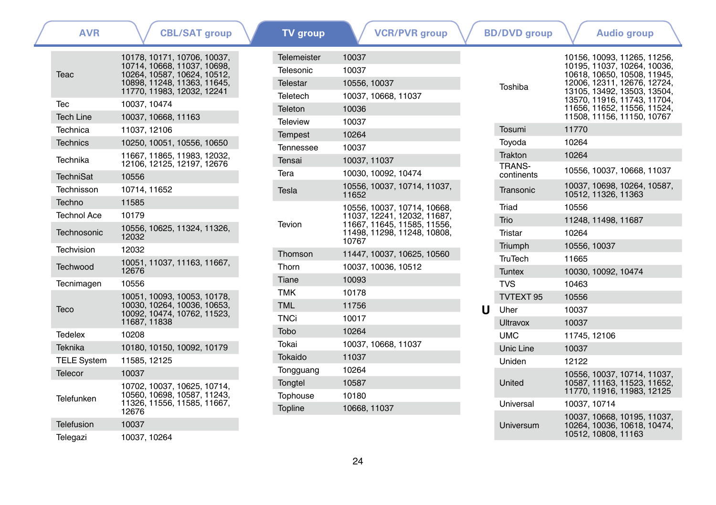| <b>AVR</b>         | <b>CBL/SAT group</b>                                       | <b>TV</b> group | <b>VCR/PVR</b> group                                       |   | <b>BD/DVD</b> group | <b>Audio group</b>                                       |
|--------------------|------------------------------------------------------------|-----------------|------------------------------------------------------------|---|---------------------|----------------------------------------------------------|
|                    | 10178, 10171, 10706, 10037,                                | Telemeister     | 10037                                                      |   |                     | 10156, 10093, 11265, 11256.                              |
| <b>Teac</b>        | 10714, 10668, 11037, 10698,<br>10264, 10587, 10624, 10512, | Telesonic       | 10037                                                      |   |                     | 10195, 11037, 10264, 10036<br>10618, 10650, 10508, 11945 |
|                    | 10898, 11248, 11363, 11645,                                | Telestar        | 10556, 10037                                               |   | Toshiba             | 12006, 12311, 12676, 12724                               |
|                    | 11770, 11983, 12032, 12241                                 | Teletech        | 10037, 10668, 11037                                        |   |                     | 13105, 13492, 13503, 13504<br>13570, 11916, 11743, 11704 |
| Tec                | 10037, 10474                                               | Teleton         | 10036                                                      |   |                     | 11656, 11652, 11556, 11524<br>11508.11156.11150.10767    |
| <b>Tech Line</b>   | 10037, 10668, 11163                                        | <b>Teleview</b> | 10037                                                      |   | Tosumi              | 11770                                                    |
| Technica           | 11037, 12106                                               | <b>Tempest</b>  | 10264                                                      |   |                     |                                                          |
| <b>Technics</b>    | 10250, 10051, 10556, 10650                                 | Tennessee       | 10037                                                      |   | Toyoda              | 10264                                                    |
| Technika           | 11667.11865.11983.12032.<br>12106, 12125, 12197, 12676     | Tensai          | 10037, 11037                                               |   | Trakton<br>TRANS-   | 10264                                                    |
| <b>TechniSat</b>   | 10556                                                      | Tera            | 10030, 10092, 10474                                        |   | continents          | 10556. 10037. 10668. 11037                               |
| Technisson         | 10714, 11652                                               | Tesla           | 10556, 10037, 10714, 11037,<br>11652                       |   | Transonic           | 10037, 10698, 10264, 10587,<br>10512, 11326, 11363       |
| Techno             | 11585                                                      |                 | 10556, 10037, 10714, 10668,                                |   | Triad               | 10556                                                    |
| <b>Technol Ace</b> | 10179                                                      | Tevion          | 11037, 12241, 12032, 11687,<br>11667, 11645, 11585, 11556, |   | Trio                | 11248, 11498, 11687                                      |
| Technosonic        | 10556, 10625, 11324, 11326,<br>12032                       |                 | 11498, 11298, 11248, 10808.                                |   | Tristar             | 10264                                                    |
| Techvision         | 12032                                                      |                 | 10767                                                      |   | Triumph             | 10556, 10037                                             |
|                    | 10051, 11037, 11163, 11667,                                | Thomson         | 11447, 10037, 10625, 10560                                 |   | <b>TruTech</b>      | 11665                                                    |
| Techwood           | 12676                                                      | Thorn           | 10037, 10036, 10512                                        |   | <b>Tuntex</b>       | 10030, 10092, 10474                                      |
| Tecnimagen         | 10556                                                      | Tiane           | 10093                                                      |   | <b>TVS</b>          | 10463                                                    |
|                    | 10051, 10093, 10053, 10178,                                | <b>TMK</b>      | 10178                                                      |   | TVTEXT 95           | 10556                                                    |
| <b>Teco</b>        | 10030, 10264, 10036, 10653,<br>10092, 10474, 10762, 11523, | <b>TML</b>      | 11756                                                      | U | Uher                | 10037                                                    |
|                    | 11687, 11838                                               | <b>TNCi</b>     | 10017                                                      |   | <b>Ultravox</b>     | 10037                                                    |
| Tedelex            | 10208                                                      | Tobo            | 10264                                                      |   | <b>UMC</b>          | 11745, 12106                                             |
| <b>Teknika</b>     | 10180, 10150, 10092, 10179                                 | Tokai           | 10037, 10668, 11037                                        |   | Unic Line           | 10037                                                    |
| <b>TELE System</b> | 11585, 12125                                               | Tokaido         | 11037                                                      |   | Uniden              | 12122                                                    |
| <b>Telecor</b>     | 10037                                                      | Tongguang       | 10264                                                      |   |                     | 10556, 10037, 10714, 11037,                              |
|                    | 10702, 10037, 10625, 10714,                                | Tongtel         | 10587                                                      |   | United              | 10587, 11163, 11523, 11652<br>11770, 11916, 11983, 12125 |
| Telefunken         | 10560, 10698, 10587, 11243,<br>11326, 11556, 11585, 11667, | Tophouse        | 10180                                                      |   | Universal           | 10037, 10714                                             |
|                    | 12676                                                      | Topline         | 10668, 11037                                               |   |                     | 10037, 10668, 10195, 11037,                              |
| <b>Telefusion</b>  | 10037                                                      |                 |                                                            |   | Universum           | 10264, 10036, 10618, 10474,                              |
| Telegazi           | 10037, 10264                                               |                 |                                                            |   |                     | 10512, 10808, 11163                                      |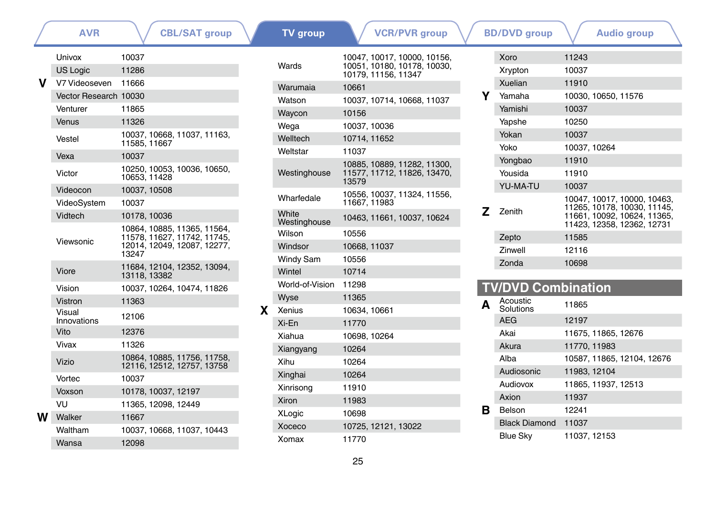|   | <b>AVR</b>                           | <b>CBL/SAT group</b>                        |              | <b>TV</b> group       | <b>VCR/PVR</b> group                               |       | <b>BD/DVD</b> group       | <b>Audio group</b>                                         |
|---|--------------------------------------|---------------------------------------------|--------------|-----------------------|----------------------------------------------------|-------|---------------------------|------------------------------------------------------------|
|   | Univox                               | 10037                                       |              |                       | 10047.10017.10000.10156.                           |       | Xoro                      | 11243                                                      |
|   | <b>US Logic</b>                      | 11286                                       |              | Wards                 | 10051, 10180, 10178, 10030,<br>10179, 11156, 11347 |       | Xrypton                   | 10037                                                      |
|   | V7 Videoseven 11666                  |                                             |              | Warumaia              | 10661                                              |       | Xuelian                   | 11910                                                      |
|   | Vector Research 10030                |                                             |              | Watson                | 10037, 10714, 10668, 11037                         | Υ     | Yamaha                    | 10030, 10650, 11576                                        |
|   | Venturer                             | 11865                                       |              | Waycon                | 10156                                              |       | Yamishi                   | 10037                                                      |
|   | Venus                                | 11326                                       |              | Wega                  | 10037, 10036                                       |       | Yapshe                    | 10250                                                      |
|   | Vestel                               | 10037, 10668, 11037, 11163,                 |              | Welltech              | 10714, 11652                                       |       | Yokan                     | 10037                                                      |
|   |                                      | 11585, 11667                                |              | Weltstar              | 11037                                              |       | Yoko                      | 10037, 10264                                               |
|   | Vexa                                 | 10037                                       |              |                       | 10885. 10889. 11282. 11300.                        |       | Yongbao                   | 11910                                                      |
|   | Victor                               | 10250, 10053, 10036, 10650,<br>10653.11428  |              | Westinghouse          | 11577, 11712, 11826, 13470,<br>13579               |       | Yousida                   | 11910                                                      |
|   | Videocon                             | 10037, 10508                                |              |                       | 10556, 10037, 11324, 11556,                        |       | <b>YU-MA-TU</b>           | 10037                                                      |
|   | VideoSystem                          | 10037                                       |              | Wharfedale            | 11667.11983                                        |       |                           | 10047, 10017, 10000, 10463,<br>11265, 10178, 10030, 11145, |
|   | Vidtech                              | 10178, 10036<br>10864, 10885, 11365, 11564, |              | White<br>Westinghouse | 10463, 11661, 10037, 10624                         | z     | Zenith                    | 11661, 10092, 10624, 11365,<br>11423, 12358, 12362, 12731  |
|   |                                      | 11578, 11627, 11742, 11745,<br>Viewsonic    |              | Wilson                | 10556                                              |       | Zepto                     | 11585                                                      |
|   | 12014, 12049, 12087, 12277,<br>13247 | Windsor                                     | 10668, 11037 |                       | Zinwell                                            | 12116 |                           |                                                            |
|   |                                      | 11684. 12104. 12352. 13094.                 |              | <b>Windy Sam</b>      | 10556                                              |       | Zonda                     | 10698                                                      |
|   | Viore                                | 13118, 13382                                |              | Wintel                | 10714                                              |       |                           |                                                            |
|   | Vision                               | 10037, 10264, 10474, 11826                  |              | World-of-Vision       | 11298                                              |       | <b>TV/DVD Combination</b> |                                                            |
|   | Vistron                              | 11363                                       |              | Wyse                  | 11365                                              |       | Acoustic                  | 11865                                                      |
|   | Visual<br>Innovations                | 12106                                       | X.           | Xenius                | 10634, 10661                                       |       | Solutions<br><b>AEG</b>   | 12197                                                      |
|   | Vito                                 | 12376                                       |              | Xi-En                 | 11770                                              |       | Akai                      | 11675, 11865, 12676                                        |
|   | Vivax                                | 11326                                       |              | Xiahua                | 10698, 10264                                       |       | Akura                     | 11770.11983                                                |
|   |                                      | 10864, 10885, 11756, 11758,                 |              | Xiangyang             | 10264                                              |       | Alba                      | 10587, 11865, 12104, 12676                                 |
|   | Vizio                                | 12116, 12512, 12757, 13758                  |              | Xihu                  | 10264                                              |       | Audiosonic                | 11983, 12104                                               |
|   | Vortec                               | 10037                                       |              | Xinghai               | 10264                                              |       | Audiovox                  | 11865, 11937, 12513                                        |
|   | Voxson                               | 10178, 10037, 12197                         |              | Xinrisong             | 11910                                              |       | Axion                     | 11937                                                      |
|   | VU                                   | 11365, 12098, 12449                         |              | Xiron                 | 11983                                              | в     | Belson                    | 12241                                                      |
| w | Walker                               | 11667                                       |              | XLogic                | 10698                                              |       | <b>Black Diamond</b>      | 11037                                                      |
|   | Waltham                              | 10037, 10668, 11037, 10443                  |              | Xoceco                | 10725, 12121, 13022                                |       | <b>Blue Sky</b>           | 11037, 12153                                               |
|   | Wansa                                | 12098                                       |              | Xomax                 | 11770                                              |       |                           |                                                            |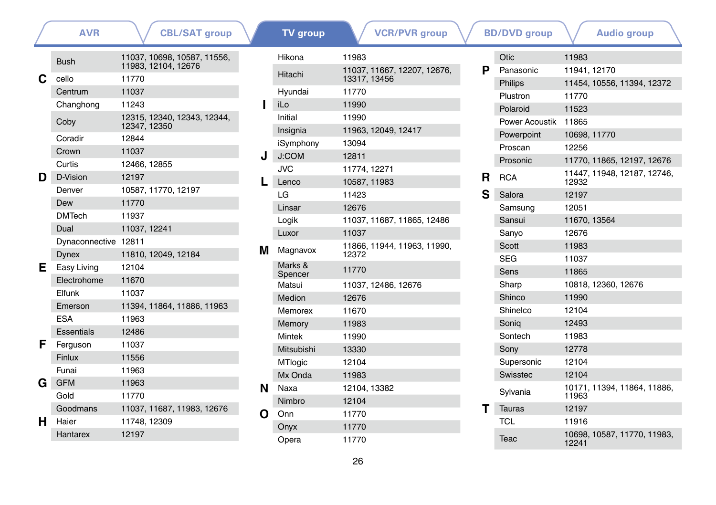|   | <b>AVR</b>           | <b>CBL/SAT group</b>                        |   | <b>TV</b> group     | <b>VCR/PVR</b> group                 |   | <b>BD/DVD</b> group  | <b>Audio group</b>                   |
|---|----------------------|---------------------------------------------|---|---------------------|--------------------------------------|---|----------------------|--------------------------------------|
|   | <b>Bush</b>          | 11037, 10698, 10587, 11556,                 |   | Hikona              | 11983                                |   | Otic                 | 11983                                |
|   |                      | 11983, 12104, 12676                         |   | Hitachi             | 11037.11667.12207.12676.             | P | Panasonic            | 11941.12170                          |
| C | cello                | 11770                                       |   |                     | 13317, 13456                         |   | <b>Philips</b>       | 11454, 10556, 11394, 12372           |
|   | Centrum              | 11037                                       |   | Hyundai             | 11770                                |   | Plustron             | 11770                                |
|   | Changhong            | 11243                                       |   | iLo                 | 11990                                |   | Polaroid             | 11523                                |
|   | Coby                 | 12315, 12340, 12343, 12344,<br>12347, 12350 |   | Initial             | 11990                                |   | Power Acoustik 11865 |                                      |
|   | Coradir              | 12844                                       |   | Insignia            | 11963, 12049, 12417                  |   | Powerpoint           | 10698, 11770                         |
|   | Crown                | 11037                                       |   | iSymphony           | 13094                                |   | Proscan              | 12256                                |
|   | Curtis               | 12466, 12855                                |   | J:COM               | 12811                                |   | Prosonic             | 11770, 11865, 12197, 12676           |
| D | D-Vision             | 12197                                       |   | <b>JVC</b><br>Lenco | 11774, 12271<br>10587, 11983         |   | R<br><b>RCA</b>      | 11447, 11948, 12187, 12746,<br>12932 |
|   | Denver               | 10587.11770.12197                           |   | LG                  | 11423                                | S | Salora               | 12197                                |
|   | Dew                  | 11770                                       |   | Linsar              | 12676                                |   | Samsung              | 12051                                |
|   | <b>DMTech</b>        | 11937                                       |   | Logik               | 11037, 11687, 11865, 12486           |   | Sansui               | 11670, 13564                         |
|   | Dual                 | 11037, 12241                                |   | Luxor               | 11037                                |   |                      | 12676                                |
|   | Dynaconnective 12811 |                                             |   |                     |                                      |   | Sanyo<br>Scott       | 11983                                |
|   | <b>Dynex</b>         | 11810, 12049, 12184                         | м | Magnavox            | 11866, 11944, 11963, 11990,<br>12372 |   |                      |                                      |
| Е | Easy Living          | 12104                                       |   | Marks &             | 11770                                |   | <b>SEG</b><br>Sens   | 11037<br>11865                       |
|   | Electrohome          | 11670                                       |   | Spencer<br>Matsui   |                                      |   | Sharp                | 10818, 12360, 12676                  |
|   | Elfunk               | 11037                                       |   | Medion              | 11037, 12486, 12676                  |   | Shinco               | 11990                                |
|   | Emerson              | 11394, 11864, 11886, 11963                  |   |                     | 12676                                |   |                      |                                      |
|   | <b>ESA</b>           | 11963                                       |   | Memorex             | 11670                                |   | Shinelco             | 12104                                |
|   | <b>Essentials</b>    | 12486                                       |   | Memory              | 11983                                |   | Sonig                | 12493                                |
| F | Ferguson             | 11037                                       |   | Mintek              | 11990                                |   | Sontech              | 11983                                |
|   | <b>Finlux</b>        | 11556                                       |   | Mitsubishi          | 13330                                |   | Sony                 | 12778                                |
|   | Funai                | 11963                                       |   | MTlogic             | 12104                                |   | Supersonic           | 12104                                |
| G | <b>GFM</b>           | 11963                                       |   | Mx Onda             | 11983                                |   | Swisstec             | 12104                                |
|   | Gold                 | 11770                                       | N | Naxa                | 12104, 13382                         |   | Sylvania             | 10171, 11394, 11864, 11886,<br>11963 |
|   | Goodmans             | 11037, 11687, 11983, 12676                  |   | Nimbro              | 12104                                |   | <b>Tauras</b>        | 12197                                |
| н | Haier                | 11748, 12309                                | O | Onn                 | 11770                                |   | <b>TCL</b>           | 11916                                |
|   | Hantarex             | 12197                                       |   | Onyx                | 11770                                |   |                      | 10698, 10587, 11770, 11983,          |
|   |                      |                                             |   | Opera               | 11770                                |   | Teac                 | 12241                                |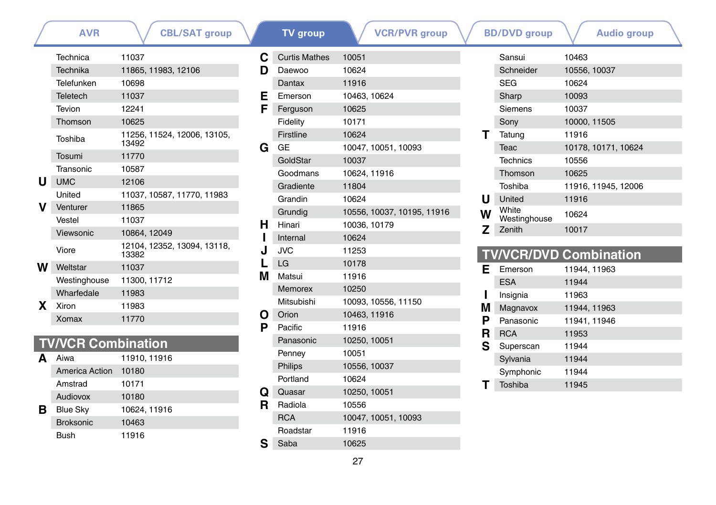|    | <b>AVR</b>                | <b>CBL/SAT group</b>                 |
|----|---------------------------|--------------------------------------|
|    | Technica                  | 11037                                |
|    | Technika                  | 11865, 11983, 12106                  |
|    | Telefunken                | 10698                                |
|    | <b>Teletech</b>           | 11037                                |
|    | Tevion                    | 12241                                |
|    | Thomson                   | 10625                                |
|    | Toshiba                   | 11256, 11524, 12006, 13105,<br>13492 |
|    | Tosumi                    | 11770                                |
|    | Transonic                 | 10587                                |
| U  | <b>UMC</b>                | 12106                                |
|    | United                    | 11037, 10587, 11770, 11983           |
| v  | Venturer                  | 11865                                |
|    | Vestel                    | 11037                                |
|    | Viewsonic                 | 10864, 12049                         |
|    | Viore                     | 12104, 12352, 13094, 13118,<br>13382 |
| w  | Weltstar                  | 11037                                |
|    | Westinghouse              | 11300, 11712                         |
|    | Wharfedale                | 11983                                |
| X. | Xiron                     | 11983                                |
|    | Xomax                     | 11770                                |
|    |                           |                                      |
|    | <b>TV/VCR Combination</b> |                                      |

| <b>TV/VCR Combination</b> |  |  |  |  |  |  |
|---------------------------|--|--|--|--|--|--|
|                           |  |  |  |  |  |  |

|   | Aiwa             | 11910, 11916 |
|---|------------------|--------------|
|   | America Action   | 10180        |
|   | Amstrad          | 10171        |
|   | Audiovox         | 10180        |
| в | <b>Blue Sky</b>  | 10624, 11916 |
|   | <b>Broksonic</b> | 10463        |
|   | Bush             | 11916        |

| <b>AVR</b> | <b>CBL/SAT group</b>                 |    | <b>TV</b> group      | <b>VCR/PVR</b> group       |   | <b>BD/DVD</b> group   | <b>Audio group</b>            |  |
|------------|--------------------------------------|----|----------------------|----------------------------|---|-----------------------|-------------------------------|--|
| ica        | 11037                                | С  | <b>Curtis Mathes</b> | 10051                      |   | Sansui                | 10463                         |  |
| ika        | 11865, 11983, 12106                  | D  | Daewoo               | 10624                      |   | Schneider             | 10556, 10037                  |  |
| nken       | 10698                                |    | Dantax               | 11916                      |   | <b>SEG</b>            | 10624                         |  |
| ch         | 11037                                | Е  | Emerson              | 10463, 10624               |   | Sharp                 | 10093                         |  |
|            | 12241                                | F  | Ferguson             | 10625                      |   | Siemens               | 10037                         |  |
| son        | 10625                                |    | Fidelity             | 10171                      |   | Sony                  | 10000, 11505                  |  |
| a          | 11256, 11524, 12006, 13105,<br>13492 |    | Firstline            | 10624                      | т | Tatung                | 11916                         |  |
| ۱İ         | 11770                                | G  | GE                   | 10047, 10051, 10093        |   | Teac                  | 10178, 10171, 10624           |  |
| onic       | 10587                                |    | GoldStar             | 10037                      |   | <b>Technics</b>       | 10556                         |  |
|            | 12106                                |    | Goodmans             | 10624, 11916               |   | Thomson               | 10625                         |  |
|            | 11037, 10587, 11770, 11983           |    | Gradiente            | 11804                      |   | Toshiba               | 11916, 11945, 12006           |  |
|            | 11865                                |    | Grandin              | 10624                      | u | United                | 11916                         |  |
| er         | 11037                                |    | Grundig              | 10556, 10037, 10195, 11916 | W | White<br>Westinghouse | 10624                         |  |
| onic       | 10864, 12049                         | н  | Hinari               | 10036, 10179               | z | Zenith                | 10017                         |  |
|            | 12104, 12352, 13094, 13118,          |    | Internal             | 10624                      |   |                       |                               |  |
|            | 13382                                |    | <b>JVC</b>           | 11253                      |   |                       | <b>TV/VCR/DVD Combination</b> |  |
| ar         | 11037                                |    | LG                   | 10178                      | Е | Emerson               | 11944, 11963                  |  |
| nghouse    | 11300, 11712                         | м  | Matsui               | 11916                      |   | <b>ESA</b>            | 11944                         |  |
| edale      | 11983                                |    | Memorex              | 10250                      |   | Insignia              | 11963                         |  |
|            | 11983                                |    | Mitsubishi           | 10093, 10556, 11150        | M | Magnavox              | 11944, 11963                  |  |
| X          | 11770                                | O  | Orion                | 10463, 11916               | P | Panasonic             | 11941, 11946                  |  |
|            |                                      | P  | Pacific              | 11916                      | R | <b>RCA</b>            | 11953                         |  |
|            | <b>Combination</b>                   |    | Panasonic            | 10250, 10051               | S | Superscan             | 11944                         |  |
|            | 11910, 11916                         |    | Penney               | 10051                      |   | Sylvania              | 11944                         |  |
| ca Action  | 10180                                |    | <b>Philips</b>       | 10556, 10037               |   | Symphonic             | 11944                         |  |
| ad         | 10171                                |    | Portland             | 10624                      |   | Toshiba               | 11945                         |  |
| /OX        | 10180                                | Q  | Quasar               | 10250, 10051               |   |                       |                               |  |
| iky        | 10624, 11916                         | R. | Radiola              | 10556                      |   |                       |                               |  |
| onic       | 10463                                |    | <b>RCA</b>           | 10047, 10051, 10093        |   |                       |                               |  |
|            | 11916                                |    | Roadstar             | 11916                      |   |                       |                               |  |
|            |                                      | S  | Saba                 | 10625                      |   |                       |                               |  |

|   | <b>BD/DVD</b> group   | Audio group         |  |
|---|-----------------------|---------------------|--|
|   | Sansui                | 10463               |  |
|   | Schneider             | 10556, 10037        |  |
|   | <b>SEG</b>            | 10624               |  |
|   | Sharp                 | 10093               |  |
|   | Siemens               | 10037               |  |
|   | Sony                  | 10000, 11505        |  |
|   | Tatung                | 11916               |  |
|   | Teac                  | 10178, 10171, 10624 |  |
|   | Technics              | 10556               |  |
|   | Thomson               | 10625               |  |
|   | Toshiba               | 11916, 11945, 12006 |  |
| U | United                | 11916               |  |
| W | White<br>Westinghouse | 10624               |  |
| z | Zenith                | 10017               |  |
|   |                       |                     |  |

### **TV/VCR/DVD Combination**<br>**E** Emerson 11944, 11963 **E** Emerson ESA 11944 **I** Insignia 11963<br>**M** Magnavox 11944, **M** Magnavox 11944, 11963<br>**P** Panasonic 11941, 11946 **P** Panasonic 11941, 11946<br>**R** RCA 11953 **R** RCA 11953<br>**S** Superscan 11944 Superscan 11944<br>Sylvania 11944 Sylvania 11944<br>Symphonic 11944 Symphonic **T** Toshiba <sup>11945</sup>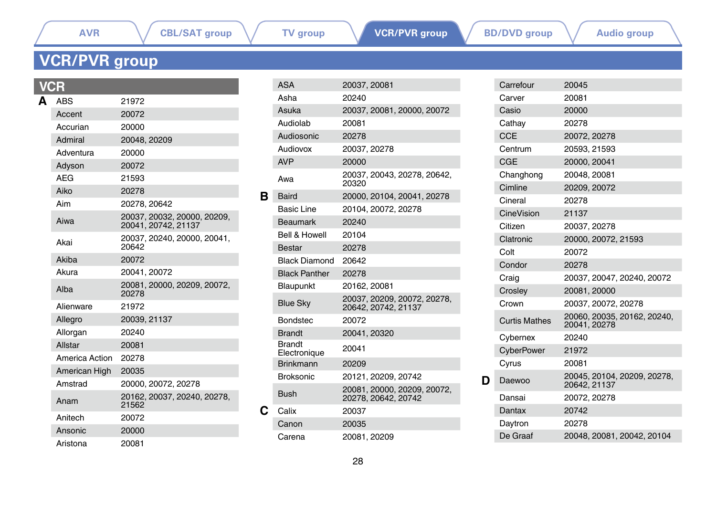L

# <span id="page-27-0"></span>**VCR/PVR group**

|   | CH             |                                                    |
|---|----------------|----------------------------------------------------|
| Δ | ABS            | 21972                                              |
|   | Accent         | 20072                                              |
|   | Accurian       | 20000                                              |
|   | Admiral        | 20048, 20209                                       |
|   | Adventura      | 20000                                              |
|   | Adyson         | 20072                                              |
|   | <b>AFG</b>     | 21593                                              |
|   | Aiko           | 20278                                              |
|   | Aim            | 20278.20642                                        |
|   | Aiwa           | 20037, 20032, 20000, 20209,<br>20041, 20742, 21137 |
|   | Akai           | 20037, 20240, 20000, 20041,<br>20642               |
|   | Akiba          | 20072                                              |
|   | Akura          | 20041, 20072                                       |
|   | Alba           | 20081.20000.20209.20072.<br>20278                  |
|   | Alienware      | 21972                                              |
|   | Allegro        | 20039, 21137                                       |
|   | Allorgan       | 20240                                              |
|   | Allstar        | 20081                                              |
|   | America Action | 20278                                              |
|   | American High  | 20035                                              |
|   | Amstrad        | 20000, 20072, 20278                                |
|   | Anam           | 20162, 20037, 20240, 20278,<br>21562               |
|   | Anitech        | 20072                                              |
|   | Ansonic        | 20000                                              |
|   | Aristona       | 20081                                              |

|   | <b>ASA</b>                    | 20037, 20081                                       |
|---|-------------------------------|----------------------------------------------------|
|   | Asha                          | 20240                                              |
|   | Asuka                         | 20037, 20081, 20000, 20072                         |
|   | Audiolab                      | 20081                                              |
|   | Audiosonic                    | 20278                                              |
|   | Audiovox                      | 20037, 20278                                       |
|   | <b>AVP</b>                    | 20000                                              |
|   | Awa                           | 20037. 20043. 20278. 20642.<br>20320               |
| в | <b>Baird</b>                  | 20000, 20104, 20041, 20278                         |
|   | <b>Basic Line</b>             | 20104, 20072, 20278                                |
|   | <b>Beaumark</b>               | 20240                                              |
|   | Bell & Howell                 | 20104                                              |
|   | <b>Bestar</b>                 | 20278                                              |
|   | Black Diamond                 | 20642                                              |
|   | <b>Black Panther</b>          | 20278                                              |
|   | Blaupunkt                     | 20162.20081                                        |
|   | <b>Blue Sky</b>               | 20037, 20209, 20072, 20278,<br>20642, 20742, 21137 |
|   | <b>Bondstec</b>               | 20072                                              |
|   | <b>Brandt</b>                 | 20041, 20320                                       |
|   | <b>Brandt</b><br>Electronique | 20041                                              |
|   | <b>Brinkmann</b>              | 20209                                              |
|   | <b>Broksonic</b>              | 20121, 20209, 20742                                |
|   | Bush                          | 20081, 20000, 20209, 20072,<br>20278.20642.20742   |
| С | Calix                         | 20037                                              |
|   | Canon                         | 20035                                              |
|   | Carena                        | 20081, 20209                                       |

|   | Carrefour            | 20045                                       |
|---|----------------------|---------------------------------------------|
|   | Carver               | 20081                                       |
|   | Casio                | 20000                                       |
|   | Cathay               | 20278                                       |
|   | <b>CCE</b>           | 20072, 20278                                |
|   | Centrum              | 20593, 21593                                |
|   | CGE                  | 20000, 20041                                |
|   | Changhong            | 20048.20081                                 |
|   | Cimline              | 20209, 20072                                |
|   | Cineral              | 20278                                       |
|   | CineVision           | 21137                                       |
|   | Citizen              | 20037, 20278                                |
|   | Clatronic            | 20000, 20072, 21593                         |
|   | Colt                 | 20072                                       |
|   | Condor               | 20278                                       |
|   | Craig                | 20037, 20047, 20240, 20072                  |
|   | Crosley              | 20081, 20000                                |
|   | Crown                | 20037, 20072, 20278                         |
|   | <b>Curtis Mathes</b> | 20060, 20035, 20162, 20240,<br>20041, 20278 |
|   | Cybernex             | 20240                                       |
|   | CyberPower           | 21972                                       |
|   | Cyrus                | 20081                                       |
| D | Daewoo               | 20045, 20104, 20209, 20278,<br>20642, 21137 |
|   | Dansai               | 20072, 20278                                |
|   | Dantax               | 20742                                       |
|   | Daytron              | 20278                                       |
|   | De Graaf             | 20048, 20081, 20042, 20104                  |
|   |                      |                                             |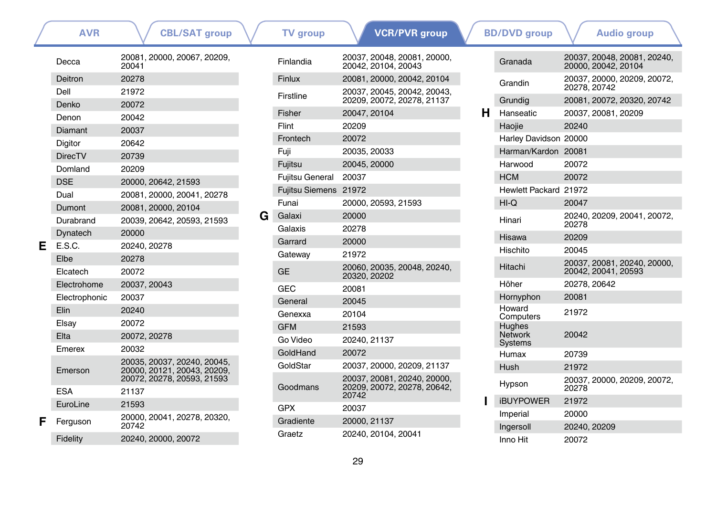|   | <b>AVR</b>     | <b>CBL/SAT group</b>                                      |   | <b>TV</b> group        | <b>VCR/PVR</b> group                                    |    | <b>BD/DVD</b> group       | <b>Audio group</b>                                 |
|---|----------------|-----------------------------------------------------------|---|------------------------|---------------------------------------------------------|----|---------------------------|----------------------------------------------------|
|   | Decca          | 20081, 20000, 20067, 20209,<br>20041                      |   | Finlandia              | 20037, 20048, 20081, 20000,<br>20042. 20104. 20043      |    | Granada                   | 20037, 20048, 20081, 20240,<br>20000. 20042. 20104 |
|   | <b>Deitron</b> | 20278                                                     |   | Finlux                 | 20081, 20000, 20042, 20104                              |    | Grandin                   | 20037, 20000, 20209, 20072,                        |
|   | Dell           | 21972                                                     |   | Firstline              | 20037, 20045, 20042, 20043,                             |    |                           | 20278, 20742                                       |
|   | Denko          | 20072                                                     |   |                        | 20209, 20072, 20278, 21137                              |    | Grundig                   | 20081, 20072, 20320, 20742                         |
|   | Denon          | 20042                                                     |   | Fisher                 | 20047, 20104                                            | н. | Hanseatic                 | 20037, 20081, 20209                                |
|   | Diamant        | 20037                                                     |   | Flint                  | 20209                                                   |    | Haojie                    | 20240                                              |
|   | Digitor        | 20642                                                     |   | Frontech               | 20072                                                   |    | Harley Davidson 20000     |                                                    |
|   | <b>DirecTV</b> | 20739                                                     |   | Fuji                   | 20035, 20033                                            |    | Harman/Kardon 20081       |                                                    |
|   | Domland        | 20209                                                     |   | Fujitsu                | 20045, 20000                                            |    | Harwood                   | 20072                                              |
|   | <b>DSE</b>     | 20000, 20642, 21593                                       |   | <b>Fujitsu General</b> | 20037                                                   |    | <b>HCM</b>                | 20072                                              |
|   | Dual           | 20081, 20000, 20041, 20278                                |   | Fujitsu Siemens 21972  |                                                         |    | Hewlett Packard 21972     |                                                    |
|   | Dumont         | 20081, 20000, 20104                                       |   | Funai                  | 20000, 20593, 21593                                     |    | $HI-Q$                    | 20047                                              |
|   | Durabrand      | 20039, 20642, 20593, 21593                                | G | Galaxi<br>Galaxis      | 20000<br>20278                                          |    | Hinari                    | 20240, 20209, 20041, 20072,<br>20278               |
|   | Dynatech       | 20000                                                     |   |                        |                                                         |    | Hisawa                    | 20209                                              |
| Е | E.S.C.         | 20240, 20278                                              |   | Garrard                | 20000                                                   |    | Hischito                  | 20045                                              |
|   | Elbe           | 20278                                                     |   | Gateway                | 21972                                                   |    |                           | 20037, 20081, 20240, 20000,                        |
|   | Elcatech       | 20072                                                     |   | <b>GE</b>              | 20060, 20035, 20048, 20240,<br>20320, 20202             |    | Hitachi                   | 20042, 20041, 20593                                |
|   | Electrohome    | 20037, 20043                                              |   | <b>GEC</b>             | 20081                                                   |    | Höher                     | 20278, 20642                                       |
|   | Electrophonic  | 20037                                                     |   | General                | 20045                                                   |    | Hornyphon                 | 20081                                              |
|   | <b>Elin</b>    | 20240                                                     |   | Genexxa                | 20104                                                   |    | Howard<br>Computers       | 21972                                              |
|   | Elsay          | 20072                                                     |   | <b>GFM</b>             | 21593                                                   |    | Hughes                    |                                                    |
|   | Elta           | 20072, 20278                                              |   | Go Video               | 20240.21137                                             |    | <b>Network</b><br>Systems | 20042                                              |
|   | Emerex         | 20032                                                     |   | GoldHand               | 20072                                                   |    | Humax                     | 20739                                              |
|   |                | 20035, 20037, 20240, 20045,                               |   | GoldStar               | 20037, 20000, 20209, 21137                              |    | Hush                      | 21972                                              |
|   | Emerson        | 20000. 20121. 20043. 20209.<br>20072, 20278, 20593, 21593 |   | Goodmans               | 20037.20081.20240.20000.<br>20209, 20072, 20278, 20642, |    | Hypson                    | 20037, 20000, 20209, 20072,<br>20278               |
|   | <b>ESA</b>     | 21137                                                     |   |                        | 20742                                                   |    |                           | 21972                                              |
|   | EuroLine       | 21593                                                     |   | <b>GPX</b>             | 20037                                                   |    | <b>iBUYPOWER</b>          |                                                    |
| F | Ferguson       | 20000, 20041, 20278, 20320,<br>20742                      |   | Gradiente              | 20000, 21137                                            |    | Imperial<br>Ingersoll     | 20000<br>20240, 20209                              |
|   | Fidelity       | 20240, 20000, 20072                                       |   | Graetz                 | 20240, 20104, 20041                                     |    | Inno Hit                  | 20072                                              |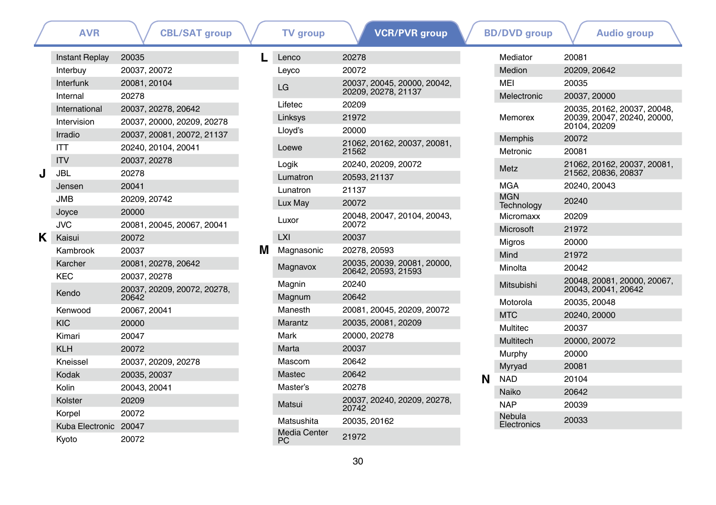### **[AVR](#page-0-0)** \ / [CBL/SAT group](#page-0-1) \ / [TV group](#page-13-0) \ <mark>/ VCR/PVR group \ /</mark> [BD/DVD group](#page-34-0) \ / [Audio group](#page-41-0)

|    | <b>Instant Replay</b> | 20035                                |
|----|-----------------------|--------------------------------------|
|    | Interbuy              | 20037, 20072                         |
|    | Interfunk             | 20081, 20104                         |
|    | Internal              | 20278                                |
|    | International         | 20037, 20278, 20642                  |
|    | Intervision           | 20037, 20000, 20209, 20278           |
|    | Irradio               | 20037, 20081, 20072, 21137           |
|    | ITT                   | 20240. 20104. 20041                  |
|    | <b>ITV</b>            | 20037, 20278                         |
| J  | JBL                   | 20278                                |
|    | Jensen                | 20041                                |
|    | JMB                   | 20209.20742                          |
|    | Joyce                 | 20000                                |
|    | JVC                   | 20081, 20045, 20067, 20041           |
| ĸ. | Kaisui                | 20072                                |
|    | Kambrook              | 20037                                |
|    | Karcher               | 20081, 20278, 20642                  |
|    | KEC                   | 20037.20278                          |
|    | Kendo                 | 20037, 20209, 20072, 20278,<br>20642 |
|    | Kenwood               | 20067, 20041                         |
|    | <b>KIC</b>            | 20000                                |
|    | Kimari                | 20047                                |
|    | KI H                  | 20072                                |
|    | Kneissel              | 20037, 20209, 20278                  |
|    | Kodak                 | 20035, 20037                         |
|    | Kolin                 | 20043, 20041                         |
|    | Kolster               | 20209                                |
|    | Korpel                | 20072                                |
|    | Kuba Electronic       | 20047                                |
|    | Kyoto                 | 20072                                |

| L | Lenco                     | 20278                                              |
|---|---------------------------|----------------------------------------------------|
|   | Leyco                     | 20072                                              |
|   | LG                        | 20037, 20045, 20000, 20042,<br>20209, 20278, 21137 |
|   | Lifetec                   | 20209                                              |
|   | Linksys                   | 21972                                              |
|   | Lloyd's                   | 20000                                              |
|   | Loewe                     | 21062, 20162, 20037, 20081,<br>21562               |
|   | Logik                     | 20240, 20209, 20072                                |
|   | Lumatron                  | 20593, 21137                                       |
|   | Lunatron                  | 21137                                              |
|   | Lux May                   | 20072                                              |
|   | Luxor                     | 20048, 20047, 20104, 20043,<br>20072               |
|   | LXI                       | 20037                                              |
| м | Magnasonic                | 20278, 20593                                       |
|   | Magnavox                  | 20035, 20039, 20081, 20000,<br>20642, 20593, 21593 |
|   | Magnin                    | 20240                                              |
|   | Magnum                    | 20642                                              |
|   | Manesth                   | 20081, 20045, 20209, 20072                         |
|   | Marantz                   | 20035, 20081, 20209                                |
|   | Mark                      | 20000, 20278                                       |
|   | Marta                     | 20037                                              |
|   | Mascom                    | 20642                                              |
|   | Mastec                    | 20642                                              |
|   | Master's                  | 20278                                              |
|   | Matsui                    | 20037. 20240. 20209. 20278.<br>20742               |
|   | Matsushita                | 20035, 20162                                       |
|   | <b>Media Center</b><br>РC | 21972                                              |

|   | Mediator                 | 20081                                                                      |
|---|--------------------------|----------------------------------------------------------------------------|
|   | Medion                   | 20209, 20642                                                               |
|   | MFI                      | 20035                                                                      |
|   | Melectronic              | 20037, 20000                                                               |
|   | Memorex                  | 20035, 20162, 20037, 20048,<br>20039, 20047, 20240, 20000,<br>20104, 20209 |
|   | Memphis                  | 20072                                                                      |
|   | Metronic                 | 20081                                                                      |
|   | <b>Metz</b>              | 21062, 20162, 20037, 20081,<br>21562, 20836, 20837                         |
|   | <b>MGA</b>               | 20240, 20043                                                               |
|   | <b>MGN</b><br>Technology | 20240                                                                      |
|   | Micromaxx                | 20209                                                                      |
|   | Microsoft                | 21972                                                                      |
|   | Migros                   | 20000                                                                      |
|   | Mind                     | 21972                                                                      |
|   | Minolta                  | 20042                                                                      |
|   | Mitsubishi               | 20048, 20081, 20000, 20067,<br>20043, 20041, 20642                         |
|   | Motorola                 | 20035, 20048                                                               |
|   | <b>MTC</b>               | 20240, 20000                                                               |
|   | Multitec                 | 20037                                                                      |
|   | Multitech                | 20000, 20072                                                               |
|   | Murphy                   | 20000                                                                      |
|   | Myryad                   | 20081                                                                      |
| N | <b>NAD</b>               | 20104                                                                      |
|   | Naiko                    | 20642                                                                      |
|   | <b>NAP</b>               | 20039                                                                      |
|   | Nebula<br>Electronics    | 20033                                                                      |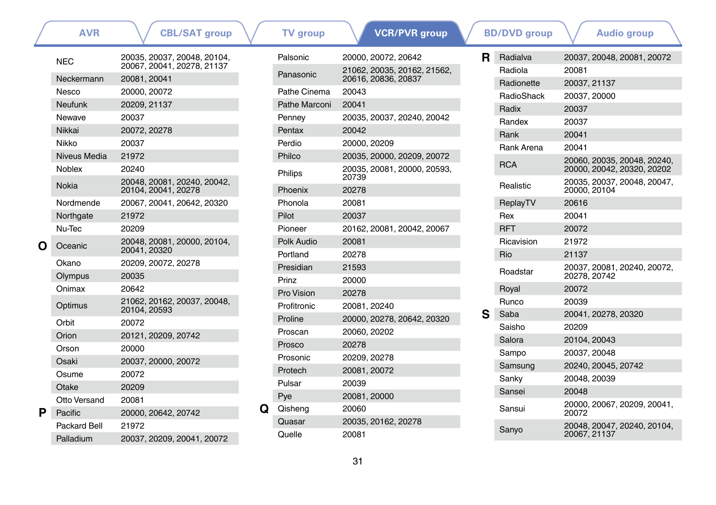|   | <b>AVR</b>                       | <b>CBL/SAT group</b>                                      |   | <b>TV</b> group  | <b>VCR/PVR</b> group                             |    | <b>BD/DVD</b> group   | <b>Audio group</b>                          |
|---|----------------------------------|-----------------------------------------------------------|---|------------------|--------------------------------------------------|----|-----------------------|---------------------------------------------|
|   | <b>NEC</b>                       | 20035. 20037. 20048. 20104.<br>20067, 20041, 20278, 21137 |   | Palsonic         | 20000. 20072. 20642                              | R. | Radialva              | 20037, 20048, 20081, 20072                  |
|   | Neckermann                       | 20081.20041                                               |   | Panasonic        | 21062, 20035, 20162, 21562,<br>20616.20836.20837 |    | Radiola<br>Radionette | 20081<br>20037, 21137                       |
|   | Nesco                            | 20000, 20072                                              |   | Pathe Cinema     | 20043                                            |    | RadioShack            | 20037, 20000                                |
|   | <b>Neufunk</b>                   | 20209, 21137                                              |   | Pathe Marconi    | 20041                                            |    | Radix                 | 20037                                       |
|   | Newave                           | 20037                                                     |   | Penney           | 20035, 20037, 20240, 20042                       |    | Randex                | 20037                                       |
|   | Nikkai                           | 20072, 20278                                              |   | Pentax           | 20042                                            |    | Rank                  | 20041                                       |
|   | Nikko                            | 20037                                                     |   | Perdio           | 20000.20209                                      |    | Rank Arena            | 20041                                       |
|   | Niveus Media                     | 21972                                                     |   | Philco           | 20035, 20000, 20209, 20072                       |    |                       | 20060, 20035, 20048, 20240,                 |
|   | <b>Noblex</b>                    | 20240                                                     |   | Philips          | 20035, 20081, 20000, 20593,<br>20739             |    | <b>RCA</b>            | 20000, 20042, 20320, 20202                  |
|   | <b>Nokia</b>                     | 20048, 20081, 20240, 20042,<br>20104, 20041, 20278        |   | Phoenix          | 20278                                            |    | Realistic             | 20035, 20037, 20048, 20047,<br>20000, 20104 |
|   | Nordmende                        | 20067.20041.20642.20320                                   |   | Phonola          | 20081                                            |    | ReplayTV              | 20616                                       |
|   | Northgate                        | 21972                                                     |   | Pilot            | 20037                                            |    | Rex                   | 20041                                       |
|   | Nu-Tec                           | 20209                                                     |   | Pioneer          | 20162, 20081, 20042, 20067                       |    | <b>RFT</b>            | 20072                                       |
| O | Oceanic                          | 20048, 20081, 20000, 20104,                               |   | Polk Audio       | 20081                                            |    | Ricavision            | 21972                                       |
|   |                                  | 20041, 20320                                              |   | Portland         | 20278                                            |    | Rio                   | 21137                                       |
|   | Okano                            | 20209, 20072, 20278                                       |   | Presidian        | 21593                                            |    | Roadstar              | 20037, 20081, 20240, 20072,                 |
|   | Olympus                          | 20035                                                     |   | Prinz            | 20000                                            |    |                       | 20278, 20742                                |
|   | Onimax                           | 20642                                                     |   | Pro Vision       | 20278                                            |    | Royal                 | 20072                                       |
|   | Optimus                          | 21062, 20162, 20037, 20048,<br>20104.20593                |   | Profitronic      | 20081.20240                                      |    | Runco                 | 20039                                       |
|   | Orbit                            | 20072                                                     |   | Proline          | 20000, 20278, 20642, 20320                       | s  | Saba                  | 20041, 20278, 20320                         |
|   | Orion                            | 20121, 20209, 20742                                       |   | Proscan          | 20060, 20202                                     |    | Saisho                | 20209                                       |
|   | Orson                            | 20000                                                     |   | Prosco           | 20278                                            |    | Salora                | 20104, 20043                                |
|   | Osaki                            | 20037, 20000, 20072                                       |   | Prosonic         | 20209, 20278                                     |    | Sampo                 | 20037.20048                                 |
|   | Osume                            | 20072                                                     |   | Protech          | 20081, 20072                                     |    | Samsung               | 20240, 20045, 20742                         |
|   | Otake                            | 20209                                                     |   | Pulsar           | 20039                                            |    | Sanky                 | 20048, 20039                                |
|   | Otto Versand                     | 20081                                                     |   | Pye              | 20081, 20000                                     |    | Sansei                | 20048                                       |
| Р | Pacific                          | 20000, 20642, 20742                                       | Q | Qisheng          | 20060                                            |    | Sansui                | 20000, 20067, 20209, 20041,<br>20072        |
|   | <b>Packard Bell</b><br>Palladium | 21972<br>20037, 20209, 20041, 20072                       |   | Quasar<br>Quelle | 20035, 20162, 20278<br>20081                     |    | Sanyo                 | 20048, 20047, 20240, 20104,<br>20067, 21137 |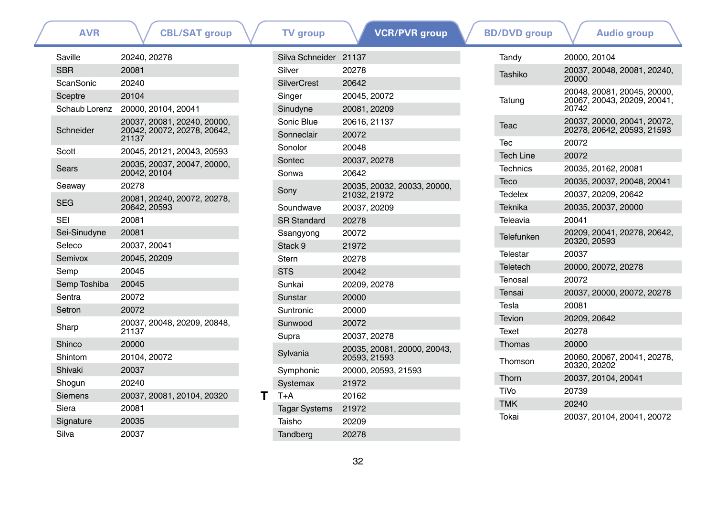| Saville       | 20240, 20278                                                        |
|---------------|---------------------------------------------------------------------|
| <b>SBR</b>    | 20081                                                               |
| ScanSonic     | 20240                                                               |
| Sceptre       | 20104                                                               |
| Schaub Lorenz | 20000. 20104. 20041                                                 |
| Schneider     | 20037, 20081, 20240, 20000,<br>20042, 20072, 20278, 20642,<br>21137 |
| Scott         | 20045, 20121, 20043, 20593                                          |
| Sears         | 20035, 20037, 20047, 20000,<br>20042, 20104                         |
| Seaway        | 20278                                                               |
| SEG           | 20081, 20240, 20072, 20278,<br>20642.20593                          |
| SFI           | 20081                                                               |
| Sei-Sinudyne  | 20081                                                               |
| Seleco        | 20037, 20041                                                        |
| Semivox       | 20045, 20209                                                        |
| Semp          | 20045                                                               |
| Semp Toshiba  | 20045                                                               |
| Sentra        | 20072                                                               |
| Setron        | 20072                                                               |
| Sharp         | 20037, 20048, 20209, 20848,<br>21137                                |
| Shinco        | 20000                                                               |
| Shintom       | 20104.20072                                                         |
| Shivaki       | 20037                                                               |
| Shogun        | 20240                                                               |
| Siemens       | 20037, 20081, 20104, 20320                                          |
| Siera         | 20081                                                               |
| Signature     | 20035                                                               |
| Silva         | 20037                                                               |

|   | Silva Schneider 21137 |                                             |  |
|---|-----------------------|---------------------------------------------|--|
|   | Silver                | 20278                                       |  |
|   | <b>SilverCrest</b>    | 20642                                       |  |
|   | Singer                | 20045, 20072                                |  |
|   | Sinudyne              | 20081, 20209                                |  |
|   | Sonic Blue            | 20616, 21137                                |  |
|   | Sonneclair            | 20072                                       |  |
|   | Sonolor               | 20048                                       |  |
|   | Sontec                | 20037, 20278                                |  |
|   | Sonwa                 | 20642                                       |  |
|   | Sony                  | 20035, 20032, 20033, 20000,<br>21032, 21972 |  |
|   | Soundwave             | 20037, 20209                                |  |
|   | <b>SR Standard</b>    | 20278                                       |  |
|   | Ssangyong             | 20072                                       |  |
|   | Stack 9               | 21972                                       |  |
|   | Stern                 | 20278                                       |  |
|   | <b>STS</b>            | 20042                                       |  |
|   | Sunkai                | 20209, 20278                                |  |
|   | Sunstar               | 20000                                       |  |
|   | Suntronic             | 20000                                       |  |
|   | Sunwood               | 20072                                       |  |
|   | Supra                 | 20037, 20278                                |  |
|   | Sylvania              | 20035, 20081, 20000, 20043,<br>20593, 21593 |  |
|   | Symphonic             | 20000, 20593, 21593                         |  |
|   | <b>Systemax</b>       | 21972                                       |  |
| т | $T+A$                 | 20162                                       |  |
|   | <b>Tagar Systems</b>  | 21972                                       |  |
|   | Taisho                | 20209                                       |  |
|   | Tandberg              | 20278                                       |  |

| AVR       | <b>CBL/SAT group</b>                 |   | TV group              |              | <u>VCR/PV</u> R group       | <b>BD/DVD</b> group |              | <b>Audio group</b>                                         |  |
|-----------|--------------------------------------|---|-----------------------|--------------|-----------------------------|---------------------|--------------|------------------------------------------------------------|--|
|           | 20240, 20278                         |   | Silva Schneider 21137 |              |                             | Tandy               | 20000.20104  |                                                            |  |
|           | 20081                                |   | Silver                | 20278        |                             | Tashiko             |              | 20037, 20048, 20081, 20240,                                |  |
| onic}     | 20240                                |   | <b>SilverCrest</b>    | 20642        |                             |                     | 20000        |                                                            |  |
| re        | 20104                                |   | Singer                | 20045, 20072 |                             | Tatung              |              | 20048, 20081, 20045, 20000,<br>20067, 20043, 20209, 20041, |  |
| b Lorenz  | 20000, 20104, 20041                  |   | Sinudyne              | 20081, 20209 |                             |                     | 20742        |                                                            |  |
|           | 20037, 20081, 20240, 20000,          |   | Sonic Blue            | 20616, 21137 |                             | Teac                |              | 20037, 20000, 20041, 20072,                                |  |
| ider      | 20042, 20072, 20278, 20642,<br>21137 |   | Sonneclair            | 20072        |                             |                     |              | 20278, 20642, 20593, 21593                                 |  |
|           | 20045, 20121, 20043, 20593           |   | Sonolor               | 20048        |                             | Tec                 | 20072        |                                                            |  |
|           | 20035, 20037, 20047, 20000,          |   | Sontec                | 20037, 20278 |                             | <b>Tech Line</b>    | 20072        |                                                            |  |
|           | 20042, 20104                         |   | Sonwa                 | 20642        |                             | <b>Technics</b>     |              | 20035, 20162, 20081                                        |  |
| зу        | 20278                                |   |                       |              | 20035, 20032, 20033, 20000, | Teco                |              | 20035, 20037, 20048, 20041                                 |  |
|           | 20081, 20240, 20072, 20278,          |   | Sony                  | 21032, 21972 |                             | <b>Tedelex</b>      |              | 20037, 20209, 20642                                        |  |
|           | 20642, 20593                         |   | Soundwave             | 20037, 20209 |                             | Teknika             |              | 20035, 20037, 20000                                        |  |
|           | 20081                                |   | <b>SR Standard</b>    | 20278        |                             | Teleavia            | 20041        |                                                            |  |
| nudyne    | 20081                                |   | Ssangyong             | 20072        |                             | Telefunken          |              | 20209, 20041, 20278, 20642,                                |  |
|           | 20037, 20041                         |   | Stack 9               | 21972        |                             |                     | 20320, 20593 |                                                            |  |
| <b>XO</b> | 20045, 20209                         |   | <b>Stern</b>          | 20278        |                             | Telestar            | 20037        |                                                            |  |
|           | 20045                                |   | <b>STS</b>            | 20042        |                             | Teletech            |              | 20000, 20072, 20278                                        |  |
| Toshiba   | 20045                                |   | Sunkai                | 20209, 20278 |                             | Tenosal             | 20072        |                                                            |  |
|           | 20072                                |   | Sunstar               | 20000        |                             | Tensai              |              | 20037, 20000, 20072, 20278                                 |  |
|           | 20072                                |   | Suntronic             | 20000        |                             | Tesla               | 20081        |                                                            |  |
|           | 20037, 20048, 20209, 20848,          |   | Sunwood               | 20072        |                             | <b>Tevion</b>       | 20209.20642  |                                                            |  |
|           | 21137                                |   | Supra                 | 20037, 20278 |                             | Texet               | 20278        |                                                            |  |
|           | 20000                                |   |                       |              | 20035, 20081, 20000, 20043, | <b>Thomas</b>       | 20000        |                                                            |  |
| m         | 20104, 20072                         |   | Sylvania              | 20593, 21593 |                             | Thomson             |              | 20060, 20067, 20041, 20278,                                |  |
| ςi.       | 20037                                |   | Symphonic             |              | 20000, 20593, 21593         |                     | 20320, 20202 |                                                            |  |
| ın        | 20240                                |   | Systemax              | 21972        |                             | Thorn               |              | 20037, 20104, 20041                                        |  |
| ns        | 20037, 20081, 20104, 20320           | т | $T+A$                 | 20162        |                             | TiVo                | 20739        |                                                            |  |
|           | 20081                                |   | <b>Tagar Systems</b>  | 21972        |                             | <b>TMK</b>          | 20240        |                                                            |  |
| '⊔r≏      | 20035                                |   | <b>Taicho</b>         | 20200        |                             | Tokai               |              | 20037, 20104, 20041, 20072                                 |  |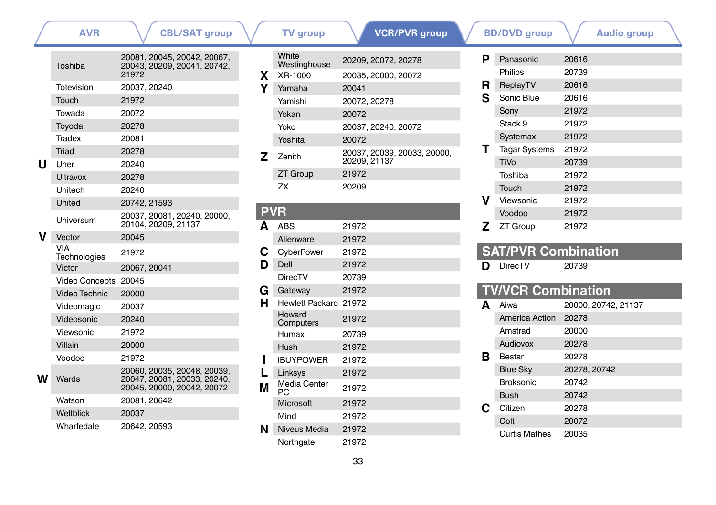|   | AVK                   | <b>CBL/SAI group</b>                                                                     |
|---|-----------------------|------------------------------------------------------------------------------------------|
|   | Toshiba               | 20081, 20045, 20042, 20067,<br>20043, 20209, 20041, 20742,<br>21972                      |
|   | Totevision            | 20037, 20240                                                                             |
|   | Touch                 | 21972                                                                                    |
|   | Towada                | 20072                                                                                    |
|   | Toyoda                | 20278                                                                                    |
|   | Tradex                | 20081                                                                                    |
|   | <b>Triad</b>          | 20278                                                                                    |
| U | Uher                  | 20240                                                                                    |
|   | Ultravox              | 20278                                                                                    |
|   | Unitech               | 20240                                                                                    |
|   | United                | 20742, 21593                                                                             |
|   | Universum             | 20037, 20081, 20240, 20000,<br>20104, 20209, 21137                                       |
|   | Vector                | 20045                                                                                    |
|   | VIA<br>Technologies   | 21972                                                                                    |
|   | Victor                | 20067, 20041                                                                             |
|   | <b>Video Concepts</b> | 20045                                                                                    |
|   | Video Technic         | 20000                                                                                    |
|   | Videomagic            | 20037                                                                                    |
|   | Videosonic            | 20240                                                                                    |
|   | Viewsonic             | 21972                                                                                    |
|   | Villain               | 20000                                                                                    |
|   | Voodoo                | 21972                                                                                    |
| w | Wards                 | 20060, 20035, 20048, 20039,<br>20047, 20081, 20033, 20240,<br>20045, 20000, 20042, 20072 |
|   | Watson                | 20081, 20642                                                                             |
|   | Weltblick             | 20037                                                                                    |
|   | Wharfedale            | 20642, 20593                                                                             |

|    | White                     | 20209, 20072, 20278         |
|----|---------------------------|-----------------------------|
| x. | Westinghouse<br>XR-1000   | 20035, 20000, 20072         |
| Y  | Yamaha                    | 20041                       |
|    | Yamishi                   | 20072, 20278                |
|    | Yokan                     | 20072                       |
|    | Yoko                      | 20037, 20240, 20072         |
|    | Yoshita                   | 20072                       |
|    |                           | 20037, 20039, 20033, 20000, |
| z  | Zenith                    | 20209, 21137                |
|    | <b>ZT Group</b>           | 21972                       |
|    | ΖX                        | 20209                       |
|    |                           |                             |
| P  |                           |                             |
| A  | ABS                       | 21972                       |
|    | Alienware                 | 21972                       |
| С  | CyberPower                | 21972                       |
| D  | Dell                      | 21972                       |
|    | <b>DirecTV</b>            | 20739                       |
| G  | Gateway                   | 21972                       |
| н  | Hewlett Packard 21972     |                             |
|    | Howard<br>Computers       | 21972                       |
|    | Humax                     | 20739                       |
|    | Hush                      | 21972                       |
| ı  | <b>iBUYPOWER</b>          | 21972                       |
| L  | Linksys                   | 21972                       |
| м  | <b>Media Center</b><br>PC | 21972                       |
|    | Microsoft                 | 21972                       |
|    | Mind                      | 21972                       |
| N  | Niveus Media              | 21972                       |
|    | Northgate                 | 21972                       |
|    |                           |                             |

| <b>AVR</b>     | <b>CBL/SAT group</b>                                      |   | <b>TV</b> group       | <b>VCR/PVR</b> group        |   | <b>BD/DVD</b> group        |              | <b>Audio group</b>  |  |
|----------------|-----------------------------------------------------------|---|-----------------------|-----------------------------|---|----------------------------|--------------|---------------------|--|
|                | 20081, 20045, 20042, 20067,                               |   | White<br>Westinghouse | 20209, 20072, 20278         | P | Panasonic                  | 20616        |                     |  |
| a              | 20043, 20209, 20041, 20742,<br>21972                      | X | XR-1000               | 20035, 20000, 20072         |   | Philips                    | 20739        |                     |  |
| sion           | 20037, 20240                                              | Υ | Yamaha                | 20041                       | R | ReplayTV                   | 20616        |                     |  |
|                | 21972                                                     |   | Yamishi               | 20072, 20278                | S | Sonic Blue                 | 20616        |                     |  |
| la             | 20072                                                     |   | Yokan                 | 20072                       |   | Sony                       | 21972        |                     |  |
| a              | 20278                                                     |   | Yoko                  | 20037, 20240, 20072         |   | Stack 9                    | 21972        |                     |  |
| Ć              | 20081                                                     |   | Yoshita               | 20072                       |   | Systemax                   | 21972        |                     |  |
|                | 20278                                                     | z | Zenith                | 20037, 20039, 20033, 20000, |   | <b>Tagar Systems</b>       | 21972        |                     |  |
|                | 20240                                                     |   |                       | 20209, 21137                |   | TiVo                       | 20739        |                     |  |
| ΟХ             | 20278                                                     |   | <b>ZT Group</b>       | 21972                       |   | Toshiba                    | 21972        |                     |  |
| ۰h             | 20240                                                     |   | <b>ZX</b>             | 20209                       |   | Touch                      | 21972        |                     |  |
|                | 20742, 21593                                              |   |                       |                             | v | Viewsonic                  | 21972        |                     |  |
| sum            | 20037, 20081, 20240, 20000,                               |   | <b>PVR</b>            |                             |   | Voodoo                     | 21972        |                     |  |
|                | 20104, 20209, 21137                                       | A | <b>ABS</b>            | 21972                       | z | <b>ZT Group</b>            | 21972        |                     |  |
|                | 20045                                                     |   | Alienware             | 21972                       |   |                            |              |                     |  |
| ologies        | 21972                                                     | С | CyberPower            | 21972                       |   | <b>SAT/PVR Combination</b> |              |                     |  |
|                | 20067, 20041                                              | D | Dell                  | 21972                       | D | DirecTV                    | 20739        |                     |  |
| Concepts 20045 |                                                           |   | <b>DirecTV</b>        | 20739                       |   |                            |              |                     |  |
| <b>Technic</b> | 20000                                                     | G | Gateway               | 21972                       |   | <b>TV/VCR Combination</b>  |              |                     |  |
| magic          | 20037                                                     | н | Hewlett Packard 21972 |                             | A | Aiwa                       |              | 20000, 20742, 21137 |  |
| sonic          | 20240                                                     |   | Howard<br>Computers   | 21972                       |   | America Action             | 20278        |                     |  |
| onic           | 21972                                                     |   | Humax                 | 20739                       |   | Amstrad                    | 20000        |                     |  |
|                | 20000                                                     |   | Hush                  | 21972                       |   | Audiovox                   | 20278        |                     |  |
| O              | 21972                                                     |   | <b>iBUYPOWER</b>      | 21972                       | в | <b>Bestar</b>              | 20278        |                     |  |
|                | 20060, 20035, 20048, 20039,                               |   | Linksys               | 21972                       |   | <b>Blue Sky</b>            | 20278, 20742 |                     |  |
|                | 20047, 20081, 20033, 20240,<br>20045, 20000, 20042, 20072 | M | Media Center<br>PC.   | 21972                       |   | <b>Broksonic</b>           | 20742        |                     |  |
| n              | 20081, 20642                                              |   | Microsoft             | 21972                       |   | <b>Bush</b>                | 20742        |                     |  |
| ick            | 20037                                                     |   | Mind                  | 21972                       | С | Citizen                    | 20278        |                     |  |
| edale          | 20642, 20593                                              | N | Niveus Media          | 21972                       |   | Colt                       | 20072        |                     |  |
|                |                                                           |   | Northaate             | 21072                       |   | <b>Curtis Mathes</b>       | 20035        |                     |  |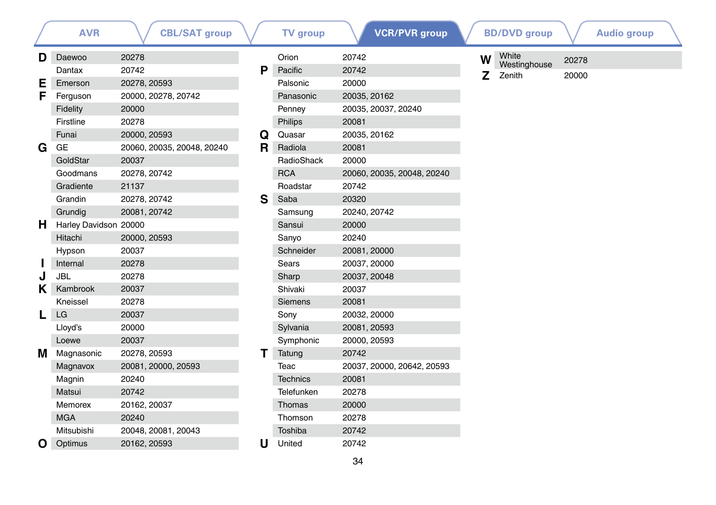|   | <b>AVR</b>            | <b>CBL/SAT group</b>       |    | <b>TV</b> group | <b>VCR/PVR</b> group       |   | <b>BD/DVD</b> group   |       | <b>Audio group</b> |  |
|---|-----------------------|----------------------------|----|-----------------|----------------------------|---|-----------------------|-------|--------------------|--|
| D | Daewoo                | 20278                      |    | Orion           | 20742                      | W | White<br>Westinghouse | 20278 |                    |  |
|   | Dantax                | 20742                      | P  | Pacific         | 20742                      | Z | Zenith                | 20000 |                    |  |
| Е | Emerson               | 20278, 20593               |    | Palsonic        | 20000                      |   |                       |       |                    |  |
| F | Ferguson              | 20000, 20278, 20742        |    | Panasonic       | 20035, 20162               |   |                       |       |                    |  |
|   | Fidelity              | 20000                      |    | Penney          | 20035, 20037, 20240        |   |                       |       |                    |  |
|   | Firstline             | 20278                      |    | Philips         | 20081                      |   |                       |       |                    |  |
|   | Funai                 | 20000, 20593               | Q  | Quasar          | 20035, 20162               |   |                       |       |                    |  |
| G | GE                    | 20060, 20035, 20048, 20240 | R. | Radiola         | 20081                      |   |                       |       |                    |  |
|   | GoldStar              | 20037                      |    | RadioShack      | 20000                      |   |                       |       |                    |  |
|   | Goodmans              | 20278, 20742               |    | <b>RCA</b>      | 20060, 20035, 20048, 20240 |   |                       |       |                    |  |
|   | Gradiente             | 21137                      |    | Roadstar        | 20742                      |   |                       |       |                    |  |
|   | Grandin               | 20278, 20742               | S  | Saba            | 20320                      |   |                       |       |                    |  |
|   | Grundig               | 20081, 20742               |    | Samsung         | 20240, 20742               |   |                       |       |                    |  |
| н | Harley Davidson 20000 |                            |    | Sansui          | 20000                      |   |                       |       |                    |  |
|   | Hitachi               | 20000, 20593               |    | Sanyo           | 20240                      |   |                       |       |                    |  |
|   | Hypson                | 20037                      |    | Schneider       | 20081, 20000               |   |                       |       |                    |  |
|   | Internal              | 20278                      |    | Sears           | 20037, 20000               |   |                       |       |                    |  |
| J | <b>JBL</b>            | 20278                      |    | Sharp           | 20037, 20048               |   |                       |       |                    |  |
| Κ | Kambrook              | 20037                      |    | Shivaki         | 20037                      |   |                       |       |                    |  |
|   | Kneissel              | 20278                      |    | <b>Siemens</b>  | 20081                      |   |                       |       |                    |  |
| L | LG                    | 20037                      |    | Sony            | 20032, 20000               |   |                       |       |                    |  |
|   | Lloyd's               | 20000                      |    | Sylvania        | 20081, 20593               |   |                       |       |                    |  |
|   | Loewe                 | 20037                      |    | Symphonic       | 20000, 20593               |   |                       |       |                    |  |
| м | Magnasonic            | 20278, 20593               | т  | Tatung          | 20742                      |   |                       |       |                    |  |
|   | Magnavox              | 20081, 20000, 20593        |    | Teac            | 20037, 20000, 20642, 20593 |   |                       |       |                    |  |
|   | Magnin                | 20240                      |    | <b>Technics</b> | 20081                      |   |                       |       |                    |  |
|   | Matsui                | 20742                      |    | Telefunken      | 20278                      |   |                       |       |                    |  |
|   | Memorex               | 20162, 20037               |    | Thomas          | 20000                      |   |                       |       |                    |  |
|   | <b>MGA</b>            | 20240                      |    | Thomson         | 20278                      |   |                       |       |                    |  |
|   | Mitsubishi            | 20048, 20081, 20043        |    | Toshiba         | 20742                      |   |                       |       |                    |  |
| O | Optimus               | 20162, 20593               | U  | United          | 20742                      |   |                       |       |                    |  |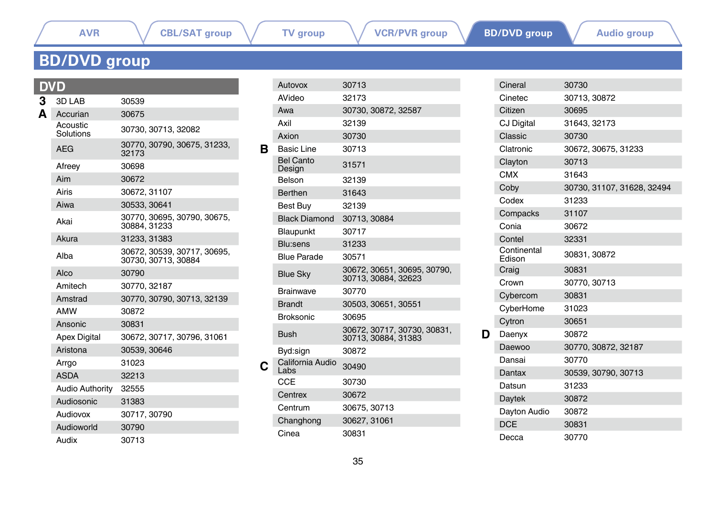### <span id="page-34-0"></span>**BD/DVD group**

### **DVD**<br>3 3D **3** 3D LAB 30539<br>**A** Accurian 30675 Accurian Acoustic<br>Solutions Solutions 30730, 30713, 32082 AEG 30770, 30790, 30675, 31233, 32173 Afreey 30698 Aim 30672 Airis 30672, 31107 Aiwa 30533, 30641 Akai 30770, 30695, 30790, 30675, 30884, 31233 Akura 31233, 31383 Alba 30672, 30539, 30717, 30695, 30730, 30713, 30884 Alco 30790 Amitech 30770, 32187 Amstrad 30770, 30790, 30713, 32139 AMW 30872 Ansonic 30831 Apex Digital 30672, 30717, 30796, 31061 Aristona 30539, 30646 Arrgo 31023 ASDA 32213 Audio Authority 32555 Audiosonic 31383 Audiovox 30717, 30790 Audioworld 30790 Audix 30713

|    | Autovox                    | 30713                                              |
|----|----------------------------|----------------------------------------------------|
|    | AVideo                     | 32173                                              |
|    | Awa                        | 30730, 30872, 32587                                |
|    | Axil                       | 32139                                              |
|    | Axion                      | 30730                                              |
| в. | Basic Line                 | 30713                                              |
|    | <b>Bel Canto</b><br>Design | 31571                                              |
|    | Belson                     | 32139                                              |
|    | <b>Berthen</b>             | 31643                                              |
|    | Best Buy                   | 32139                                              |
|    | <b>Black Diamond</b>       | 30713, 30884                                       |
|    | Blaupunkt                  | 30717                                              |
|    | Blu:sens                   | 31233                                              |
|    | <b>Blue Parade</b>         | 30571                                              |
|    | <b>Blue Sky</b>            | 30672, 30651, 30695, 30790,<br>30713, 30884, 32623 |
|    | <b>Brainwave</b>           | 30770                                              |
|    | <b>Brandt</b>              | 30503, 30651, 30551                                |
|    | <b>Broksonic</b>           | 30695                                              |
|    | Bush                       | 30672, 30717, 30730, 30831,<br>30713, 30884, 31383 |
|    | Byd:sign                   | 30872                                              |
|    | California Audio<br>Labs   | 30490                                              |
|    | <b>CCE</b>                 | 30730                                              |
|    | Centrex                    | 30672                                              |
|    | Centrum                    | 30675, 30713                                       |
|    | Changhong                  | 30627, 31061                                       |
|    | Cinea                      | 30831                                              |

|   | Cineral               | 30730                      |
|---|-----------------------|----------------------------|
|   | Cinetec               | 30713, 30872               |
|   | Citizen               | 30695                      |
|   | CJ Digital            | 31643, 32173               |
|   | Classic               | 30730                      |
|   | Clatronic             | 30672, 30675, 31233        |
|   | Clayton               | 30713                      |
|   | <b>CMX</b>            | 31643                      |
|   | Coby                  | 30730, 31107, 31628, 32494 |
|   | Codex                 | 31233                      |
|   | Compacks              | 31107                      |
|   | Conia                 | 30672                      |
|   | Contel                | 32331                      |
|   | Continental<br>Edison | 30831, 30872               |
|   | Craig                 | 30831                      |
|   | Crown                 | 30770, 30713               |
|   | Cybercom              | 30831                      |
|   | CyberHome             | 31023                      |
|   | Cytron                | 30651                      |
| D | Daenyx                | 30872                      |
|   | Daewoo                | 30770, 30872, 32187        |
|   | Dansai                | 30770                      |
|   | Dantax                | 30539, 30790, 30713        |
|   | Datsun                | 31233                      |
|   | Daytek                | 30872                      |
|   | Dayton Audio          | 30872                      |
|   | <b>DCE</b>            | 30831                      |
|   | Decca                 | 30770                      |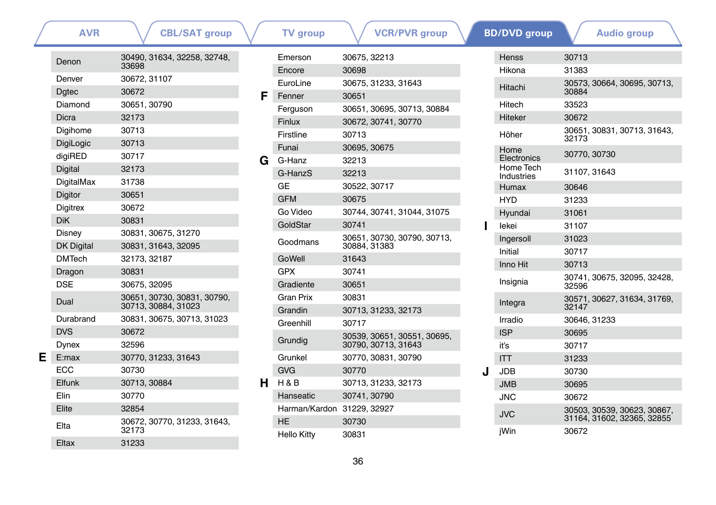|   | <b>AVR</b>              | <b>CBL/SAT group</b>                               |   | <b>TV</b> group            | <b>VCR/PVR</b> group                       |   | <b>BD/DVD</b> group     |              | <b>Audio group</b>                                        |
|---|-------------------------|----------------------------------------------------|---|----------------------------|--------------------------------------------|---|-------------------------|--------------|-----------------------------------------------------------|
|   | Denon                   | 30490, 31634, 32258, 32748,                        |   | Emerson                    | 30675, 32213                               |   | Henss                   | 30713        |                                                           |
|   |                         | 33698                                              |   | Encore                     | 30698                                      |   | Hikona                  | 31383        |                                                           |
|   | Denver                  | 30672, 31107                                       |   | EuroLine                   | 30675, 31233, 31643                        |   | Hitachi                 |              | 30573, 30664, 30695, 30713,                               |
|   | <b>D</b> gtec           | 30672                                              | F | Fenner                     | 30651                                      |   |                         | 30884        |                                                           |
|   | Diamond                 | 30651, 30790                                       |   | Ferguson                   | 30651, 30695, 30713, 30884                 |   | Hitech                  | 33523        |                                                           |
|   | <b>Dicra</b>            | 32173                                              |   | Finlux                     | 30672, 30741, 30770                        |   | <b>Hiteker</b>          | 30672        |                                                           |
|   | Digihome                | 30713                                              |   | Firstline                  | 30713                                      |   | Höher                   | 32173        | 30651, 30831, 30713, 31643,                               |
|   | DigiLogic               | 30713                                              |   | Funai                      | 30695, 30675                               |   | Home                    |              |                                                           |
|   | digiRED                 | 30717                                              | G | G-Hanz                     | 32213                                      |   | Electronics             | 30770, 30730 |                                                           |
|   | Digital                 | 32173                                              |   | G-HanzS                    | 32213                                      |   | Home Tech<br>Industries | 31107, 31643 |                                                           |
|   | DigitalMax              | 31738                                              |   | <b>GE</b>                  | 30522, 30717                               |   | Humax                   | 30646        |                                                           |
|   | Digitor                 | 30651                                              |   | <b>GFM</b>                 | 30675                                      |   | <b>HYD</b>              | 31233        |                                                           |
|   | <b>Digitrex</b>         | 30672                                              |   | Go Video                   | 30744, 30741, 31044, 31075                 |   | Hyundai                 | 31061        |                                                           |
|   | <b>DiK</b>              | 30831                                              |   | GoldStar                   | 30741                                      |   | lekei                   | 31107        |                                                           |
|   | Disney                  | 30831, 30675, 31270                                |   | Goodmans                   | 30651, 30730, 30790, 30713,                |   | Ingersoll               | 31023        |                                                           |
|   | <b>DK Digital</b>       | 30831, 31643, 32095                                |   |                            | 30884, 31383                               |   | Initial                 | 30717        |                                                           |
|   | <b>DMTech</b>           | 32173, 32187                                       |   | GoWell                     | 31643                                      |   | Inno Hit                | 30713        |                                                           |
|   | Dragon                  | 30831                                              |   | <b>GPX</b>                 | 30741                                      |   |                         |              | 30741, 30675, 32095, 32428,                               |
|   | <b>DSE</b>              | 30675, 32095                                       |   | Gradiente                  | 30651                                      |   | Insignia                | 32596        |                                                           |
|   | Dual                    | 30651, 30730, 30831, 30790,<br>30713, 30884, 31023 |   | <b>Gran Prix</b>           | 30831                                      |   | Integra                 |              | 30571, 30627, 31634, 31769,                               |
|   |                         |                                                    |   | Grandin                    | 30713, 31233, 32173                        |   |                         | 32147        |                                                           |
|   | Durabrand<br><b>DVS</b> | 30831, 30675, 30713, 31023<br>30672                |   | Greenhill                  | 30717                                      |   | Irradio                 | 30646, 31233 |                                                           |
|   |                         | 32596                                              |   | Grundig                    | 30539, 30651, 30551, 30695,                |   | <b>ISP</b>              | 30695        |                                                           |
| E | Dynex                   |                                                    |   | Grunkel                    | 30790, 30713, 31643<br>30770, 30831, 30790 |   | iť's                    | 30717        |                                                           |
|   | E:max<br><b>ECC</b>     | 30770, 31233, 31643<br>30730                       |   | <b>GVG</b>                 | 30770                                      |   | <b>ITT</b>              | 31233        |                                                           |
|   |                         |                                                    |   |                            |                                            | J | <b>JDB</b>              | 30730        |                                                           |
|   | Elfunk                  | 30713, 30884                                       | н | H&B                        | 30713, 31233, 32173                        |   | <b>JMB</b>              | 30695        |                                                           |
|   | Elin                    | 30770                                              |   | Hanseatic                  | 30741, 30790                               |   | <b>JNC</b>              | 30672        |                                                           |
|   | Elite                   | 32854                                              |   | Harman/Kardon 31229, 32927 |                                            |   | <b>JVC</b>              |              | 30503, 30539, 30623, 30867,<br>31164, 31602, 32365, 32855 |
|   | Elta                    | 30672, 30770, 31233, 31643,<br>32173               |   | <b>HE</b>                  | 30730<br>30831                             |   | jWin                    | 30672        |                                                           |
|   | Eltax                   | 31233                                              |   | Hello Kitty                |                                            |   |                         |              |                                                           |

36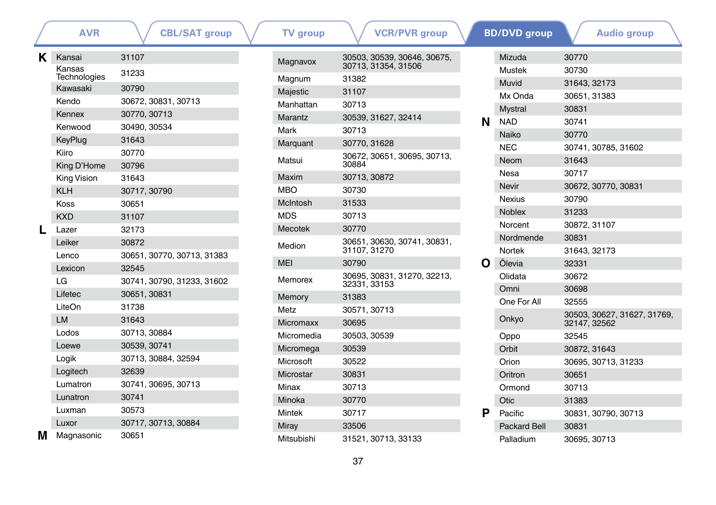|   | <b>AVR</b>               | <b>CBL/SAT group</b>       | <b>TV</b> group  | <b>VCR/PVR</b> group                        |   | <b>BD/DVD</b> group | <b>Audio group</b>                          |
|---|--------------------------|----------------------------|------------------|---------------------------------------------|---|---------------------|---------------------------------------------|
| Κ | Kansai                   | 31107                      | Magnavox         | 30503, 30539, 30646, 30675,                 |   | Mizuda              | 30770                                       |
|   | Kansas                   | 31233                      |                  | 30713, 31354, 31506                         |   | <b>Mustek</b>       | 30730                                       |
|   | Technologies<br>Kawasaki | 30790                      | Magnum           | 31382                                       |   | Muvid               | 31643, 32173                                |
|   | Kendo                    | 30672, 30831, 30713        | Majestic         | 31107                                       |   | Mx Onda             | 30651, 31383                                |
|   |                          |                            | Manhattan        | 30713                                       |   | <b>Mystral</b>      | 30831                                       |
|   | Kennex                   | 30770, 30713               | Marantz          | 30539, 31627, 32414                         | N | <b>NAD</b>          | 30741                                       |
|   | Kenwood                  | 30490, 30534               | Mark             | 30713                                       |   | Naiko               | 30770                                       |
|   | KeyPlug                  | 31643                      | Marguant         | 30770, 31628                                |   | <b>NEC</b>          | 30741, 30785, 31602                         |
|   | Kiiro                    | 30770                      | Matsui           | 30672, 30651, 30695, 30713,                 |   | Neom                | 31643                                       |
|   | King D'Home              | 30796                      |                  | 30884                                       |   | <b>Nesa</b>         | 30717                                       |
|   | King Vision              | 31643                      | Maxim            | 30713, 30872                                |   | <b>Nevir</b>        | 30672, 30770, 30831                         |
|   | <b>KLH</b>               | 30717, 30790               | <b>MBO</b>       | 30730                                       |   | <b>Nexius</b>       | 30790                                       |
|   | Koss                     | 30651                      | McIntosh         | 31533                                       |   | Noblex              | 31233                                       |
|   | <b>KXD</b>               | 31107                      | <b>MDS</b>       | 30713                                       |   | Norcent             | 30872, 31107                                |
|   | Lazer                    | 32173                      | Mecotek          | 30770                                       |   | Nordmende           | 30831                                       |
|   | Leiker                   | 30872                      | Medion           | 30651, 30630, 30741, 30831,<br>31107, 31270 |   | Nortek              | 31643, 32173                                |
|   | Lenco                    | 30651, 30770, 30713, 31383 | <b>MEI</b>       | 30790                                       |   | Ölevia              | 32331                                       |
|   | Lexicon                  | 32545                      |                  |                                             | Ω |                     |                                             |
|   | LG                       | 30741, 30790, 31233, 31602 | Memorex          | 30695, 30831, 31270, 32213,<br>32331, 33153 |   | Olidata             | 30672                                       |
|   | Lifetec                  | 30651, 30831               | Memory           | 31383                                       |   | Omni                | 30698                                       |
|   | LiteOn                   | 31738                      | Metz             | 30571, 30713                                |   | One For All         | 32555                                       |
|   | LM                       | 31643                      | <b>Micromaxx</b> | 30695                                       |   | Onkyo               | 30503, 30627, 31627, 31769,<br>32147, 32562 |
|   | Lodos                    | 30713, 30884               | Micromedia       | 30503, 30539                                |   | Oppo                | 32545                                       |
|   | Loewe                    | 30539, 30741               | Micromega        | 30539                                       |   | Orbit               | 30872, 31643                                |
|   | Logik                    | 30713, 30884, 32594        | Microsoft        | 30522                                       |   | Orion               | 30695, 30713, 31233                         |
|   | Logitech                 | 32639                      | Microstar        | 30831                                       |   | Oritron             | 30651                                       |
|   | Lumatron                 | 30741, 30695, 30713        | Minax            | 30713                                       |   | Ormond              | 30713                                       |
|   | Lunatron                 | 30741                      | Minoka           | 30770                                       |   | Otic                | 31383                                       |
|   | Luxman                   | 30573                      | Mintek           | 30717                                       | Р | Pacific             | 30831, 30790, 30713                         |
|   | Luxor                    | 30717, 30713, 30884        | Miray            | 33506                                       |   | <b>Packard Bell</b> | 30831                                       |
| M | Magnasonic               | 30651                      | Mitsubishi       | 31521, 30713, 33133                         |   | Palladium           | 30695, 30713                                |
|   |                          |                            |                  |                                             |   |                     |                                             |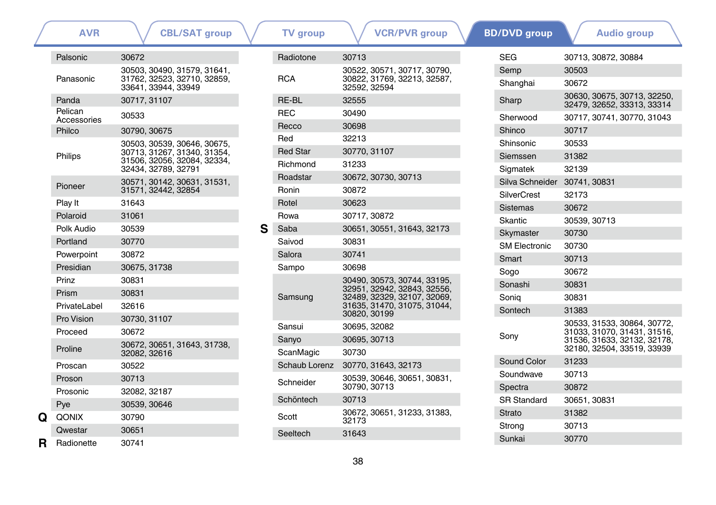|   | AVR                    | <b>CBL/SAT group</b>                                                                                             |
|---|------------------------|------------------------------------------------------------------------------------------------------------------|
|   | Palsonic               | 30672                                                                                                            |
|   | Panasonic              | 30503, 30490, 31579, 31641,<br>31762, 32523, 32710, 32859,<br>33641.33944.33949                                  |
|   | Panda                  | 30717, 31107                                                                                                     |
|   | Pelican<br>Accessories | 30533                                                                                                            |
|   | Philco                 | 30790, 30675                                                                                                     |
|   | Philips                | 30503, 30539, 30646, 30675,<br>30713, 31267, 31340, 31354,<br>31506, 32056, 32084, 32334,<br>32434, 32789, 32791 |
|   | Pioneer                | 30571, 30142, 30631, 31531,<br>31571, 32442, 32854                                                               |
|   | Play It                | 31643                                                                                                            |
|   | Polaroid               | 31061                                                                                                            |
|   | Polk Audio             | 30539                                                                                                            |
|   | Portland               | 30770                                                                                                            |
|   | Powerpoint             | 30872                                                                                                            |
|   | Presidian              | 30675, 31738                                                                                                     |
|   | Prinz                  | 30831                                                                                                            |
|   | Prism                  | 30831                                                                                                            |
|   | PrivateLabel           | 32616                                                                                                            |
|   | Pro Vision             | 30730, 31107                                                                                                     |
|   | Proceed                | 30672                                                                                                            |
|   | Proline                | 30672, 30651, 31643, 31738,<br>32082, 32616                                                                      |
|   | Proscan                | 30522                                                                                                            |
|   | Proson                 | 30713                                                                                                            |
|   | Prosonic               | 32082, 32187                                                                                                     |
|   | Pye                    | 30539, 30646                                                                                                     |
| Q | QONIX                  | 30790                                                                                                            |
|   | Qwestar                | 30651                                                                                                            |
| R | Radionette             | 30741                                                                                                            |
|   |                        |                                                                                                                  |

| <b>AVR</b>  | <b>CBL/SAT group</b>                                       |   | <b>TV</b> group | <b>VCR/PVR</b> group                                       | <b>BD/DVD</b> group          | <b>Audio group</b>                               |
|-------------|------------------------------------------------------------|---|-----------------|------------------------------------------------------------|------------------------------|--------------------------------------------------|
| ic          | 30672                                                      |   | Radiotone       | 30713                                                      | <b>SEG</b>                   | 30713, 30872, 30884                              |
|             | 30503, 30490, 31579, 31641,                                |   |                 | 30522, 30571, 30717, 30790,                                | Semp                         | 30503                                            |
| onic        | 31762, 32523, 32710, 32859,<br>33641, 33944, 33949         |   | <b>RCA</b>      | 30822, 31769, 32213, 32587,<br>32592, 32594                | Shanghai                     | 30672                                            |
|             | 30717, 31107                                               |   | RE-BL           | 32555                                                      | Sharp                        | 30630, 30675, 30713, 3<br>32479, 32652, 33313, 3 |
| n<br>sories | 30533                                                      |   | <b>REC</b>      | 30490                                                      | Sherwood                     | 30717, 30741, 30770, 3                           |
|             | 30790, 30675                                               |   | Recco           | 30698                                                      | Shinco                       | 30717                                            |
|             | 30503, 30539, 30646, 30675,                                |   | Red             | 32213                                                      | Shinsonic                    | 30533                                            |
|             | 30713, 31267, 31340, 31354,<br>31506, 32056, 32084, 32334, |   | <b>Red Star</b> | 30770, 31107                                               | Siemssen                     | 31382                                            |
|             | 32434, 32789, 32791                                        |   | Richmond        | 31233                                                      | Sigmatek                     | 32139                                            |
|             | 30571, 30142, 30631, 31531,                                |   | Roadstar        | 30672, 30730, 30713                                        | Silva Schneider 30741, 30831 |                                                  |
| эr          | 31571, 32442, 32854                                        |   | Ronin           | 30872                                                      | <b>SilverCrest</b>           | 32173                                            |
|             | 31643                                                      |   | Rotel           | 30623                                                      | <b>Sistemas</b>              | 30672                                            |
| id          | 31061                                                      |   | Rowa            | 30717, 30872                                               | Skantic                      | 30539, 30713                                     |
| udio        | 30539                                                      | S | Saba            | 30651, 30551, 31643, 32173                                 | Skymaster                    | 30730                                            |
| nd          | 30770                                                      |   | Saivod          | 30831                                                      | <b>SM Electronic</b>         | 30730                                            |
| point       | 30872                                                      |   | Salora          | 30741                                                      | Smart                        | 30713                                            |
| lian        | 30675, 31738                                               |   | Sampo           | 30698                                                      | Sogo                         | 30672                                            |
|             | 30831                                                      |   |                 | 30490, 30573, 30744, 33195,<br>32951, 32942, 32843, 32556, | Sonashi                      | 30831                                            |
|             | 30831                                                      |   | Samsung         | 32489, 32329, 32107, 32069,                                | Sonig                        | 30831                                            |
| eLabel      | 32616                                                      |   |                 | 31635, 31470, 31075, 31044,<br>30820, 30199                | Sontech                      | 31383                                            |
| sion        | 30730, 31107                                               |   | Sansui          | 30695, 32082                                               |                              | 30533, 31533, 30864, 3                           |
| ed          | 30672                                                      |   | Sanyo           | 30695, 30713                                               | Sony                         | 31033, 31070, 31431, 3                           |
|             | 30672, 30651, 31643, 31738,<br>32082, 32616                |   | ScanMagic       | 30730                                                      |                              | 31536, 31633, 32132, 3<br>32180, 32504, 33519, 3 |
| аn          | 30522                                                      |   | Schaub Lorenz   | 30770, 31643, 32173                                        | Sound Color                  | 31233                                            |
| n           | 30713                                                      |   |                 | 30539, 30646, 30651, 30831,                                | Soundwave                    | 30713                                            |
| nic         | 32082, 32187                                               |   | Schneider       | 30790, 30713                                               | Spectra                      | 30872                                            |
|             | 30539, 30646                                               |   | Schöntech       | 30713                                                      | <b>SR Standard</b>           | 30651, 30831                                     |
| X.          | 30790                                                      |   | Scott           | 30672, 30651, 31233, 31383,                                | <b>Strato</b>                | 31382                                            |
| tar         | 30651                                                      |   | Seeltech        | 32173<br>31643                                             | Strong                       | 30713                                            |
| natta       | 307/11                                                     |   |                 |                                                            | Sunkai                       | 30770                                            |

| y o v o group        |              | Auulu yrvup                                                                                                             |
|----------------------|--------------|-------------------------------------------------------------------------------------------------------------------------|
| <b>SEG</b>           |              | 30713, 30872, 30884                                                                                                     |
| Semp                 | 30503        |                                                                                                                         |
| Shanghai             | 30672        |                                                                                                                         |
| Sharp                |              | 30630, 30675, 30713, 32250,<br>32479, 32652, 33313, 33314                                                               |
| Sherwood             |              | 30717, 30741, 30770, 31043                                                                                              |
| Shinco               | 30717        |                                                                                                                         |
| Shinsonic            | 30533        |                                                                                                                         |
| Siemssen             | 31382        |                                                                                                                         |
| Sigmatek             | 32139        |                                                                                                                         |
| Silva Schneider      | 30741, 30831 |                                                                                                                         |
| <b>SilverCrest</b>   | 32173        |                                                                                                                         |
| <b>Sistemas</b>      | 30672        |                                                                                                                         |
| Skantic              | 30539, 30713 |                                                                                                                         |
| Skymaster            | 30730        |                                                                                                                         |
| <b>SM Flectronic</b> | 30730        |                                                                                                                         |
| Smart                | 30713        |                                                                                                                         |
| Sogo                 | 30672        |                                                                                                                         |
| Sonashi              | 30831        |                                                                                                                         |
| Sonia                | 30831        |                                                                                                                         |
| Sontech              | 31383        |                                                                                                                         |
| Sony                 |              | 30533, 31533, 30864, 30772,<br>31033, 31070, 31431, 31516,<br>31536, 31633, 32132, 32178,<br>32180, 32504, 33519, 33939 |
| Sound Color          | 31233        |                                                                                                                         |
| Soundwave            | 30713        |                                                                                                                         |
| Spectra              | 30872        |                                                                                                                         |
| <b>SR Standard</b>   | 30651.30831  |                                                                                                                         |
| Strato               | 31382        |                                                                                                                         |
| Strong               | 30713        |                                                                                                                         |
| Sunkai               | 30770        |                                                                                                                         |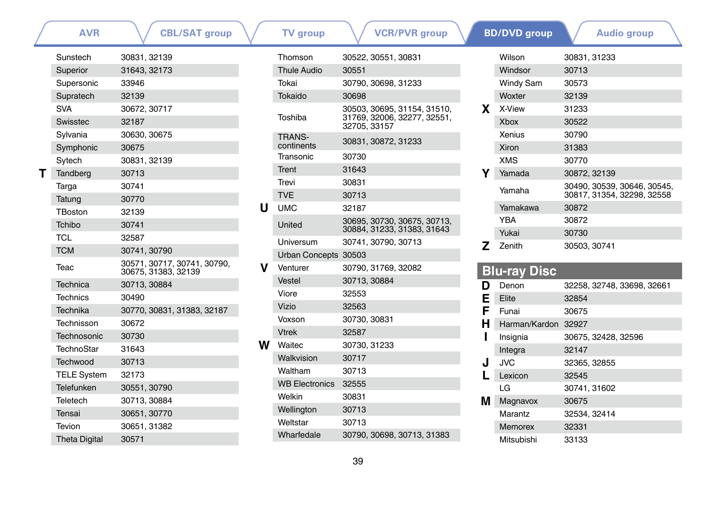|  | <b>AVR</b>           | <b>CBL/SAT group</b>                               |   | <b>TV</b> group       | <b>VCR/PVR</b> group                                      |    | <b>BD/DVD</b> group | <b>Audio group</b>          |
|--|----------------------|----------------------------------------------------|---|-----------------------|-----------------------------------------------------------|----|---------------------|-----------------------------|
|  | Sunstech             | 30831, 32139                                       |   | Thomson               | 30522, 30551, 30831                                       |    | Wilson              | 30831, 31233                |
|  | Superior             | 31643.32173                                        |   | <b>Thule Audio</b>    | 30551                                                     |    | Windsor             | 30713                       |
|  | Supersonic           | 33946                                              |   | Tokai                 | 30790, 30698, 31233                                       |    | Windy Sam           | 30573                       |
|  | Supratech            | 32139                                              |   | Tokaido               | 30698                                                     |    | Woxter              | 32139                       |
|  | <b>SVA</b>           | 30672, 30717                                       |   |                       | 30503, 30695, 31154, 31510,                               | X. | X-View              | 31233                       |
|  | Swisstec             | 32187                                              |   | Toshiba               | 31769, 32006, 32277, 32551,<br>32705, 33157               |    | <b>Xbox</b>         | 30522                       |
|  | Sylvania             | 30630, 30675                                       |   | <b>TRANS-</b>         | 30831, 30872, 31233                                       |    | <b>Xenius</b>       | 30790                       |
|  | Symphonic            | 30675                                              |   | continents            |                                                           |    | Xiron               | 31383                       |
|  | Sytech               | 30831, 32139                                       |   | Transonic             | 30730                                                     |    | <b>XMS</b>          | 30770                       |
|  | Tandberg             | 30713                                              |   | Trent                 | 31643                                                     |    | Yamada              | 30872, 32139                |
|  | Targa                | 30741                                              |   | Trevi                 | 30831                                                     |    | Yamaha              | 30490, 30539, 30646, 30545, |
|  | Tatung               | 30770                                              |   | <b>TVE</b>            | 30713                                                     |    |                     | 30817, 31354, 32298, 32558  |
|  | TBoston              | 32139                                              | U | <b>UMC</b>            | 32187                                                     |    | Yamakawa            | 30872                       |
|  | Tchibo               | 30741                                              |   | United                | 30695, 30730, 30675, 30713,<br>30884, 31233, 31383, 31643 |    | <b>YBA</b>          | 30872                       |
|  | <b>TCL</b>           | 32587                                              |   | Universum             | 30741.30790.30713                                         |    | Yukai               | 30730                       |
|  | <b>TCM</b>           | 30741, 30790                                       |   | Urban Concepts 30503  |                                                           | 7  | Zenith              | 30503, 30741                |
|  | Teac                 | 30571, 30717, 30741, 30790,<br>30675, 31383, 32139 | v | Venturer              | 30790, 31769, 32082                                       |    | <b>Blu-ray Disc</b> |                             |
|  | Technica             | 30713, 30884                                       |   | Vestel                | 30713, 30884                                              | D  | Denon               | 32258. 32748. 33698. 32661  |
|  | <b>Technics</b>      | 30490                                              |   | Viore                 | 32553                                                     | Ε  | Elite               | 32854                       |
|  | Technika             | 30770, 30831, 31383, 32187                         |   | <b>Vizio</b>          | 32563                                                     | F  | Funai               | 30675                       |
|  | Technisson           | 30672                                              |   | Voxson                | 30730, 30831                                              | н  | Harman/Kardon 32927 |                             |
|  | Technosonic          | 30730                                              |   | <b>Vtrek</b>          | 32587                                                     |    | Insignia            | 30675, 32428, 32596         |
|  | TechnoStar           | 31643                                              | w | Waitec                | 30730.31233                                               |    | Integra             | 32147                       |
|  | Techwood             | 30713                                              |   | Walkvision            | 30717                                                     |    | <b>JVC</b>          | 32365.32855                 |
|  | <b>TELE System</b>   | 32173                                              |   | Waltham               | 30713                                                     |    | Lexicon             | 32545                       |
|  | <b>Telefunken</b>    | 30551, 30790                                       |   | <b>WB Electronics</b> | 32555                                                     |    | LG                  | 30741, 31602                |
|  | Teletech             | 30713, 30884                                       |   | Welkin                | 30831                                                     | м  | Magnavox            | 30675                       |
|  | Tensai               | 30651, 30770                                       |   | Wellington            | 30713                                                     |    | Marantz             | 32534, 32414                |
|  | Tevion               | 30651, 31382                                       |   | Weltstar              | 30713                                                     |    | Memorex             | 32331                       |
|  | <b>Theta Digital</b> | 30571                                              |   | Wharfedale            | 30790, 30698, 30713, 31383                                |    | Mitsubishi          | 33133                       |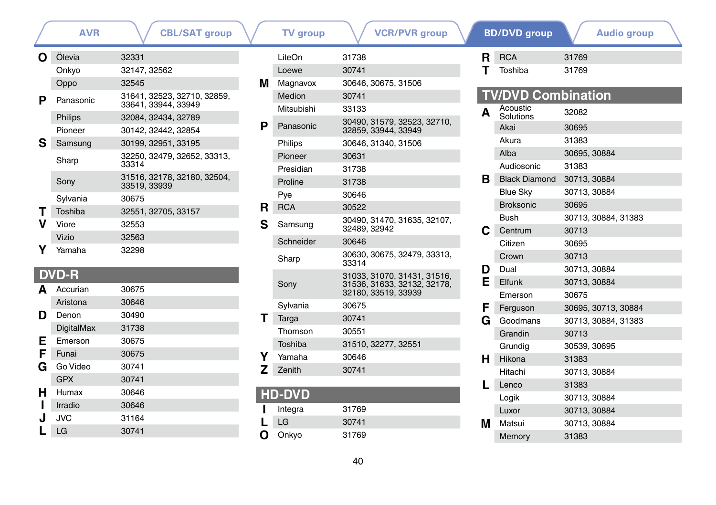|   | AVR       | UDL/ƏAT Group                                    |
|---|-----------|--------------------------------------------------|
| O | Ölevia    | 32331                                            |
|   | Onkyo     | 32147, 32562                                     |
|   | Oppo      | 32545                                            |
| Р | Panasonic | 31641, 32523, 32710, 32859,<br>33641.33944.33949 |
|   | Philips   | 32084, 32434, 32789                              |
|   | Pioneer   | 30142, 32442, 32854                              |
| s | Samsung   | 30199, 32951, 33195                              |
|   | Sharp     | 32250, 32479, 32652, 33313,<br>33314             |
|   | Sony      | 31516, 32178, 32180, 32504,<br>33519, 33939      |
|   | Sylvania  | 30675                                            |
| т | Toshiba   | 32551, 32705, 33157                              |
|   | Viore     | 32553                                            |
|   | Vizio     | 32563                                            |
|   | Yamaha    | 32298                                            |
|   |           |                                                  |

### **DVD-R**

| A  | Accurian          | 30675 |
|----|-------------------|-------|
|    | Aristona          | 30646 |
| D  | Denon             | 30490 |
|    | <b>DigitalMax</b> | 31738 |
| E. | Emerson           | 30675 |
| F  | Funai             | 30675 |
| G  | Go Video          | 30741 |
|    | <b>GPX</b>        | 30741 |
| н  | Humax             | 30646 |
|    | Irradio           | 30646 |
| J  | JVC               | 31164 |
|    | LG                | 30741 |
|    |                   |       |

| AVR  | <b>CBL/SAT group</b>                 |    | <b>TV</b> group | <b>VCR/PVR</b> group                 |    | <b>BD/DVD</b> group       | <b>Audio group</b>  |  |
|------|--------------------------------------|----|-----------------|--------------------------------------|----|---------------------------|---------------------|--|
|      | 32331                                |    | LiteOn          | 31738                                | R. | <b>RCA</b>                | 31769               |  |
|      | 32147, 32562                         |    | Loewe           | 30741                                |    | Toshiba                   | 31769               |  |
|      | 32545                                | м  | Magnavox        | 30646, 30675, 31506                  |    |                           |                     |  |
| onic | 31641, 32523, 32710, 32859,          |    | Medion          | 30741                                |    | <b>TV/DVD Combination</b> |                     |  |
|      | 33641.33944.33949                    |    | Mitsubishi      | 33133                                | A  | Acoustic                  | 32082               |  |
|      | 32084, 32434, 32789                  | P  | Panasonic       | 30490, 31579, 32523, 32710,          |    | Solutions<br>Akai         | 30695               |  |
| эr   | 30142, 32442, 32854                  |    |                 | 32859, 33944, 33949                  |    | Akura                     | 31383               |  |
| ung  | 30199, 32951, 33195                  |    | Philips         | 30646, 31340, 31506                  |    | Alba                      | 30695, 30884        |  |
|      | 32250, 32479, 32652, 33313,<br>33314 |    | Pioneer         | 30631                                |    |                           |                     |  |
|      | 31516, 32178, 32180, 32504,          |    | Presidian       | 31738                                |    | Audiosonic                | 31383               |  |
|      | 33519, 33939                         |    | Proline         | 31738                                | в  | <b>Black Diamond</b>      | 30713, 30884        |  |
| iia  | 30675                                |    | Pye             | 30646                                |    | Blue Sky                  | 30713, 30884        |  |
| a    | 32551, 32705, 33157                  | R. | <b>RCA</b>      | 30522                                |    | <b>Broksonic</b>          | 30695               |  |
|      | 32553                                | S  | Samsung         | 30490. 31470. 31635. 32107.          |    | <b>Bush</b>               | 30713, 30884, 31383 |  |
|      | 32563                                |    |                 | 32489, 32942                         |    | Centrum                   | 30713               |  |
| ٦a   | 32298                                |    | Schneider       | 30646                                |    | Citizen                   | 30695               |  |
|      |                                      |    | Sharp           | 30630, 30675, 32479, 33313,<br>33314 |    | Crown                     | 30713               |  |
|      |                                      |    |                 | 31033, 31070, 31431, 31516,          | D  | Dual                      | 30713, 30884        |  |
|      | 30675                                |    | Sony            | 31536, 31633, 32132, 32178,          | Е  | Elfunk                    | 30713, 30884        |  |
| an   |                                      |    |                 | 32180, 33519, 33939                  |    | Emerson                   | 30675               |  |
| na   | 30646                                |    | Sylvania        | 30675                                | F  | Ferguson                  | 30695, 30713, 30884 |  |
|      | 30490                                |    | Targa           | 30741                                | G  | Goodmans                  | 30713, 30884, 31383 |  |
| Max  | 31738                                |    | Thomson         | 30551                                |    | Grandin                   | 30713               |  |
| on;  | 30675                                |    | Toshiba         | 31510, 32277, 32551                  |    | Grundig                   | 30539, 30695        |  |
|      | 30675                                |    | Yamaha          | 30646                                | н  | Hikona                    | 31383               |  |
| leo  | 30741                                |    | Zenith          | 30741                                |    | Hitachi                   | 30713, 30884        |  |
|      | 30741                                |    |                 |                                      |    | Lenco                     | 31383               |  |
| x    | 30646                                |    | <b>HD-DVD</b>   |                                      |    | Logik                     | 30713, 30884        |  |
|      | $\sim$ $\sim$ $\sim$                 |    |                 |                                      |    |                           |                     |  |

|    | <b>DVD Combination</b> |                     |
|----|------------------------|---------------------|
| A  | Acoustic<br>Solutions  | 32082               |
|    | Akai                   | 30695               |
|    | Akura                  | 31383               |
|    | Alba                   | 30695, 30884        |
|    | Audiosonic             | 31383               |
| в. | <b>Black Diamond</b>   | 30713, 30884        |
|    | <b>Blue Sky</b>        | 30713, 30884        |
|    | <b>Broksonic</b>       | 30695               |
|    | <b>Bush</b>            | 30713, 30884, 31383 |
| С  | Centrum                | 30713               |
|    | Citizen                | 30695               |
|    | Crown                  | 30713               |
| D  | Dual                   | 30713, 30884        |
| E. | Elfunk                 | 30713, 30884        |
|    | Emerson                | 30675               |
| F. | Ferguson               | 30695, 30713, 30884 |
| G  | Goodmans               | 30713, 30884, 31383 |
|    | Grandin                | 30713               |
|    | Grundia                | 30539, 30695        |
| н  | Hikona                 | 31383               |
|    | Hitachi                | 30713.30884         |
| L  | Lenco                  | 31383               |
|    | Logik                  | 30713, 30884        |
|    | Luxor                  | 30713, 30884        |
| М  | Matsui                 | 30713, 30884        |
|    | Memory                 | 31383               |

Memory

**L** LG <sup>30741</sup>

**I** Integra 31769<br> **L** LG 30741

**O** Onkyo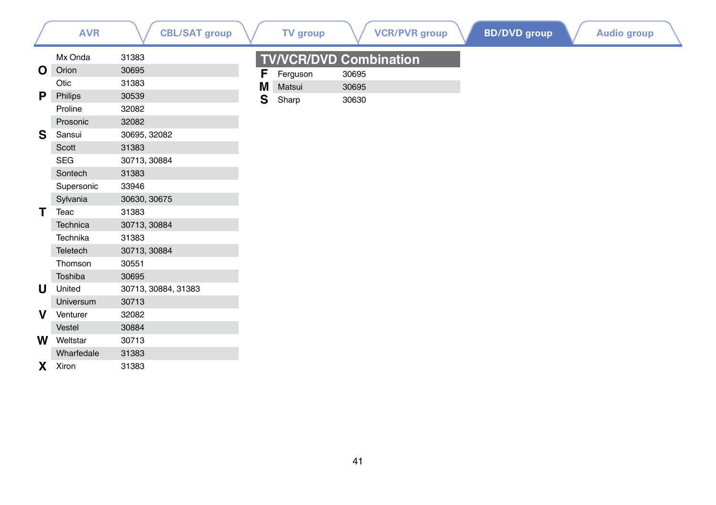|          | <b>AVR</b> | <b>CBL/SAT group</b> |              | <b>TV</b> group               |       | <b>VCR/PVR group</b> | <b>BD/DVD</b> group | <b>Audio group</b> |
|----------|------------|----------------------|--------------|-------------------------------|-------|----------------------|---------------------|--------------------|
|          | Mx Onda    | 31383                |              | <b>TV/VCR/DVD Combination</b> |       |                      |                     |                    |
| O        | Orion      | 30695                | F            | Ferguson                      | 30695 |                      |                     |                    |
|          | Otic       | 31383                | M            | Matsui                        | 30695 |                      |                     |                    |
| P        | Philips    | 30539                | $\mathbf{s}$ | Sharp                         | 30630 |                      |                     |                    |
|          | Proline    | 32082                |              |                               |       |                      |                     |                    |
|          | Prosonic   | 32082                |              |                               |       |                      |                     |                    |
| S        | Sansui     | 30695, 32082         |              |                               |       |                      |                     |                    |
|          | Scott      | 31383                |              |                               |       |                      |                     |                    |
|          | <b>SEG</b> | 30713, 30884         |              |                               |       |                      |                     |                    |
|          | Sontech    | 31383                |              |                               |       |                      |                     |                    |
|          | Supersonic | 33946                |              |                               |       |                      |                     |                    |
|          | Sylvania   | 30630, 30675         |              |                               |       |                      |                     |                    |
|          | Teac       | 31383                |              |                               |       |                      |                     |                    |
|          | Technica   | 30713, 30884         |              |                               |       |                      |                     |                    |
|          | Technika   | 31383                |              |                               |       |                      |                     |                    |
|          | Teletech   | 30713, 30884         |              |                               |       |                      |                     |                    |
|          | Thomson    | 30551                |              |                               |       |                      |                     |                    |
|          | Toshiba    | 30695                |              |                               |       |                      |                     |                    |
| U        | United     | 30713, 30884, 31383  |              |                               |       |                      |                     |                    |
|          | Universum  | 30713                |              |                               |       |                      |                     |                    |
| v        | Venturer   | 32082                |              |                               |       |                      |                     |                    |
|          | Vestel     | 30884                |              |                               |       |                      |                     |                    |
| W        | Weltstar   | 30713                |              |                               |       |                      |                     |                    |
|          | Wharfedale | 31383                |              |                               |       |                      |                     |                    |
| <b>X</b> | Xiron      | 31383                |              |                               |       |                      |                     |                    |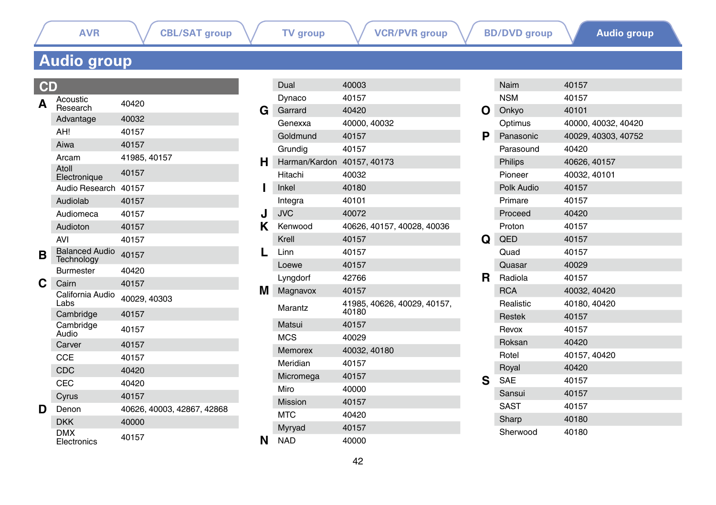**[AVR](#page-0-0)**  $\bigvee$  **[CBL/SAT group](#page-0-1)**  $\bigvee$  **[TV group](#page-13-0)**  $\bigvee$  **[VCR/PVR group](#page-27-0)**  $\bigvee$  **[BD/DVD group](#page-34-0)** 

# <span id="page-41-0"></span>**Audio group**

### **CD**

|                  | Acoustic<br>Research                       | 40420                      |
|------------------|--------------------------------------------|----------------------------|
| A<br>в<br>C<br>D | Advantage                                  | 40032                      |
|                  | AH!                                        | 40157                      |
|                  | Aiwa                                       | 40157                      |
|                  | Arcam                                      | 41985, 40157               |
|                  | Atoll<br>Electronique                      | 40157                      |
|                  | Audio Research                             | 40157                      |
|                  | Audiolab                                   | 40157                      |
|                  | Audiomeca                                  | 40157                      |
|                  | Audioton                                   | 40157                      |
|                  | <b>AVI</b>                                 | 40157                      |
|                  | <b>Balanced Audio</b><br><b>Technology</b> | 40157                      |
|                  | <b>Burmester</b>                           | 40420                      |
|                  | Cairn                                      | 40157                      |
|                  | California Audio<br>Labs                   | 40029, 40303               |
|                  | Cambridge                                  | 40157                      |
|                  | Cambridge<br>Audio                         | 40157                      |
|                  | Carver                                     | 40157                      |
|                  | <b>CCE</b>                                 | 40157                      |
|                  | CDC                                        | 40420                      |
|                  | CEC                                        | 40420                      |
|                  | Cyrus                                      | 40157                      |
|                  | Denon                                      | 40626, 40003, 42867, 42868 |
|                  | <b>DKK</b>                                 | 40000                      |
|                  | <b>DMX</b><br>Electronics                  | 40157                      |

|   | Dual                       | 40003                                |
|---|----------------------------|--------------------------------------|
|   | Dynaco                     | 40157                                |
| G | Garrard                    | 40420                                |
|   | Genexxa                    | 40000, 40032                         |
|   | Goldmund                   | 40157                                |
|   | Grundia                    | 40157                                |
| н | Harman/Kardon 40157, 40173 |                                      |
|   | Hitachi                    | 40032                                |
| ı | Inkel                      | 40180                                |
|   | Integra                    | 40101                                |
| J | <b>JVC</b>                 | 40072                                |
| Κ | Kenwood                    | 40626, 40157, 40028, 40036           |
|   | Krell                      | 40157                                |
| L | Linn                       | 40157                                |
|   | Loewe                      | 40157                                |
|   | Lyngdorf                   | 42766                                |
| М | Magnavox                   | 40157                                |
|   | Marantz                    | 41985, 40626, 40029, 40157,<br>40180 |
|   | Matsui                     | 40157                                |
|   | <b>MCS</b>                 | 40029                                |
|   | <b>Memorex</b>             | 40032, 40180                         |
|   | Meridian                   | 40157                                |
|   | Micromega                  | 40157                                |
|   | Miro                       | 40000                                |
|   | <b>Mission</b>             | 40157                                |
|   | <b>MTC</b>                 | 40420                                |
|   | Myryad                     | 40157                                |
| N | <b>NAD</b>                 | 40000                                |
|   |                            |                                      |

|   | Naim          | 40157               |
|---|---------------|---------------------|
|   | <b>NSM</b>    | 40157               |
| O | Onkyo         | 40101               |
|   | Optimus       | 40000, 40032, 40420 |
| Р | Panasonic     | 40029, 40303, 40752 |
|   | Parasound     | 40420               |
|   | Philips       | 40626, 40157        |
|   | Pioneer       | 40032, 40101        |
|   | Polk Audio    | 40157               |
|   | Primare       | 40157               |
|   | Proceed       | 40420               |
|   | Proton        | 40157               |
| Q | QED           | 40157               |
|   | Quad          | 40157               |
|   | Quasar        | 40029               |
| R | Radiola       | 40157               |
|   | <b>RCA</b>    | 40032, 40420        |
|   | Realistic     | 40180, 40420        |
|   | <b>Restek</b> | 40157               |
|   | Revox         | 40157               |
|   | Roksan        | 40420               |
|   | Rotel         | 40157, 40420        |
|   | Royal         | 40420               |
| s | <b>SAE</b>    | 40157               |
|   | Sansui        | 40157               |
|   | <b>SAST</b>   | 40157               |
|   | Sharp         | 40180               |
|   | Sherwood      | 40180               |